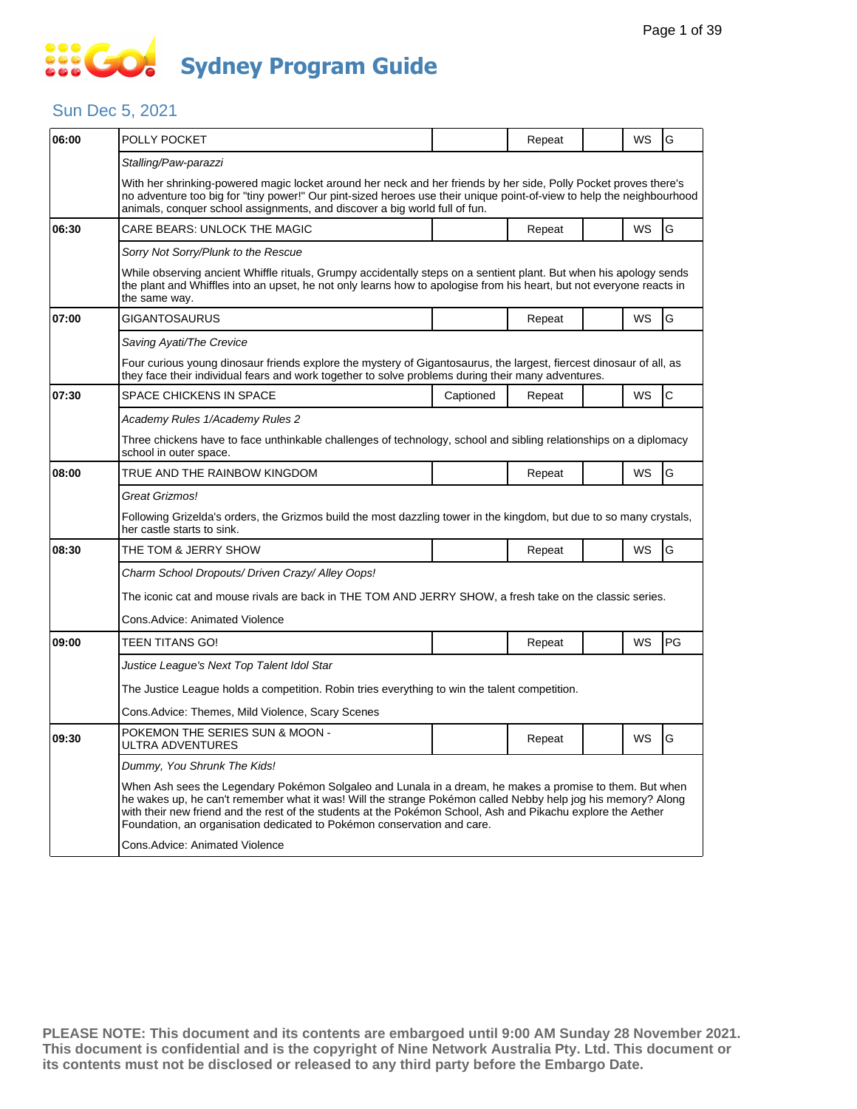### $\frac{1}{200}$ **Sydney Program Guide**

#### Sun Dec 5, 2021

| 06:00 | POLLY POCKET                                                                                                                                                                                                                                                                                                                                                                                                        |                                                                                                                                                                                                                                            | Repeat |  | WS        | G  |  |  |  |  |
|-------|---------------------------------------------------------------------------------------------------------------------------------------------------------------------------------------------------------------------------------------------------------------------------------------------------------------------------------------------------------------------------------------------------------------------|--------------------------------------------------------------------------------------------------------------------------------------------------------------------------------------------------------------------------------------------|--------|--|-----------|----|--|--|--|--|
|       | Stalling/Paw-parazzi                                                                                                                                                                                                                                                                                                                                                                                                |                                                                                                                                                                                                                                            |        |  |           |    |  |  |  |  |
|       | With her shrinking-powered magic locket around her neck and her friends by her side, Polly Pocket proves there's<br>no adventure too big for "tiny power!" Our pint-sized heroes use their unique point-of-view to help the neighbourhood<br>animals, conquer school assignments, and discover a big world full of fun.                                                                                             |                                                                                                                                                                                                                                            |        |  |           |    |  |  |  |  |
| 06:30 | CARE BEARS: UNLOCK THE MAGIC                                                                                                                                                                                                                                                                                                                                                                                        |                                                                                                                                                                                                                                            | Repeat |  | <b>WS</b> | G  |  |  |  |  |
|       | Sorry Not Sorry/Plunk to the Rescue                                                                                                                                                                                                                                                                                                                                                                                 |                                                                                                                                                                                                                                            |        |  |           |    |  |  |  |  |
|       | the same way.                                                                                                                                                                                                                                                                                                                                                                                                       | While observing ancient Whiffle rituals, Grumpy accidentally steps on a sentient plant. But when his apology sends<br>the plant and Whiffles into an upset, he not only learns how to apologise from his heart, but not everyone reacts in |        |  |           |    |  |  |  |  |
| 07:00 | <b>GIGANTOSAURUS</b>                                                                                                                                                                                                                                                                                                                                                                                                |                                                                                                                                                                                                                                            | Repeat |  | WS        | G  |  |  |  |  |
|       | Saving Ayati/The Crevice                                                                                                                                                                                                                                                                                                                                                                                            |                                                                                                                                                                                                                                            |        |  |           |    |  |  |  |  |
|       | Four curious young dinosaur friends explore the mystery of Gigantosaurus, the largest, fiercest dinosaur of all, as<br>they face their individual fears and work together to solve problems during their many adventures.                                                                                                                                                                                           |                                                                                                                                                                                                                                            |        |  |           |    |  |  |  |  |
| 07:30 | SPACE CHICKENS IN SPACE                                                                                                                                                                                                                                                                                                                                                                                             | Captioned                                                                                                                                                                                                                                  | Repeat |  | WS        | C  |  |  |  |  |
|       | Academy Rules 1/Academy Rules 2                                                                                                                                                                                                                                                                                                                                                                                     |                                                                                                                                                                                                                                            |        |  |           |    |  |  |  |  |
|       | Three chickens have to face unthinkable challenges of technology, school and sibling relationships on a diplomacy<br>school in outer space.                                                                                                                                                                                                                                                                         |                                                                                                                                                                                                                                            |        |  |           |    |  |  |  |  |
| 08:00 | TRUE AND THE RAINBOW KINGDOM                                                                                                                                                                                                                                                                                                                                                                                        |                                                                                                                                                                                                                                            | Repeat |  | WS        | G  |  |  |  |  |
|       | Great Grizmos!                                                                                                                                                                                                                                                                                                                                                                                                      |                                                                                                                                                                                                                                            |        |  |           |    |  |  |  |  |
|       | Following Grizelda's orders, the Grizmos build the most dazzling tower in the kingdom, but due to so many crystals,<br>her castle starts to sink.                                                                                                                                                                                                                                                                   |                                                                                                                                                                                                                                            |        |  |           |    |  |  |  |  |
| 08:30 | THE TOM & JERRY SHOW                                                                                                                                                                                                                                                                                                                                                                                                |                                                                                                                                                                                                                                            | Repeat |  | <b>WS</b> | G  |  |  |  |  |
|       | Charm School Dropouts/ Driven Crazy/ Alley Oops!                                                                                                                                                                                                                                                                                                                                                                    |                                                                                                                                                                                                                                            |        |  |           |    |  |  |  |  |
|       |                                                                                                                                                                                                                                                                                                                                                                                                                     | The iconic cat and mouse rivals are back in THE TOM AND JERRY SHOW, a fresh take on the classic series.                                                                                                                                    |        |  |           |    |  |  |  |  |
|       | Cons.Advice: Animated Violence                                                                                                                                                                                                                                                                                                                                                                                      |                                                                                                                                                                                                                                            |        |  |           |    |  |  |  |  |
| 09:00 | <b>TEEN TITANS GO!</b>                                                                                                                                                                                                                                                                                                                                                                                              |                                                                                                                                                                                                                                            | Repeat |  | WS        | PG |  |  |  |  |
|       | Justice League's Next Top Talent Idol Star                                                                                                                                                                                                                                                                                                                                                                          |                                                                                                                                                                                                                                            |        |  |           |    |  |  |  |  |
|       | The Justice League holds a competition. Robin tries everything to win the talent competition.                                                                                                                                                                                                                                                                                                                       |                                                                                                                                                                                                                                            |        |  |           |    |  |  |  |  |
|       | Cons.Advice: Themes, Mild Violence, Scary Scenes                                                                                                                                                                                                                                                                                                                                                                    |                                                                                                                                                                                                                                            |        |  |           |    |  |  |  |  |
| 09:30 | POKEMON THE SERIES SUN & MOON -<br>ULTRA ADVENTURES                                                                                                                                                                                                                                                                                                                                                                 |                                                                                                                                                                                                                                            | Repeat |  | WS        | G  |  |  |  |  |
|       | Dummy, You Shrunk The Kids!                                                                                                                                                                                                                                                                                                                                                                                         |                                                                                                                                                                                                                                            |        |  |           |    |  |  |  |  |
|       | When Ash sees the Legendary Pokémon Solgaleo and Lunala in a dream, he makes a promise to them. But when<br>he wakes up, he can't remember what it was! Will the strange Pokémon called Nebby help jog his memory? Along<br>with their new friend and the rest of the students at the Pokémon School, Ash and Pikachu explore the Aether<br>Foundation, an organisation dedicated to Pokémon conservation and care. |                                                                                                                                                                                                                                            |        |  |           |    |  |  |  |  |
|       |                                                                                                                                                                                                                                                                                                                                                                                                                     |                                                                                                                                                                                                                                            |        |  |           |    |  |  |  |  |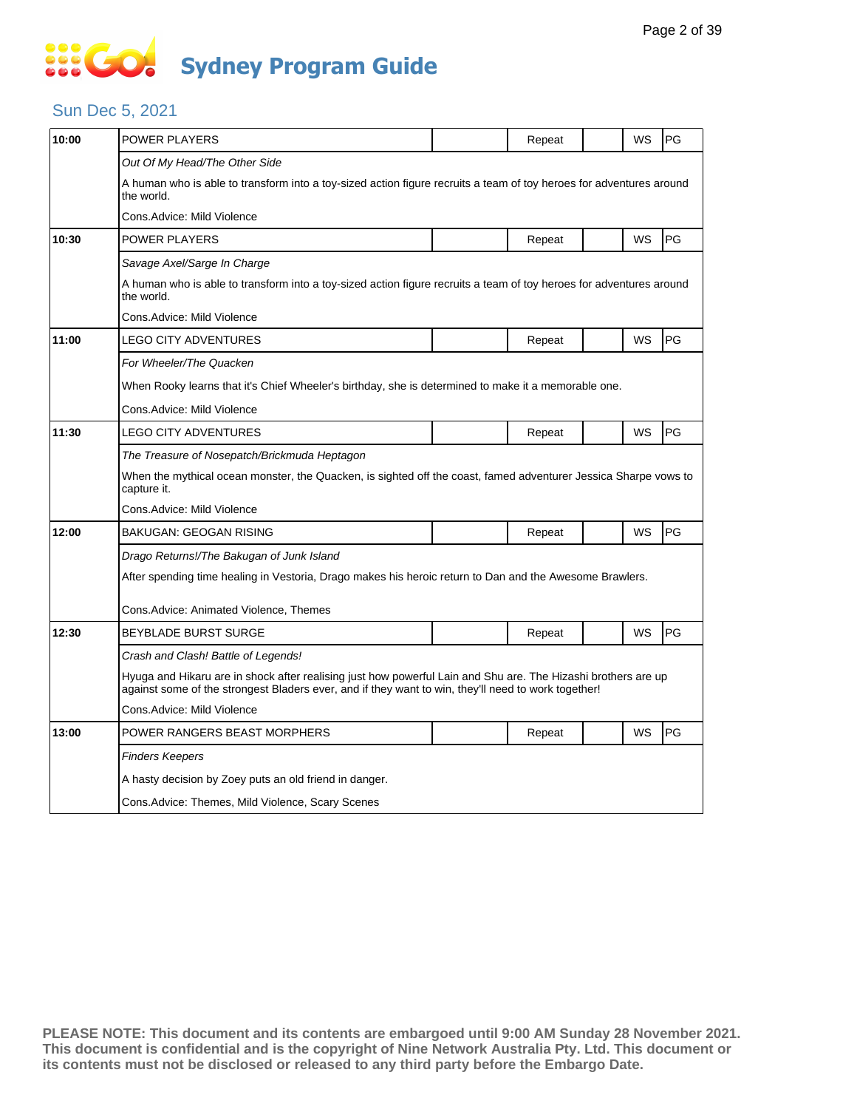# **SSEG Sydney Program Guide**

#### Sun Dec 5, 2021

| 10:00 | POWER PLAYERS                                                                                                                                                                                                        |  | Repeat |  | WS | PG        |  |  |  |
|-------|----------------------------------------------------------------------------------------------------------------------------------------------------------------------------------------------------------------------|--|--------|--|----|-----------|--|--|--|
|       | Out Of My Head/The Other Side                                                                                                                                                                                        |  |        |  |    |           |  |  |  |
|       | A human who is able to transform into a toy-sized action figure recruits a team of toy heroes for adventures around<br>the world.                                                                                    |  |        |  |    |           |  |  |  |
|       | Cons.Advice: Mild Violence                                                                                                                                                                                           |  |        |  |    |           |  |  |  |
| 10:30 | <b>POWER PLAYERS</b>                                                                                                                                                                                                 |  | Repeat |  | WS | <b>PG</b> |  |  |  |
|       | Savage Axel/Sarge In Charge                                                                                                                                                                                          |  |        |  |    |           |  |  |  |
|       | A human who is able to transform into a toy-sized action figure recruits a team of toy heroes for adventures around<br>the world.                                                                                    |  |        |  |    |           |  |  |  |
|       | Cons.Advice: Mild Violence                                                                                                                                                                                           |  |        |  |    |           |  |  |  |
| 11:00 | LEGO CITY ADVENTURES                                                                                                                                                                                                 |  | Repeat |  | WS | PG        |  |  |  |
|       | For Wheeler/The Quacken                                                                                                                                                                                              |  |        |  |    |           |  |  |  |
|       | When Rooky learns that it's Chief Wheeler's birthday, she is determined to make it a memorable one.                                                                                                                  |  |        |  |    |           |  |  |  |
|       | Cons.Advice: Mild Violence                                                                                                                                                                                           |  |        |  |    |           |  |  |  |
| 11:30 | LEGO CITY ADVENTURES                                                                                                                                                                                                 |  | Repeat |  | WS | <b>PG</b> |  |  |  |
|       | The Treasure of Nosepatch/Brickmuda Heptagon                                                                                                                                                                         |  |        |  |    |           |  |  |  |
|       | When the mythical ocean monster, the Quacken, is sighted off the coast, famed adventurer Jessica Sharpe vows to<br>capture it.                                                                                       |  |        |  |    |           |  |  |  |
|       | Cons.Advice: Mild Violence                                                                                                                                                                                           |  |        |  |    |           |  |  |  |
| 12:00 | BAKUGAN: GEOGAN RISING                                                                                                                                                                                               |  | Repeat |  | WS | <b>PG</b> |  |  |  |
|       | Drago Returns!/The Bakugan of Junk Island                                                                                                                                                                            |  |        |  |    |           |  |  |  |
|       | After spending time healing in Vestoria, Drago makes his heroic return to Dan and the Awesome Brawlers.                                                                                                              |  |        |  |    |           |  |  |  |
|       | Cons.Advice: Animated Violence, Themes                                                                                                                                                                               |  |        |  |    |           |  |  |  |
| 12:30 | <b>BEYBLADE BURST SURGE</b>                                                                                                                                                                                          |  | Repeat |  | WS | PG        |  |  |  |
|       | Crash and Clash! Battle of Legends!                                                                                                                                                                                  |  |        |  |    |           |  |  |  |
|       | Hyuga and Hikaru are in shock after realising just how powerful Lain and Shu are. The Hizashi brothers are up<br>against some of the strongest Bladers ever, and if they want to win, they'll need to work together! |  |        |  |    |           |  |  |  |
|       | Cons.Advice: Mild Violence                                                                                                                                                                                           |  |        |  |    |           |  |  |  |
| 13:00 | POWER RANGERS BEAST MORPHERS                                                                                                                                                                                         |  | Repeat |  | WS | PG        |  |  |  |
|       | Finders Keepers                                                                                                                                                                                                      |  |        |  |    |           |  |  |  |
|       | A hasty decision by Zoey puts an old friend in danger.                                                                                                                                                               |  |        |  |    |           |  |  |  |
|       | Cons. Advice: Themes, Mild Violence, Scary Scenes                                                                                                                                                                    |  |        |  |    |           |  |  |  |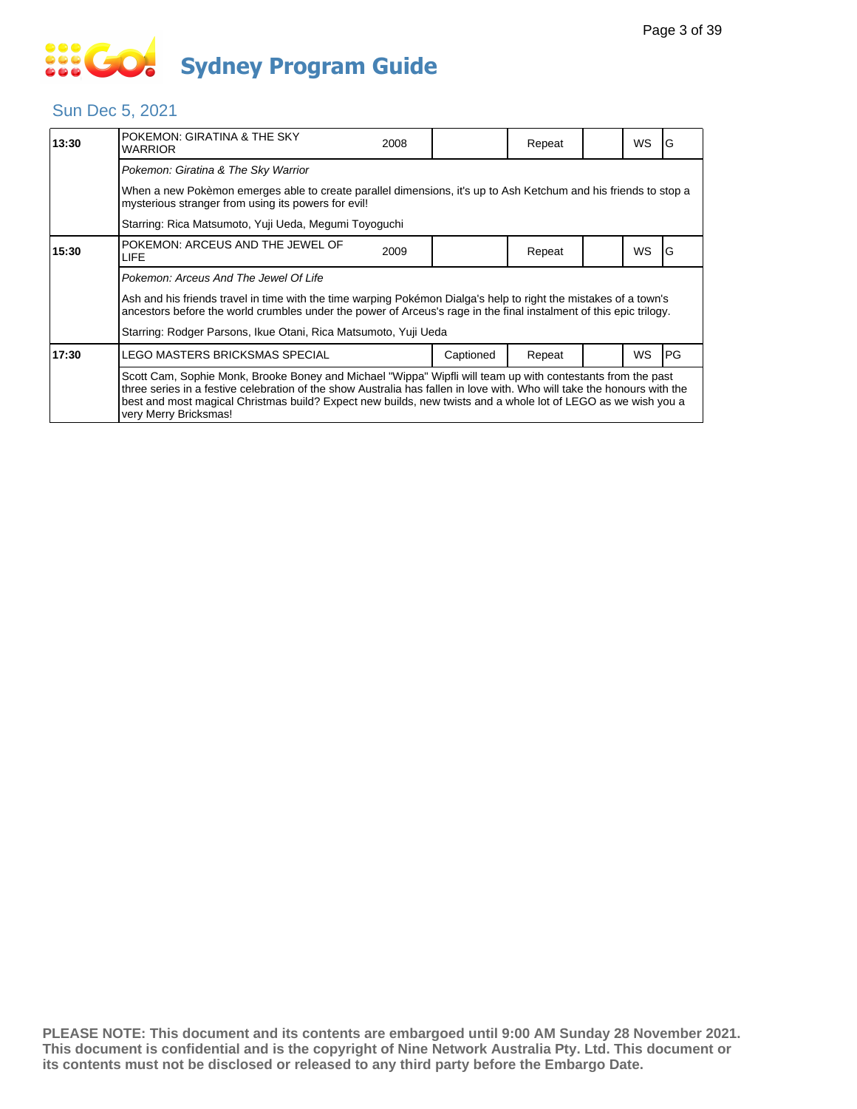### Sun Dec 5, 2021

| 13:30                                                                                                                                                                                                                                                                                                                                                                            | POKEMON: GIRATINA & THE SKY<br><b>WARRIOR</b>                                                                                                                                                                                          | 2008 |           | Repeat |  | <b>WS</b> | ١G         |
|----------------------------------------------------------------------------------------------------------------------------------------------------------------------------------------------------------------------------------------------------------------------------------------------------------------------------------------------------------------------------------|----------------------------------------------------------------------------------------------------------------------------------------------------------------------------------------------------------------------------------------|------|-----------|--------|--|-----------|------------|
|                                                                                                                                                                                                                                                                                                                                                                                  | Pokemon: Giratina & The Sky Warrior                                                                                                                                                                                                    |      |           |        |  |           |            |
|                                                                                                                                                                                                                                                                                                                                                                                  | When a new Pokèmon emerges able to create parallel dimensions, it's up to Ash Ketchum and his friends to stop a<br>mysterious stranger from using its powers for evil!                                                                 |      |           |        |  |           |            |
|                                                                                                                                                                                                                                                                                                                                                                                  | Starring: Rica Matsumoto, Yuji Ueda, Megumi Toyoguchi                                                                                                                                                                                  |      |           |        |  |           |            |
| 15:30                                                                                                                                                                                                                                                                                                                                                                            | POKEMON: ARCEUS AND THE JEWEL OF<br><b>LIFE</b>                                                                                                                                                                                        | 2009 |           | Repeat |  | <b>WS</b> | G          |
|                                                                                                                                                                                                                                                                                                                                                                                  | Pokemon: Arceus And The Jewel Of Life                                                                                                                                                                                                  |      |           |        |  |           |            |
|                                                                                                                                                                                                                                                                                                                                                                                  | Ash and his friends travel in time with the time warping Pokémon Dialga's help to right the mistakes of a town's<br>ancestors before the world crumbles under the power of Arceus's rage in the final instalment of this epic trilogy. |      |           |        |  |           |            |
|                                                                                                                                                                                                                                                                                                                                                                                  | Starring: Rodger Parsons, Ikue Otani, Rica Matsumoto, Yuji Ueda                                                                                                                                                                        |      |           |        |  |           |            |
| 17:30                                                                                                                                                                                                                                                                                                                                                                            | LEGO MASTERS BRICKSMAS SPECIAL                                                                                                                                                                                                         |      | Captioned | Repeat |  | <b>WS</b> | <b>IPG</b> |
| Scott Cam, Sophie Monk, Brooke Boney and Michael "Wippa" Wipfli will team up with contestants from the past<br>three series in a festive celebration of the show Australia has fallen in love with. Who will take the honours with the<br>best and most magical Christmas build? Expect new builds, new twists and a whole lot of LEGO as we wish you a<br>very Merry Bricksmas! |                                                                                                                                                                                                                                        |      |           |        |  |           |            |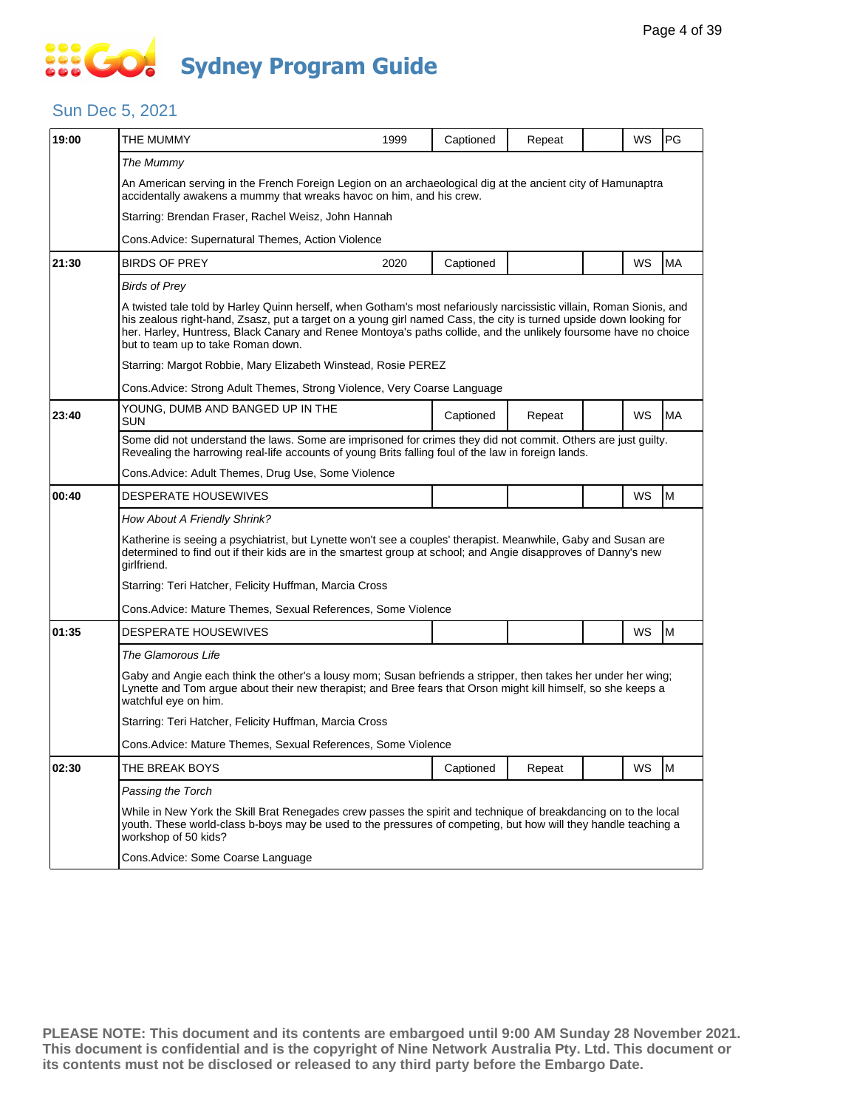#### Sun Dec 5, 2021

| 19:00 | THE MUMMY                                                                                                                                                                                                                                                                                                                                                                                          | 1999                                                          | Captioned | Repeat |  | WS | PG |  |  |  |
|-------|----------------------------------------------------------------------------------------------------------------------------------------------------------------------------------------------------------------------------------------------------------------------------------------------------------------------------------------------------------------------------------------------------|---------------------------------------------------------------|-----------|--------|--|----|----|--|--|--|
|       | The Mummy                                                                                                                                                                                                                                                                                                                                                                                          |                                                               |           |        |  |    |    |  |  |  |
|       | An American serving in the French Foreign Legion on an archaeological dig at the ancient city of Hamunaptra<br>accidentally awakens a mummy that wreaks havoc on him, and his crew.                                                                                                                                                                                                                |                                                               |           |        |  |    |    |  |  |  |
|       | Starring: Brendan Fraser, Rachel Weisz, John Hannah                                                                                                                                                                                                                                                                                                                                                |                                                               |           |        |  |    |    |  |  |  |
|       | Cons.Advice: Supernatural Themes, Action Violence                                                                                                                                                                                                                                                                                                                                                  |                                                               |           |        |  |    |    |  |  |  |
| 21:30 | <b>BIRDS OF PREY</b>                                                                                                                                                                                                                                                                                                                                                                               | 2020                                                          | Captioned |        |  | WS | MA |  |  |  |
|       | <b>Birds of Prey</b>                                                                                                                                                                                                                                                                                                                                                                               |                                                               |           |        |  |    |    |  |  |  |
|       | A twisted tale told by Harley Quinn herself, when Gotham's most nefariously narcissistic villain, Roman Sionis, and<br>his zealous right-hand, Zsasz, put a target on a young girl named Cass, the city is turned upside down looking for<br>her. Harley, Huntress, Black Canary and Renee Montoya's paths collide, and the unlikely foursome have no choice<br>but to team up to take Roman down. |                                                               |           |        |  |    |    |  |  |  |
|       |                                                                                                                                                                                                                                                                                                                                                                                                    | Starring: Margot Robbie, Mary Elizabeth Winstead, Rosie PEREZ |           |        |  |    |    |  |  |  |
|       | Cons. Advice: Strong Adult Themes, Strong Violence, Very Coarse Language                                                                                                                                                                                                                                                                                                                           |                                                               |           |        |  |    |    |  |  |  |
| 23:40 | YOUNG, DUMB AND BANGED UP IN THE<br><b>SUN</b>                                                                                                                                                                                                                                                                                                                                                     |                                                               | Captioned | Repeat |  | WS | МA |  |  |  |
|       | Some did not understand the laws. Some are imprisoned for crimes they did not commit. Others are just guilty.<br>Revealing the harrowing real-life accounts of young Brits falling foul of the law in foreign lands.                                                                                                                                                                               |                                                               |           |        |  |    |    |  |  |  |
|       | Cons. Advice: Adult Themes, Drug Use, Some Violence                                                                                                                                                                                                                                                                                                                                                |                                                               |           |        |  |    |    |  |  |  |
| 00:40 | <b>DESPERATE HOUSEWIVES</b>                                                                                                                                                                                                                                                                                                                                                                        |                                                               |           |        |  | WS | M  |  |  |  |
|       | How About A Friendly Shrink?                                                                                                                                                                                                                                                                                                                                                                       |                                                               |           |        |  |    |    |  |  |  |
|       | Katherine is seeing a psychiatrist, but Lynette won't see a couples' therapist. Meanwhile, Gaby and Susan are<br>determined to find out if their kids are in the smartest group at school; and Angie disapproves of Danny's new<br>girlfriend.                                                                                                                                                     |                                                               |           |        |  |    |    |  |  |  |
|       | Starring: Teri Hatcher, Felicity Huffman, Marcia Cross                                                                                                                                                                                                                                                                                                                                             |                                                               |           |        |  |    |    |  |  |  |
|       | Cons. Advice: Mature Themes, Sexual References, Some Violence                                                                                                                                                                                                                                                                                                                                      |                                                               |           |        |  |    |    |  |  |  |
| 01:35 | DESPERATE HOUSEWIVES                                                                                                                                                                                                                                                                                                                                                                               |                                                               |           |        |  | WS | M  |  |  |  |
|       | The Glamorous Life                                                                                                                                                                                                                                                                                                                                                                                 |                                                               |           |        |  |    |    |  |  |  |
|       | Gaby and Angie each think the other's a lousy mom; Susan befriends a stripper, then takes her under her wing;<br>Lynette and Tom arque about their new therapist; and Bree fears that Orson might kill himself, so she keeps a<br>watchful eye on him.                                                                                                                                             |                                                               |           |        |  |    |    |  |  |  |
|       | Starring: Teri Hatcher, Felicity Huffman, Marcia Cross                                                                                                                                                                                                                                                                                                                                             |                                                               |           |        |  |    |    |  |  |  |
|       | Cons. Advice: Mature Themes, Sexual References, Some Violence                                                                                                                                                                                                                                                                                                                                      |                                                               |           |        |  |    |    |  |  |  |
| 02:30 | THE BREAK BOYS                                                                                                                                                                                                                                                                                                                                                                                     |                                                               | Captioned | Repeat |  | WS | M  |  |  |  |
|       | Passing the Torch                                                                                                                                                                                                                                                                                                                                                                                  |                                                               |           |        |  |    |    |  |  |  |
|       | While in New York the Skill Brat Renegades crew passes the spirit and technique of breakdancing on to the local<br>youth. These world-class b-boys may be used to the pressures of competing, but how will they handle teaching a<br>workshop of 50 kids?                                                                                                                                          |                                                               |           |        |  |    |    |  |  |  |
|       | Cons. Advice: Some Coarse Language                                                                                                                                                                                                                                                                                                                                                                 |                                                               |           |        |  |    |    |  |  |  |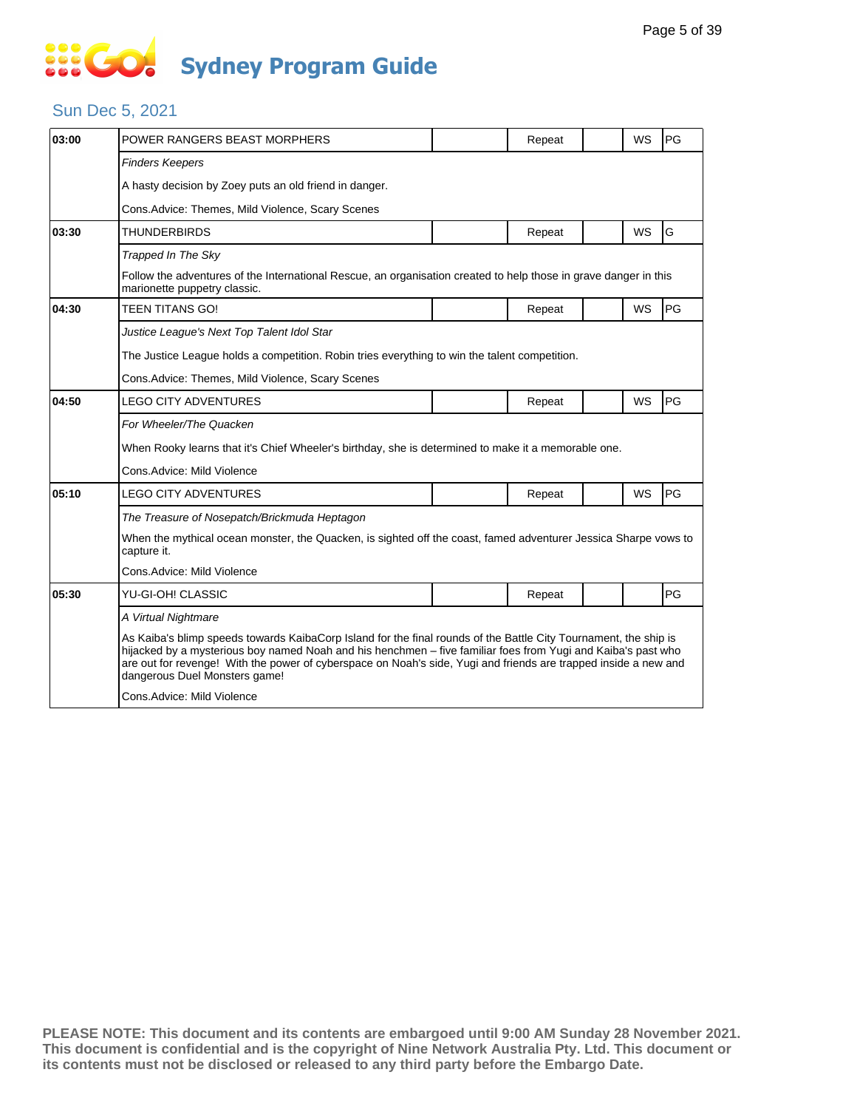#### Sun Dec 5, 2021

| 03:00 | POWER RANGERS BEAST MORPHERS                                                                                                                                                                                                                                                                                                                                                         |                                                                                                                  | Repeat |  | <b>WS</b> | PG |  |  |  |  |
|-------|--------------------------------------------------------------------------------------------------------------------------------------------------------------------------------------------------------------------------------------------------------------------------------------------------------------------------------------------------------------------------------------|------------------------------------------------------------------------------------------------------------------|--------|--|-----------|----|--|--|--|--|
|       | <b>Finders Keepers</b>                                                                                                                                                                                                                                                                                                                                                               |                                                                                                                  |        |  |           |    |  |  |  |  |
|       | A hasty decision by Zoey puts an old friend in danger.                                                                                                                                                                                                                                                                                                                               |                                                                                                                  |        |  |           |    |  |  |  |  |
|       | Cons. Advice: Themes, Mild Violence, Scary Scenes                                                                                                                                                                                                                                                                                                                                    |                                                                                                                  |        |  |           |    |  |  |  |  |
| 03:30 | <b>THUNDERBIRDS</b>                                                                                                                                                                                                                                                                                                                                                                  |                                                                                                                  | Repeat |  | <b>WS</b> | G  |  |  |  |  |
|       | Trapped In The Sky                                                                                                                                                                                                                                                                                                                                                                   |                                                                                                                  |        |  |           |    |  |  |  |  |
|       | marionette puppetry classic.                                                                                                                                                                                                                                                                                                                                                         | Follow the adventures of the International Rescue, an organisation created to help those in grave danger in this |        |  |           |    |  |  |  |  |
| 04:30 | <b>TEEN TITANS GO!</b>                                                                                                                                                                                                                                                                                                                                                               |                                                                                                                  | Repeat |  | <b>WS</b> | PG |  |  |  |  |
|       | Justice League's Next Top Talent Idol Star                                                                                                                                                                                                                                                                                                                                           |                                                                                                                  |        |  |           |    |  |  |  |  |
|       | The Justice League holds a competition. Robin tries everything to win the talent competition.                                                                                                                                                                                                                                                                                        |                                                                                                                  |        |  |           |    |  |  |  |  |
|       | Cons.Advice: Themes, Mild Violence, Scary Scenes                                                                                                                                                                                                                                                                                                                                     |                                                                                                                  |        |  |           |    |  |  |  |  |
| 04:50 | <b>LEGO CITY ADVENTURES</b>                                                                                                                                                                                                                                                                                                                                                          |                                                                                                                  | Repeat |  | <b>WS</b> | PG |  |  |  |  |
|       | For Wheeler/The Quacken                                                                                                                                                                                                                                                                                                                                                              |                                                                                                                  |        |  |           |    |  |  |  |  |
|       | When Rooky learns that it's Chief Wheeler's birthday, she is determined to make it a memorable one.                                                                                                                                                                                                                                                                                  |                                                                                                                  |        |  |           |    |  |  |  |  |
|       | Cons.Advice: Mild Violence                                                                                                                                                                                                                                                                                                                                                           |                                                                                                                  |        |  |           |    |  |  |  |  |
| 05:10 | <b>LEGO CITY ADVENTURES</b>                                                                                                                                                                                                                                                                                                                                                          |                                                                                                                  | Repeat |  | <b>WS</b> | PG |  |  |  |  |
|       | The Treasure of Nosepatch/Brickmuda Heptagon                                                                                                                                                                                                                                                                                                                                         |                                                                                                                  |        |  |           |    |  |  |  |  |
|       | When the mythical ocean monster, the Quacken, is sighted off the coast, famed adventurer Jessica Sharpe vows to<br>capture it.                                                                                                                                                                                                                                                       |                                                                                                                  |        |  |           |    |  |  |  |  |
|       | Cons.Advice: Mild Violence                                                                                                                                                                                                                                                                                                                                                           |                                                                                                                  |        |  |           |    |  |  |  |  |
| 05:30 | YU-GI-OH! CLASSIC                                                                                                                                                                                                                                                                                                                                                                    |                                                                                                                  | Repeat |  |           | PG |  |  |  |  |
|       | A Virtual Nightmare                                                                                                                                                                                                                                                                                                                                                                  |                                                                                                                  |        |  |           |    |  |  |  |  |
|       | As Kaiba's blimp speeds towards KaibaCorp Island for the final rounds of the Battle City Tournament, the ship is<br>hijacked by a mysterious boy named Noah and his henchmen - five familiar foes from Yugi and Kaiba's past who<br>are out for revenge! With the power of cyberspace on Noah's side, Yugi and friends are trapped inside a new and<br>dangerous Duel Monsters game! |                                                                                                                  |        |  |           |    |  |  |  |  |
|       | Cons.Advice: Mild Violence                                                                                                                                                                                                                                                                                                                                                           |                                                                                                                  |        |  |           |    |  |  |  |  |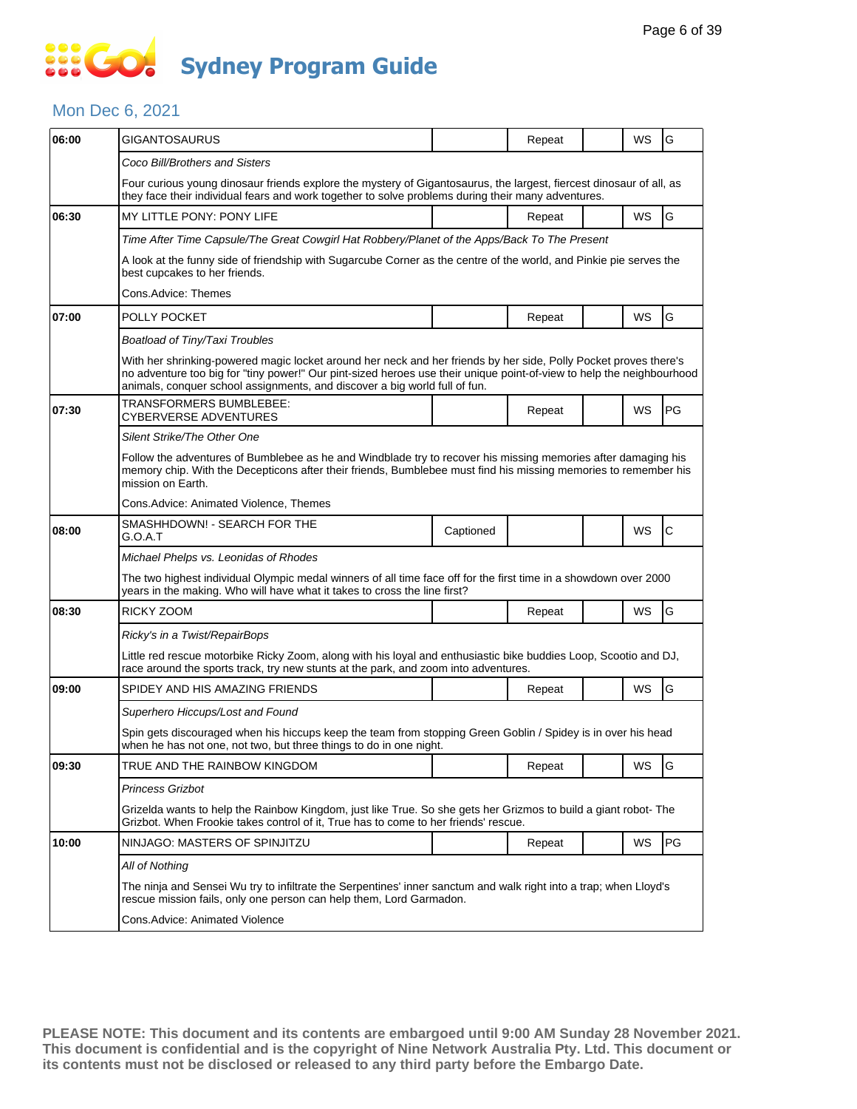### **SECT Sydney Program Guide**

#### Mon Dec 6, 2021

| 06:00 | <b>GIGANTOSAURUS</b>                                                                                                                                                                                                                                                                                                    |           | Repeat |  | WS | G  |  |  |  |
|-------|-------------------------------------------------------------------------------------------------------------------------------------------------------------------------------------------------------------------------------------------------------------------------------------------------------------------------|-----------|--------|--|----|----|--|--|--|
|       | Coco Bill/Brothers and Sisters                                                                                                                                                                                                                                                                                          |           |        |  |    |    |  |  |  |
|       | Four curious young dinosaur friends explore the mystery of Gigantosaurus, the largest, fiercest dinosaur of all, as<br>they face their individual fears and work together to solve problems during their many adventures.                                                                                               |           |        |  |    |    |  |  |  |
| 06:30 | <b>MY LITTLE PONY: PONY LIFE</b>                                                                                                                                                                                                                                                                                        |           | Repeat |  | WS | G  |  |  |  |
|       | Time After Time Capsule/The Great Cowgirl Hat Robbery/Planet of the Apps/Back To The Present                                                                                                                                                                                                                            |           |        |  |    |    |  |  |  |
|       | A look at the funny side of friendship with Sugarcube Corner as the centre of the world, and Pinkie pie serves the<br>best cupcakes to her friends.                                                                                                                                                                     |           |        |  |    |    |  |  |  |
|       | Cons.Advice: Themes                                                                                                                                                                                                                                                                                                     |           |        |  |    |    |  |  |  |
| 07:00 | POLLY POCKET                                                                                                                                                                                                                                                                                                            |           | Repeat |  | WS | G  |  |  |  |
|       | Boatload of Tiny/Taxi Troubles                                                                                                                                                                                                                                                                                          |           |        |  |    |    |  |  |  |
|       | With her shrinking-powered magic locket around her neck and her friends by her side, Polly Pocket proves there's<br>no adventure too big for "tiny power!" Our pint-sized heroes use their unique point-of-view to help the neighbourhood<br>animals, conquer school assignments, and discover a big world full of fun. |           |        |  |    |    |  |  |  |
| 07:30 | TRANSFORMERS BUMBLEBEE:<br>CYBERVERSE ADVENTURES                                                                                                                                                                                                                                                                        |           | Repeat |  | WS | PG |  |  |  |
|       | Silent Strike/The Other One                                                                                                                                                                                                                                                                                             |           |        |  |    |    |  |  |  |
|       | Follow the adventures of Bumblebee as he and Windblade try to recover his missing memories after damaging his<br>memory chip. With the Decepticons after their friends, Bumblebee must find his missing memories to remember his<br>mission on Earth.                                                                   |           |        |  |    |    |  |  |  |
|       | Cons.Advice: Animated Violence, Themes                                                                                                                                                                                                                                                                                  |           |        |  |    |    |  |  |  |
| 08:00 | SMASHHDOWN! - SEARCH FOR THE<br>G.O.A.T                                                                                                                                                                                                                                                                                 | Captioned |        |  | WS | lС |  |  |  |
|       | Michael Phelps vs. Leonidas of Rhodes                                                                                                                                                                                                                                                                                   |           |        |  |    |    |  |  |  |
|       | The two highest individual Olympic medal winners of all time face off for the first time in a showdown over 2000<br>years in the making. Who will have what it takes to cross the line first?                                                                                                                           |           |        |  |    |    |  |  |  |
| 08:30 | RICKY ZOOM                                                                                                                                                                                                                                                                                                              |           | Repeat |  | WS | G  |  |  |  |
|       | Ricky's in a Twist/RepairBops                                                                                                                                                                                                                                                                                           |           |        |  |    |    |  |  |  |
|       | Little red rescue motorbike Ricky Zoom, along with his loyal and enthusiastic bike buddies Loop, Scootio and DJ,<br>race around the sports track, try new stunts at the park, and zoom into adventures.                                                                                                                 |           |        |  |    |    |  |  |  |
| 09:00 | SPIDEY AND HIS AMAZING FRIENDS                                                                                                                                                                                                                                                                                          |           | Repeat |  | WS | G  |  |  |  |
|       | Superhero Hiccups/Lost and Found                                                                                                                                                                                                                                                                                        |           |        |  |    |    |  |  |  |
|       | Spin gets discouraged when his hiccups keep the team from stopping Green Goblin / Spidey is in over his head<br>when he has not one, not two, but three things to do in one night.                                                                                                                                      |           |        |  |    |    |  |  |  |
| 09:30 | TRUE AND THE RAINBOW KINGDOM                                                                                                                                                                                                                                                                                            |           | Repeat |  | WS | G  |  |  |  |
|       | Princess Grizbot                                                                                                                                                                                                                                                                                                        |           |        |  |    |    |  |  |  |
|       | Grizelda wants to help the Rainbow Kingdom, just like True. So she gets her Grizmos to build a giant robot- The<br>Grizbot. When Frookie takes control of it, True has to come to her friends' rescue.                                                                                                                  |           |        |  |    |    |  |  |  |
| 10:00 | NINJAGO: MASTERS OF SPINJITZU                                                                                                                                                                                                                                                                                           |           | Repeat |  | WS | PG |  |  |  |
|       | All of Nothing                                                                                                                                                                                                                                                                                                          |           |        |  |    |    |  |  |  |
|       | The ninja and Sensei Wu try to infiltrate the Serpentines' inner sanctum and walk right into a trap; when Lloyd's<br>rescue mission fails, only one person can help them, Lord Garmadon.                                                                                                                                |           |        |  |    |    |  |  |  |
|       | Cons. Advice: Animated Violence                                                                                                                                                                                                                                                                                         |           |        |  |    |    |  |  |  |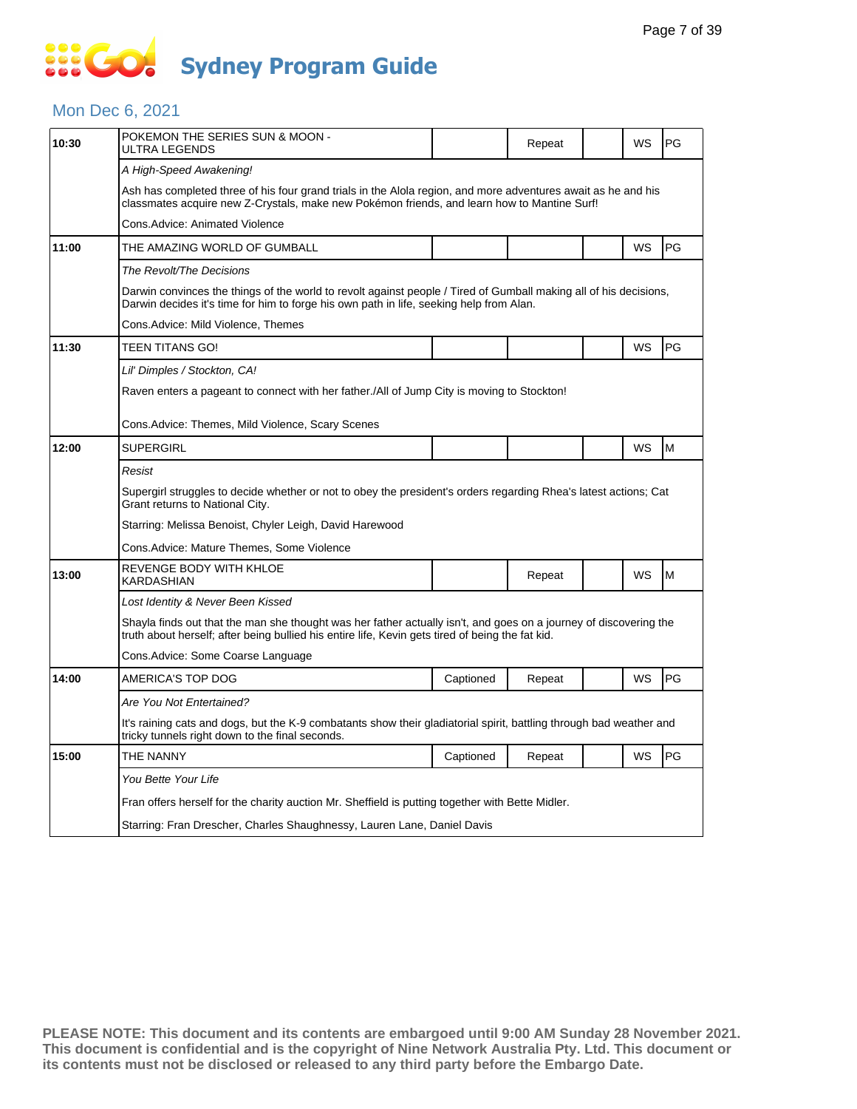#### Mon Dec 6, 2021

| 10:30 | POKEMON THE SERIES SUN & MOON -<br>ULTRA LEGENDS                                                                                                                                                                      |           | Repeat |  | WS | PG |  |  |  |
|-------|-----------------------------------------------------------------------------------------------------------------------------------------------------------------------------------------------------------------------|-----------|--------|--|----|----|--|--|--|
|       | A High-Speed Awakening!                                                                                                                                                                                               |           |        |  |    |    |  |  |  |
|       | Ash has completed three of his four grand trials in the Alola region, and more adventures await as he and his<br>classmates acquire new Z-Crystals, make new Pokémon friends, and learn how to Mantine Surf!          |           |        |  |    |    |  |  |  |
|       | Cons.Advice: Animated Violence                                                                                                                                                                                        |           |        |  |    |    |  |  |  |
| 11:00 | THE AMAZING WORLD OF GUMBALL                                                                                                                                                                                          |           |        |  | WS | PG |  |  |  |
|       | The Revolt/The Decisions                                                                                                                                                                                              |           |        |  |    |    |  |  |  |
|       | Darwin convinces the things of the world to revolt against people / Tired of Gumball making all of his decisions,<br>Darwin decides it's time for him to forge his own path in life, seeking help from Alan.          |           |        |  |    |    |  |  |  |
|       | Cons.Advice: Mild Violence, Themes                                                                                                                                                                                    |           |        |  |    |    |  |  |  |
| 11:30 | TEEN TITANS GO!                                                                                                                                                                                                       |           |        |  | WS | PG |  |  |  |
|       | Lil' Dimples / Stockton, CA!                                                                                                                                                                                          |           |        |  |    |    |  |  |  |
|       | Raven enters a pageant to connect with her father./All of Jump City is moving to Stockton!                                                                                                                            |           |        |  |    |    |  |  |  |
|       | Cons.Advice: Themes, Mild Violence, Scary Scenes                                                                                                                                                                      |           |        |  |    |    |  |  |  |
| 12:00 | <b>SUPERGIRL</b>                                                                                                                                                                                                      |           |        |  | WS | M  |  |  |  |
|       | Resist                                                                                                                                                                                                                |           |        |  |    |    |  |  |  |
|       | Supergirl struggles to decide whether or not to obey the president's orders regarding Rhea's latest actions; Cat<br>Grant returns to National City.                                                                   |           |        |  |    |    |  |  |  |
|       | Starring: Melissa Benoist, Chyler Leigh, David Harewood                                                                                                                                                               |           |        |  |    |    |  |  |  |
|       | Cons.Advice: Mature Themes, Some Violence                                                                                                                                                                             |           |        |  |    |    |  |  |  |
| 13:00 | REVENGE BODY WITH KHLOE<br>KARDASHIAN                                                                                                                                                                                 |           | Repeat |  | WS | M  |  |  |  |
|       | Lost Identity & Never Been Kissed                                                                                                                                                                                     |           |        |  |    |    |  |  |  |
|       | Shayla finds out that the man she thought was her father actually isn't, and goes on a journey of discovering the<br>truth about herself; after being bullied his entire life, Kevin gets tired of being the fat kid. |           |        |  |    |    |  |  |  |
|       | Cons.Advice: Some Coarse Language                                                                                                                                                                                     |           |        |  |    |    |  |  |  |
| 14:00 | AMERICA'S TOP DOG                                                                                                                                                                                                     | Captioned | Repeat |  | WS | PG |  |  |  |
|       | Are You Not Entertained?                                                                                                                                                                                              |           |        |  |    |    |  |  |  |
|       | It's raining cats and dogs, but the K-9 combatants show their gladiatorial spirit, battling through bad weather and<br>tricky tunnels right down to the final seconds.                                                |           |        |  |    |    |  |  |  |
| 15:00 | THE NANNY                                                                                                                                                                                                             | Captioned | Repeat |  | WS | PG |  |  |  |
|       | You Bette Your Life                                                                                                                                                                                                   |           |        |  |    |    |  |  |  |
|       | Fran offers herself for the charity auction Mr. Sheffield is putting together with Bette Midler.                                                                                                                      |           |        |  |    |    |  |  |  |
|       | Starring: Fran Drescher, Charles Shaughnessy, Lauren Lane, Daniel Davis                                                                                                                                               |           |        |  |    |    |  |  |  |
|       |                                                                                                                                                                                                                       |           |        |  |    |    |  |  |  |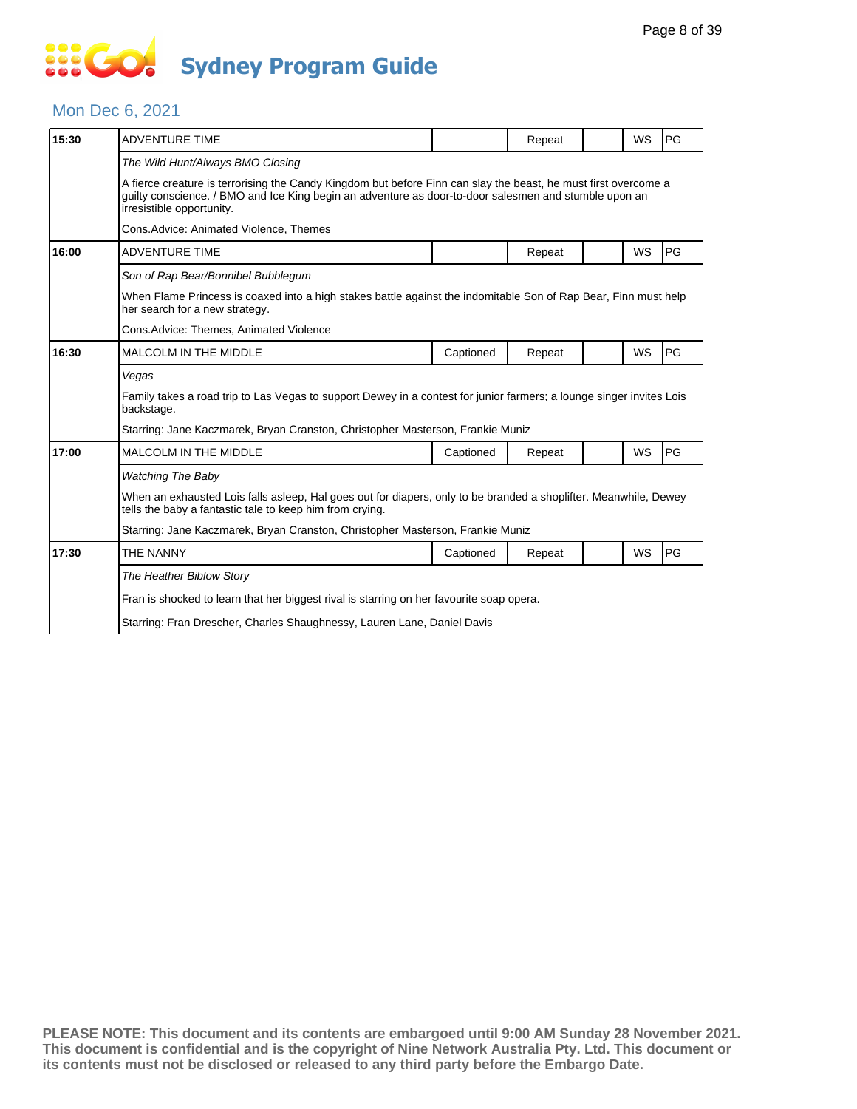# 888 **Sydney Program Guide**

#### Mon Dec 6, 2021

| 15:30 | <b>ADVENTURE TIME</b>                                                                                                                                                                                                                                 |                                                                                | Repeat |  | WS        | PG |  |  |  |
|-------|-------------------------------------------------------------------------------------------------------------------------------------------------------------------------------------------------------------------------------------------------------|--------------------------------------------------------------------------------|--------|--|-----------|----|--|--|--|
|       | The Wild Hunt/Always BMO Closing                                                                                                                                                                                                                      |                                                                                |        |  |           |    |  |  |  |
|       | A fierce creature is terrorising the Candy Kingdom but before Finn can slay the beast, he must first overcome a<br>quilty conscience. / BMO and Ice King begin an adventure as door-to-door salesmen and stumble upon an<br>irresistible opportunity. |                                                                                |        |  |           |    |  |  |  |
|       | Cons.Advice: Animated Violence, Themes                                                                                                                                                                                                                |                                                                                |        |  |           |    |  |  |  |
| 16:00 | <b>ADVENTURE TIME</b>                                                                                                                                                                                                                                 |                                                                                | Repeat |  | WS        | PG |  |  |  |
|       | Son of Rap Bear/Bonnibel Bubblegum                                                                                                                                                                                                                    |                                                                                |        |  |           |    |  |  |  |
|       | When Flame Princess is coaxed into a high stakes battle against the indomitable Son of Rap Bear, Finn must help<br>her search for a new strategy.                                                                                                     |                                                                                |        |  |           |    |  |  |  |
|       | Cons. Advice: Themes, Animated Violence                                                                                                                                                                                                               |                                                                                |        |  |           |    |  |  |  |
| 16:30 | <b>MALCOLM IN THE MIDDLE</b>                                                                                                                                                                                                                          | Captioned                                                                      | Repeat |  | WS        | PG |  |  |  |
|       | Vegas                                                                                                                                                                                                                                                 |                                                                                |        |  |           |    |  |  |  |
|       | Family takes a road trip to Las Vegas to support Dewey in a contest for junior farmers; a lounge singer invites Lois<br>backstage.                                                                                                                    |                                                                                |        |  |           |    |  |  |  |
|       | Starring: Jane Kaczmarek, Bryan Cranston, Christopher Masterson, Frankie Muniz                                                                                                                                                                        |                                                                                |        |  |           |    |  |  |  |
| 17:00 | MALCOLM IN THE MIDDLE                                                                                                                                                                                                                                 | Captioned                                                                      | Repeat |  | WS        | PG |  |  |  |
|       | <b>Watching The Baby</b>                                                                                                                                                                                                                              |                                                                                |        |  |           |    |  |  |  |
|       | When an exhausted Lois falls asleep, Hal goes out for diapers, only to be branded a shoplifter. Meanwhile, Dewey<br>tells the baby a fantastic tale to keep him from crying.                                                                          |                                                                                |        |  |           |    |  |  |  |
|       |                                                                                                                                                                                                                                                       | Starring: Jane Kaczmarek, Bryan Cranston, Christopher Masterson, Frankie Muniz |        |  |           |    |  |  |  |
| 17:30 | THE NANNY                                                                                                                                                                                                                                             | Captioned                                                                      | Repeat |  | <b>WS</b> | PG |  |  |  |
|       | The Heather Biblow Story                                                                                                                                                                                                                              |                                                                                |        |  |           |    |  |  |  |
|       | Fran is shocked to learn that her biggest rival is starring on her favourite soap opera.                                                                                                                                                              |                                                                                |        |  |           |    |  |  |  |
|       | Starring: Fran Drescher, Charles Shaughnessy, Lauren Lane, Daniel Davis                                                                                                                                                                               |                                                                                |        |  |           |    |  |  |  |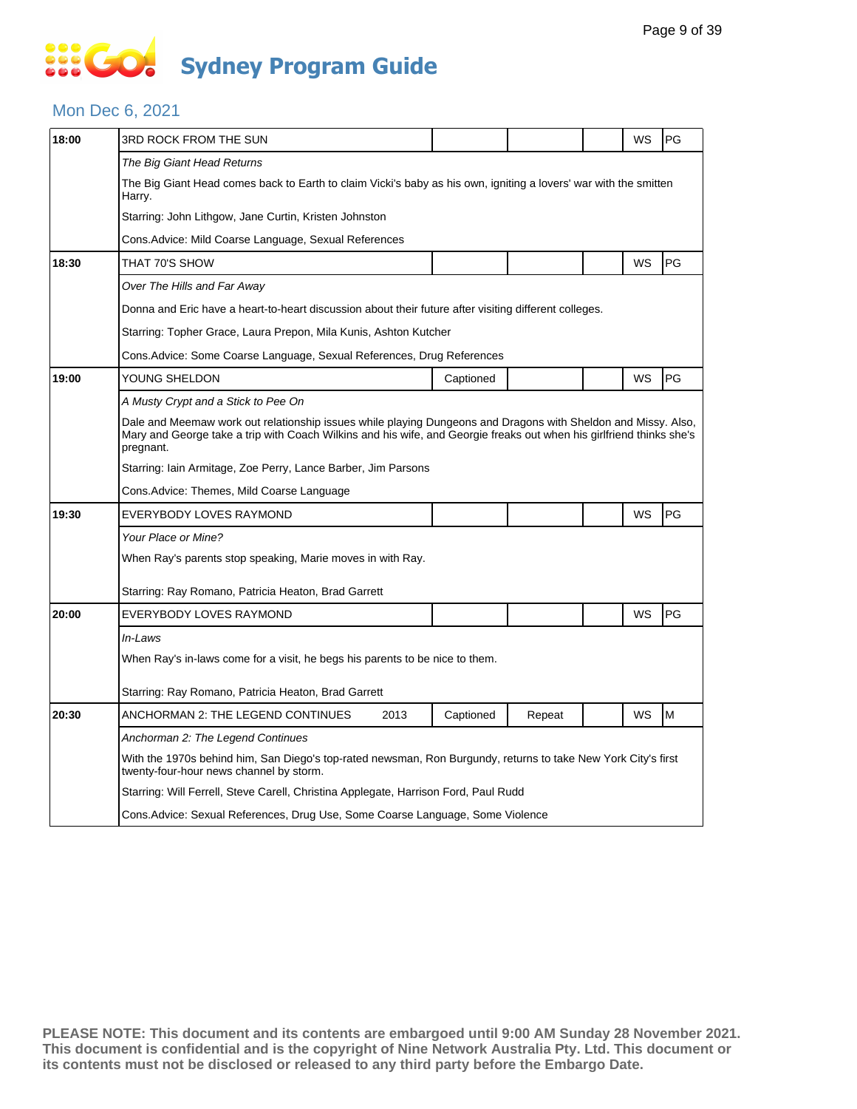#### Mon Dec 6, 2021

| 18:00 | 3RD ROCK FROM THE SUN                                                                                                                                                                                                                              |      |           |        |  | WS | PG |  |  |  |
|-------|----------------------------------------------------------------------------------------------------------------------------------------------------------------------------------------------------------------------------------------------------|------|-----------|--------|--|----|----|--|--|--|
|       | The Big Giant Head Returns                                                                                                                                                                                                                         |      |           |        |  |    |    |  |  |  |
|       | The Big Giant Head comes back to Earth to claim Vicki's baby as his own, igniting a lovers' war with the smitten<br>Harry.                                                                                                                         |      |           |        |  |    |    |  |  |  |
|       | Starring: John Lithgow, Jane Curtin, Kristen Johnston                                                                                                                                                                                              |      |           |        |  |    |    |  |  |  |
|       | Cons.Advice: Mild Coarse Language, Sexual References                                                                                                                                                                                               |      |           |        |  |    |    |  |  |  |
| 18:30 | THAT 70'S SHOW                                                                                                                                                                                                                                     |      |           |        |  | WS | PG |  |  |  |
|       | Over The Hills and Far Away                                                                                                                                                                                                                        |      |           |        |  |    |    |  |  |  |
|       | Donna and Eric have a heart-to-heart discussion about their future after visiting different colleges.                                                                                                                                              |      |           |        |  |    |    |  |  |  |
|       | Starring: Topher Grace, Laura Prepon, Mila Kunis, Ashton Kutcher                                                                                                                                                                                   |      |           |        |  |    |    |  |  |  |
|       | Cons.Advice: Some Coarse Language, Sexual References, Drug References                                                                                                                                                                              |      |           |        |  |    |    |  |  |  |
| 19:00 | YOUNG SHELDON                                                                                                                                                                                                                                      |      | Captioned |        |  | WS | PG |  |  |  |
|       | A Musty Crypt and a Stick to Pee On                                                                                                                                                                                                                |      |           |        |  |    |    |  |  |  |
|       | Dale and Meemaw work out relationship issues while playing Dungeons and Dragons with Sheldon and Missy. Also,<br>Mary and George take a trip with Coach Wilkins and his wife, and Georgie freaks out when his girlfriend thinks she's<br>pregnant. |      |           |        |  |    |    |  |  |  |
|       | Starring: Iain Armitage, Zoe Perry, Lance Barber, Jim Parsons                                                                                                                                                                                      |      |           |        |  |    |    |  |  |  |
|       | Cons.Advice: Themes, Mild Coarse Language                                                                                                                                                                                                          |      |           |        |  |    |    |  |  |  |
| 19:30 | EVERYBODY LOVES RAYMOND                                                                                                                                                                                                                            |      |           |        |  | WS | PG |  |  |  |
|       | Your Place or Mine?                                                                                                                                                                                                                                |      |           |        |  |    |    |  |  |  |
|       | When Ray's parents stop speaking, Marie moves in with Ray.                                                                                                                                                                                         |      |           |        |  |    |    |  |  |  |
|       | Starring: Ray Romano, Patricia Heaton, Brad Garrett                                                                                                                                                                                                |      |           |        |  |    |    |  |  |  |
| 20:00 | EVERYBODY LOVES RAYMOND                                                                                                                                                                                                                            |      |           |        |  | WS | PG |  |  |  |
|       | In-Laws                                                                                                                                                                                                                                            |      |           |        |  |    |    |  |  |  |
|       | When Ray's in-laws come for a visit, he begs his parents to be nice to them.                                                                                                                                                                       |      |           |        |  |    |    |  |  |  |
|       | Starring: Ray Romano, Patricia Heaton, Brad Garrett                                                                                                                                                                                                |      |           |        |  |    |    |  |  |  |
| 20:30 | ANCHORMAN 2: THE LEGEND CONTINUES                                                                                                                                                                                                                  | 2013 | Captioned | Repeat |  | WS | M  |  |  |  |
|       | Anchorman 2: The Legend Continues                                                                                                                                                                                                                  |      |           |        |  |    |    |  |  |  |
|       | With the 1970s behind him, San Diego's top-rated newsman, Ron Burgundy, returns to take New York City's first<br>twenty-four-hour news channel by storm.                                                                                           |      |           |        |  |    |    |  |  |  |
|       | Starring: Will Ferrell, Steve Carell, Christina Applegate, Harrison Ford, Paul Rudd                                                                                                                                                                |      |           |        |  |    |    |  |  |  |
|       |                                                                                                                                                                                                                                                    |      |           |        |  |    |    |  |  |  |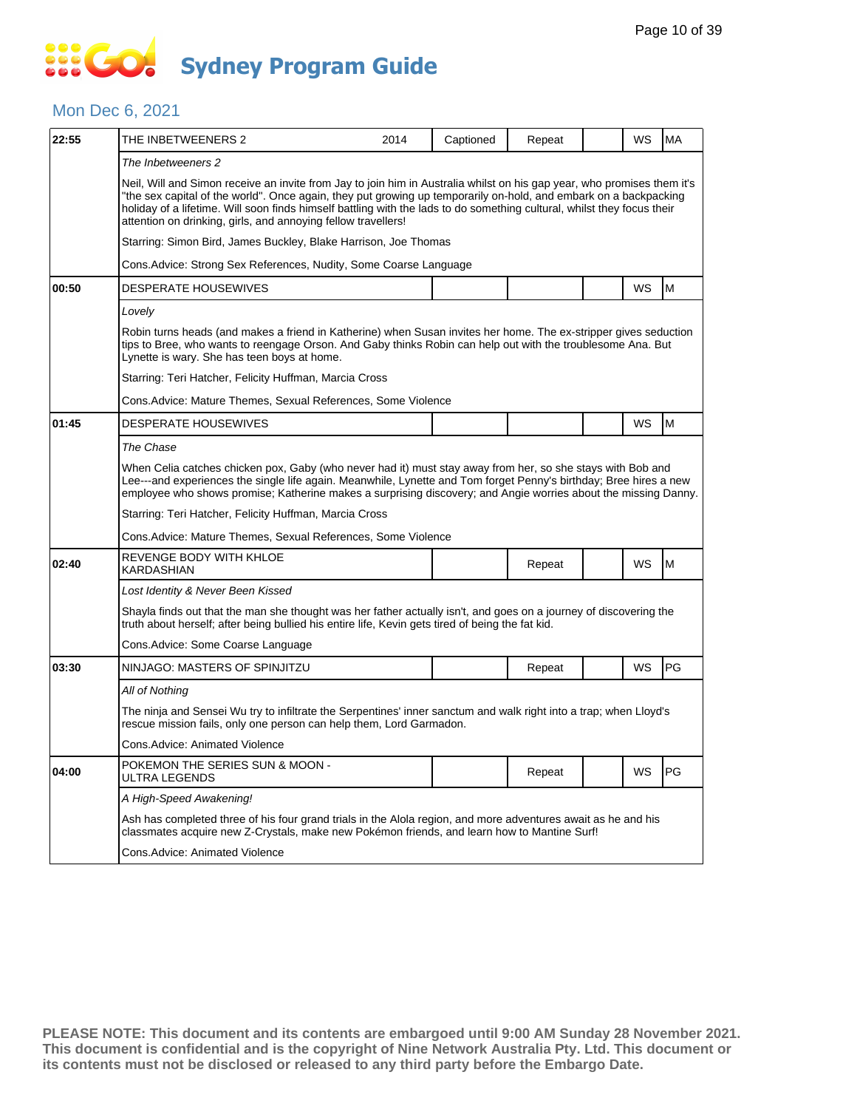#### Mon Dec 6, 2021

| 22:55 | THE INBETWEENERS 2                                                                                                                                                                                                                                                                                                                                                                                                                      | 2014 | Captioned | Repeat |  | WS | <b>MA</b> |  |  |
|-------|-----------------------------------------------------------------------------------------------------------------------------------------------------------------------------------------------------------------------------------------------------------------------------------------------------------------------------------------------------------------------------------------------------------------------------------------|------|-----------|--------|--|----|-----------|--|--|
|       | The Inbetweeners 2                                                                                                                                                                                                                                                                                                                                                                                                                      |      |           |        |  |    |           |  |  |
|       | Neil, Will and Simon receive an invite from Jay to join him in Australia whilst on his gap year, who promises them it's<br>"the sex capital of the world". Once again, they put growing up temporarily on-hold, and embark on a backpacking<br>holiday of a lifetime. Will soon finds himself battling with the lads to do something cultural, whilst they focus their<br>attention on drinking, girls, and annoying fellow travellers! |      |           |        |  |    |           |  |  |
|       | Starring: Simon Bird, James Buckley, Blake Harrison, Joe Thomas                                                                                                                                                                                                                                                                                                                                                                         |      |           |        |  |    |           |  |  |
|       | Cons. Advice: Strong Sex References, Nudity, Some Coarse Language                                                                                                                                                                                                                                                                                                                                                                       |      |           |        |  |    |           |  |  |
| 00:50 | <b>DESPERATE HOUSEWIVES</b>                                                                                                                                                                                                                                                                                                                                                                                                             |      |           |        |  | WS | M         |  |  |
|       | Lovely                                                                                                                                                                                                                                                                                                                                                                                                                                  |      |           |        |  |    |           |  |  |
|       | Robin turns heads (and makes a friend in Katherine) when Susan invites her home. The ex-stripper gives seduction<br>tips to Bree, who wants to reengage Orson. And Gaby thinks Robin can help out with the troublesome Ana. But<br>Lynette is wary. She has teen boys at home.                                                                                                                                                          |      |           |        |  |    |           |  |  |
|       | Starring: Teri Hatcher, Felicity Huffman, Marcia Cross                                                                                                                                                                                                                                                                                                                                                                                  |      |           |        |  |    |           |  |  |
|       | Cons. Advice: Mature Themes, Sexual References, Some Violence                                                                                                                                                                                                                                                                                                                                                                           |      |           |        |  |    |           |  |  |
| 01:45 | <b>DESPERATE HOUSEWIVES</b>                                                                                                                                                                                                                                                                                                                                                                                                             |      |           |        |  | WS | M         |  |  |
|       | The Chase                                                                                                                                                                                                                                                                                                                                                                                                                               |      |           |        |  |    |           |  |  |
|       | When Celia catches chicken pox, Gaby (who never had it) must stay away from her, so she stays with Bob and<br>Lee---and experiences the single life again. Meanwhile, Lynette and Tom forget Penny's birthday; Bree hires a new<br>employee who shows promise; Katherine makes a surprising discovery; and Angie worries about the missing Danny.                                                                                       |      |           |        |  |    |           |  |  |
|       | Starring: Teri Hatcher, Felicity Huffman, Marcia Cross                                                                                                                                                                                                                                                                                                                                                                                  |      |           |        |  |    |           |  |  |
|       | Cons. Advice: Mature Themes, Sexual References, Some Violence                                                                                                                                                                                                                                                                                                                                                                           |      |           |        |  |    |           |  |  |
| 02:40 | REVENGE BODY WITH KHLOE<br>KARDASHIAN                                                                                                                                                                                                                                                                                                                                                                                                   |      |           | Repeat |  | WS | M         |  |  |
|       | Lost Identity & Never Been Kissed                                                                                                                                                                                                                                                                                                                                                                                                       |      |           |        |  |    |           |  |  |
|       | Shayla finds out that the man she thought was her father actually isn't, and goes on a journey of discovering the<br>truth about herself; after being bullied his entire life, Kevin gets tired of being the fat kid.                                                                                                                                                                                                                   |      |           |        |  |    |           |  |  |
|       | Cons. Advice: Some Coarse Language                                                                                                                                                                                                                                                                                                                                                                                                      |      |           |        |  |    |           |  |  |
| 03:30 | NINJAGO: MASTERS OF SPINJITZU                                                                                                                                                                                                                                                                                                                                                                                                           |      |           | Repeat |  | WS | PG        |  |  |
|       | All of Nothing                                                                                                                                                                                                                                                                                                                                                                                                                          |      |           |        |  |    |           |  |  |
|       | The ninja and Sensei Wu try to infiltrate the Serpentines' inner sanctum and walk right into a trap; when Lloyd's<br>rescue mission fails, only one person can help them, Lord Garmadon.                                                                                                                                                                                                                                                |      |           |        |  |    |           |  |  |
|       | Cons. Advice: Animated Violence                                                                                                                                                                                                                                                                                                                                                                                                         |      |           |        |  |    |           |  |  |
| 04:00 | POKEMON THE SERIES SUN & MOON -<br><b>ULTRA LEGENDS</b>                                                                                                                                                                                                                                                                                                                                                                                 |      |           | Repeat |  | WS | PG.       |  |  |
|       | A High-Speed Awakening!                                                                                                                                                                                                                                                                                                                                                                                                                 |      |           |        |  |    |           |  |  |
|       | Ash has completed three of his four grand trials in the Alola region, and more adventures await as he and his<br>classmates acquire new Z-Crystals, make new Pokémon friends, and learn how to Mantine Surf!                                                                                                                                                                                                                            |      |           |        |  |    |           |  |  |
|       | Cons.Advice: Animated Violence                                                                                                                                                                                                                                                                                                                                                                                                          |      |           |        |  |    |           |  |  |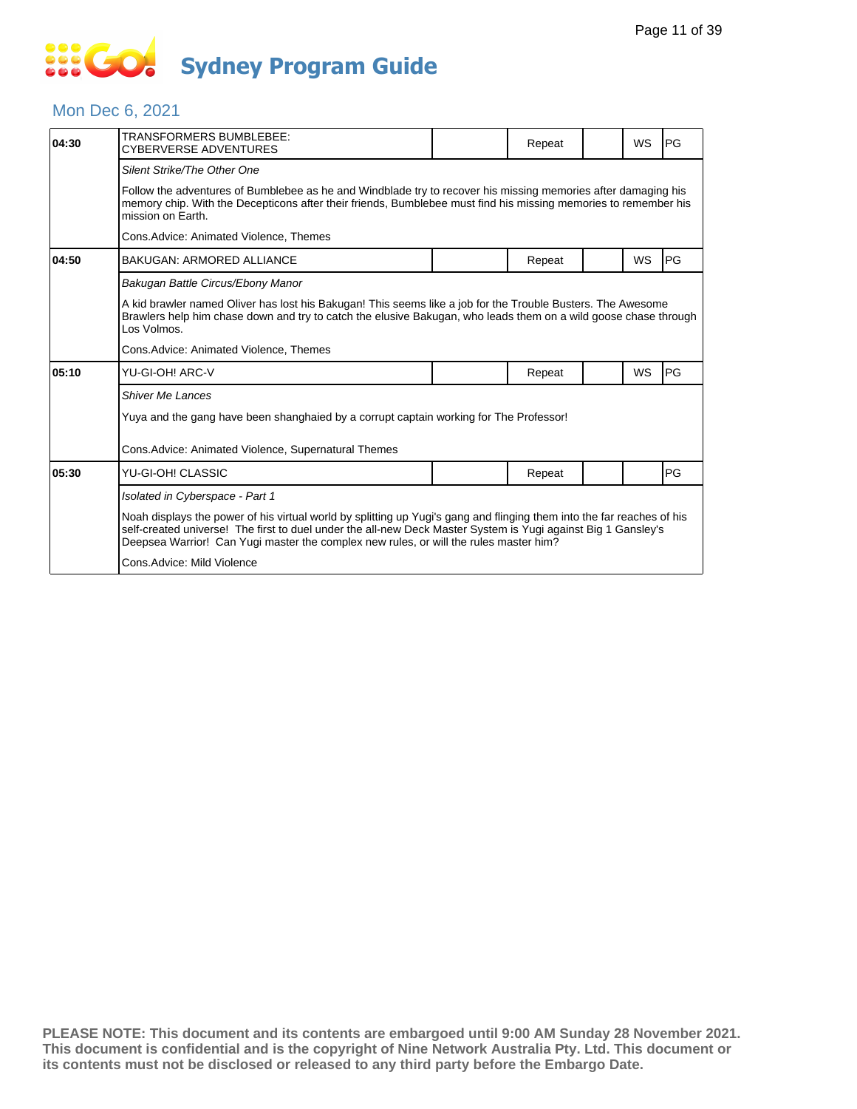#### Mon Dec 6, 2021

| 04:30 | TRANSFORMERS BUMBLEBEE:<br><b>CYBERVERSE ADVENTURES</b>                                                                                                                                                                                                                                                                          |  | Repeat |  | <b>WS</b> | PG        |  |  |  |  |
|-------|----------------------------------------------------------------------------------------------------------------------------------------------------------------------------------------------------------------------------------------------------------------------------------------------------------------------------------|--|--------|--|-----------|-----------|--|--|--|--|
|       | Silent Strike/The Other One                                                                                                                                                                                                                                                                                                      |  |        |  |           |           |  |  |  |  |
|       | Follow the adventures of Bumblebee as he and Windblade try to recover his missing memories after damaging his<br>memory chip. With the Decepticons after their friends, Bumblebee must find his missing memories to remember his<br>mission on Earth.                                                                            |  |        |  |           |           |  |  |  |  |
|       | Cons.Advice: Animated Violence, Themes                                                                                                                                                                                                                                                                                           |  |        |  |           |           |  |  |  |  |
| 04:50 | <b>BAKUGAN: ARMORED ALLIANCE</b>                                                                                                                                                                                                                                                                                                 |  | Repeat |  | WS        | PG        |  |  |  |  |
|       | Bakugan Battle Circus/Ebony Manor                                                                                                                                                                                                                                                                                                |  |        |  |           |           |  |  |  |  |
|       | A kid brawler named Oliver has lost his Bakugan! This seems like a job for the Trouble Busters. The Awesome<br>Brawlers help him chase down and try to catch the elusive Bakugan, who leads them on a wild goose chase through<br>Los Volmos.                                                                                    |  |        |  |           |           |  |  |  |  |
|       | Cons. Advice: Animated Violence, Themes                                                                                                                                                                                                                                                                                          |  |        |  |           |           |  |  |  |  |
| 05:10 | YU-GI-OH! ARC-V                                                                                                                                                                                                                                                                                                                  |  | Repeat |  | <b>WS</b> | <b>PG</b> |  |  |  |  |
|       | <b>Shiver Me Lances</b>                                                                                                                                                                                                                                                                                                          |  |        |  |           |           |  |  |  |  |
|       | Yuya and the gang have been shanghaied by a corrupt captain working for The Professor!                                                                                                                                                                                                                                           |  |        |  |           |           |  |  |  |  |
|       | Cons. Advice: Animated Violence, Supernatural Themes                                                                                                                                                                                                                                                                             |  |        |  |           |           |  |  |  |  |
| 05:30 | YU-GI-OH! CLASSIC                                                                                                                                                                                                                                                                                                                |  | Repeat |  |           | PG        |  |  |  |  |
|       | Isolated in Cyberspace - Part 1                                                                                                                                                                                                                                                                                                  |  |        |  |           |           |  |  |  |  |
|       | Noah displays the power of his virtual world by splitting up Yugi's gang and flinging them into the far reaches of his<br>self-created universe! The first to duel under the all-new Deck Master System is Yugi against Big 1 Gansley's<br>Deepsea Warrior! Can Yugi master the complex new rules, or will the rules master him? |  |        |  |           |           |  |  |  |  |
|       | Cons.Advice: Mild Violence                                                                                                                                                                                                                                                                                                       |  |        |  |           |           |  |  |  |  |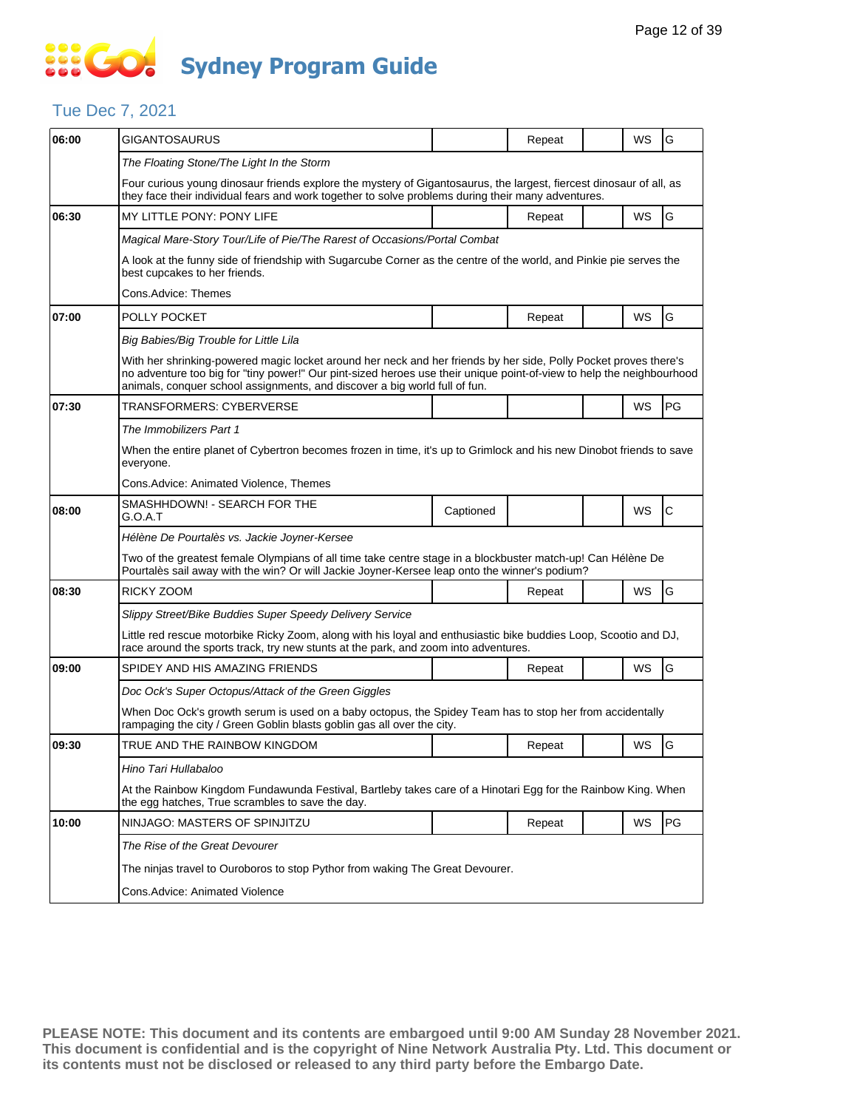### **SECT Sydney Program Guide**

### Tue Dec 7, 2021

| 06:00 | GIGANTOSAURUS                                                                                                                                                                                                                                                                                                           |                                                                                                              | Repeat | WS | G  |  |  |  |  |
|-------|-------------------------------------------------------------------------------------------------------------------------------------------------------------------------------------------------------------------------------------------------------------------------------------------------------------------------|--------------------------------------------------------------------------------------------------------------|--------|----|----|--|--|--|--|
|       | The Floating Stone/The Light In the Storm                                                                                                                                                                                                                                                                               |                                                                                                              |        |    |    |  |  |  |  |
|       | Four curious young dinosaur friends explore the mystery of Gigantosaurus, the largest, fiercest dinosaur of all, as<br>they face their individual fears and work together to solve problems during their many adventures.                                                                                               |                                                                                                              |        |    |    |  |  |  |  |
| 06:30 | MY LITTLE PONY: PONY LIFE                                                                                                                                                                                                                                                                                               |                                                                                                              | Repeat | WS | G  |  |  |  |  |
|       | Magical Mare-Story Tour/Life of Pie/The Rarest of Occasions/Portal Combat                                                                                                                                                                                                                                               |                                                                                                              |        |    |    |  |  |  |  |
|       | A look at the funny side of friendship with Sugarcube Corner as the centre of the world, and Pinkie pie serves the<br>best cupcakes to her friends.                                                                                                                                                                     |                                                                                                              |        |    |    |  |  |  |  |
|       | Cons.Advice: Themes                                                                                                                                                                                                                                                                                                     |                                                                                                              |        |    |    |  |  |  |  |
| 07:00 | POLLY POCKET                                                                                                                                                                                                                                                                                                            |                                                                                                              | Repeat | WS | G  |  |  |  |  |
|       | Big Babies/Big Trouble for Little Lila                                                                                                                                                                                                                                                                                  |                                                                                                              |        |    |    |  |  |  |  |
|       | With her shrinking-powered magic locket around her neck and her friends by her side, Polly Pocket proves there's<br>no adventure too big for "tiny power!" Our pint-sized heroes use their unique point-of-view to help the neighbourhood<br>animals, conquer school assignments, and discover a big world full of fun. |                                                                                                              |        |    |    |  |  |  |  |
| 07:30 | TRANSFORMERS: CYBERVERSE                                                                                                                                                                                                                                                                                                |                                                                                                              |        | WS | PG |  |  |  |  |
|       | The Immobilizers Part 1                                                                                                                                                                                                                                                                                                 |                                                                                                              |        |    |    |  |  |  |  |
|       | When the entire planet of Cybertron becomes frozen in time, it's up to Grimlock and his new Dinobot friends to save<br>everyone.                                                                                                                                                                                        |                                                                                                              |        |    |    |  |  |  |  |
|       | Cons.Advice: Animated Violence, Themes                                                                                                                                                                                                                                                                                  |                                                                                                              |        |    |    |  |  |  |  |
| 08:00 | SMASHHDOWN! - SEARCH FOR THE<br>G.O.A.T                                                                                                                                                                                                                                                                                 | Captioned                                                                                                    |        | WS | С  |  |  |  |  |
|       | Hélène De Pourtalès vs. Jackie Joyner-Kersee                                                                                                                                                                                                                                                                            |                                                                                                              |        |    |    |  |  |  |  |
|       | Two of the greatest female Olympians of all time take centre stage in a blockbuster match-up! Can Hélène De<br>Pourtalès sail away with the win? Or will Jackie Joyner-Kersee leap onto the winner's podium?                                                                                                            |                                                                                                              |        |    |    |  |  |  |  |
| 08:30 | RICKY ZOOM                                                                                                                                                                                                                                                                                                              |                                                                                                              | Repeat | WS | G  |  |  |  |  |
|       | Slippy Street/Bike Buddies Super Speedy Delivery Service                                                                                                                                                                                                                                                                |                                                                                                              |        |    |    |  |  |  |  |
|       | Little red rescue motorbike Ricky Zoom, along with his loyal and enthusiastic bike buddies Loop, Scootio and DJ,<br>race around the sports track, try new stunts at the park, and zoom into adventures.                                                                                                                 |                                                                                                              |        |    |    |  |  |  |  |
| 09:00 | SPIDEY AND HIS AMAZING FRIENDS                                                                                                                                                                                                                                                                                          |                                                                                                              | Repeat | WS | G  |  |  |  |  |
|       | Doc Ock's Super Octopus/Attack of the Green Giggles                                                                                                                                                                                                                                                                     |                                                                                                              |        |    |    |  |  |  |  |
|       | When Doc Ock's growth serum is used on a baby octopus, the Spidey Team has to stop her from accidentally<br>rampaging the city / Green Goblin blasts goblin gas all over the city.                                                                                                                                      |                                                                                                              |        |    |    |  |  |  |  |
| 09:30 | TRUE AND THE RAINBOW KINGDOM                                                                                                                                                                                                                                                                                            |                                                                                                              | Repeat | WS | G  |  |  |  |  |
|       | Hino Tari Hullabaloo                                                                                                                                                                                                                                                                                                    |                                                                                                              |        |    |    |  |  |  |  |
|       | the egg hatches, True scrambles to save the day.                                                                                                                                                                                                                                                                        | At the Rainbow Kingdom Fundawunda Festival, Bartleby takes care of a Hinotari Egg for the Rainbow King. When |        |    |    |  |  |  |  |
| 10:00 | NINJAGO: MASTERS OF SPINJITZU                                                                                                                                                                                                                                                                                           |                                                                                                              | Repeat | WS | PG |  |  |  |  |
|       | The Rise of the Great Devourer                                                                                                                                                                                                                                                                                          |                                                                                                              |        |    |    |  |  |  |  |
|       |                                                                                                                                                                                                                                                                                                                         | The ninjas travel to Ouroboros to stop Pythor from waking The Great Devourer.                                |        |    |    |  |  |  |  |
|       |                                                                                                                                                                                                                                                                                                                         |                                                                                                              |        |    |    |  |  |  |  |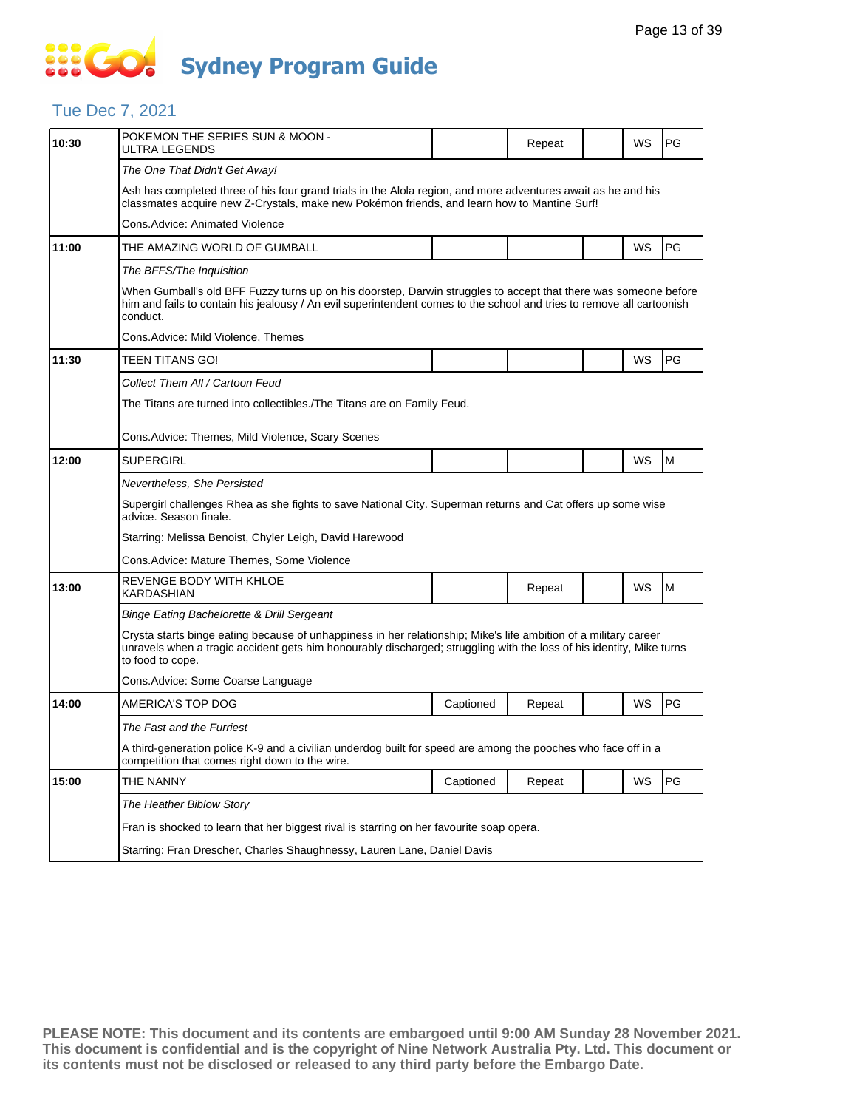#### Tue Dec 7, 2021

| POKEMON THE SERIES SUN & MOON -<br>ULTRA LEGENDS                                                                                                                                                                                                             |                                                 | Repeat |                                                                                          | WS | PG                                                                                                                  |  |  |  |  |
|--------------------------------------------------------------------------------------------------------------------------------------------------------------------------------------------------------------------------------------------------------------|-------------------------------------------------|--------|------------------------------------------------------------------------------------------|----|---------------------------------------------------------------------------------------------------------------------|--|--|--|--|
| The One That Didn't Get Away!                                                                                                                                                                                                                                |                                                 |        |                                                                                          |    |                                                                                                                     |  |  |  |  |
| Ash has completed three of his four grand trials in the Alola region, and more adventures await as he and his<br>classmates acquire new Z-Crystals, make new Pokémon friends, and learn how to Mantine Surf!                                                 |                                                 |        |                                                                                          |    |                                                                                                                     |  |  |  |  |
| Cons.Advice: Animated Violence                                                                                                                                                                                                                               |                                                 |        |                                                                                          |    |                                                                                                                     |  |  |  |  |
| THE AMAZING WORLD OF GUMBALL                                                                                                                                                                                                                                 |                                                 |        |                                                                                          | WS | PG                                                                                                                  |  |  |  |  |
| The BFFS/The Inquisition                                                                                                                                                                                                                                     |                                                 |        |                                                                                          |    |                                                                                                                     |  |  |  |  |
| When Gumball's old BFF Fuzzy turns up on his doorstep, Darwin struggles to accept that there was someone before<br>him and fails to contain his jealousy / An evil superintendent comes to the school and tries to remove all cartoonish<br>conduct.         |                                                 |        |                                                                                          |    |                                                                                                                     |  |  |  |  |
| Cons.Advice: Mild Violence, Themes                                                                                                                                                                                                                           |                                                 |        |                                                                                          |    |                                                                                                                     |  |  |  |  |
| TEEN TITANS GO!                                                                                                                                                                                                                                              |                                                 |        |                                                                                          | WS | PG                                                                                                                  |  |  |  |  |
| Collect Them All / Cartoon Feud                                                                                                                                                                                                                              |                                                 |        |                                                                                          |    |                                                                                                                     |  |  |  |  |
| The Titans are turned into collectibles./The Titans are on Family Feud.                                                                                                                                                                                      |                                                 |        |                                                                                          |    |                                                                                                                     |  |  |  |  |
| Cons.Advice: Themes, Mild Violence, Scary Scenes                                                                                                                                                                                                             |                                                 |        |                                                                                          |    |                                                                                                                     |  |  |  |  |
|                                                                                                                                                                                                                                                              |                                                 |        |                                                                                          |    | M                                                                                                                   |  |  |  |  |
|                                                                                                                                                                                                                                                              |                                                 |        |                                                                                          |    |                                                                                                                     |  |  |  |  |
| Supergirl challenges Rhea as she fights to save National City. Superman returns and Cat offers up some wise<br>advice. Season finale.                                                                                                                        |                                                 |        |                                                                                          |    |                                                                                                                     |  |  |  |  |
| Starring: Melissa Benoist, Chyler Leigh, David Harewood                                                                                                                                                                                                      |                                                 |        |                                                                                          |    |                                                                                                                     |  |  |  |  |
| Cons.Advice: Mature Themes, Some Violence                                                                                                                                                                                                                    |                                                 |        |                                                                                          |    |                                                                                                                     |  |  |  |  |
| REVENGE BODY WITH KHLOE<br>KARDASHIAN                                                                                                                                                                                                                        |                                                 | Repeat |                                                                                          | WS | M                                                                                                                   |  |  |  |  |
| Binge Eating Bachelorette & Drill Sergeant                                                                                                                                                                                                                   |                                                 |        |                                                                                          |    |                                                                                                                     |  |  |  |  |
| Crysta starts binge eating because of unhappiness in her relationship; Mike's life ambition of a military career<br>unravels when a tragic accident gets him honourably discharged; struggling with the loss of his identity, Mike turns<br>to food to cope. |                                                 |        |                                                                                          |    |                                                                                                                     |  |  |  |  |
| Cons.Advice: Some Coarse Language                                                                                                                                                                                                                            |                                                 |        |                                                                                          |    |                                                                                                                     |  |  |  |  |
| AMERICA'S TOP DOG                                                                                                                                                                                                                                            | Captioned                                       | Repeat |                                                                                          | WS | PG                                                                                                                  |  |  |  |  |
| The Fast and the Furriest                                                                                                                                                                                                                                    |                                                 |        |                                                                                          |    |                                                                                                                     |  |  |  |  |
| competition that comes right down to the wire.                                                                                                                                                                                                               |                                                 |        |                                                                                          |    |                                                                                                                     |  |  |  |  |
| THE NANNY                                                                                                                                                                                                                                                    | Captioned                                       | Repeat |                                                                                          | WS | PG                                                                                                                  |  |  |  |  |
| The Heather Biblow Story                                                                                                                                                                                                                                     |                                                 |        |                                                                                          |    |                                                                                                                     |  |  |  |  |
|                                                                                                                                                                                                                                                              |                                                 |        | Fran is shocked to learn that her biggest rival is starring on her favourite soap opera. |    |                                                                                                                     |  |  |  |  |
| Starring: Fran Drescher, Charles Shaughnessy, Lauren Lane, Daniel Davis                                                                                                                                                                                      |                                                 |        |                                                                                          |    |                                                                                                                     |  |  |  |  |
|                                                                                                                                                                                                                                                              | <b>SUPERGIRL</b><br>Nevertheless. She Persisted |        |                                                                                          |    | WS<br>A third-generation police K-9 and a civilian underdog built for speed are among the pooches who face off in a |  |  |  |  |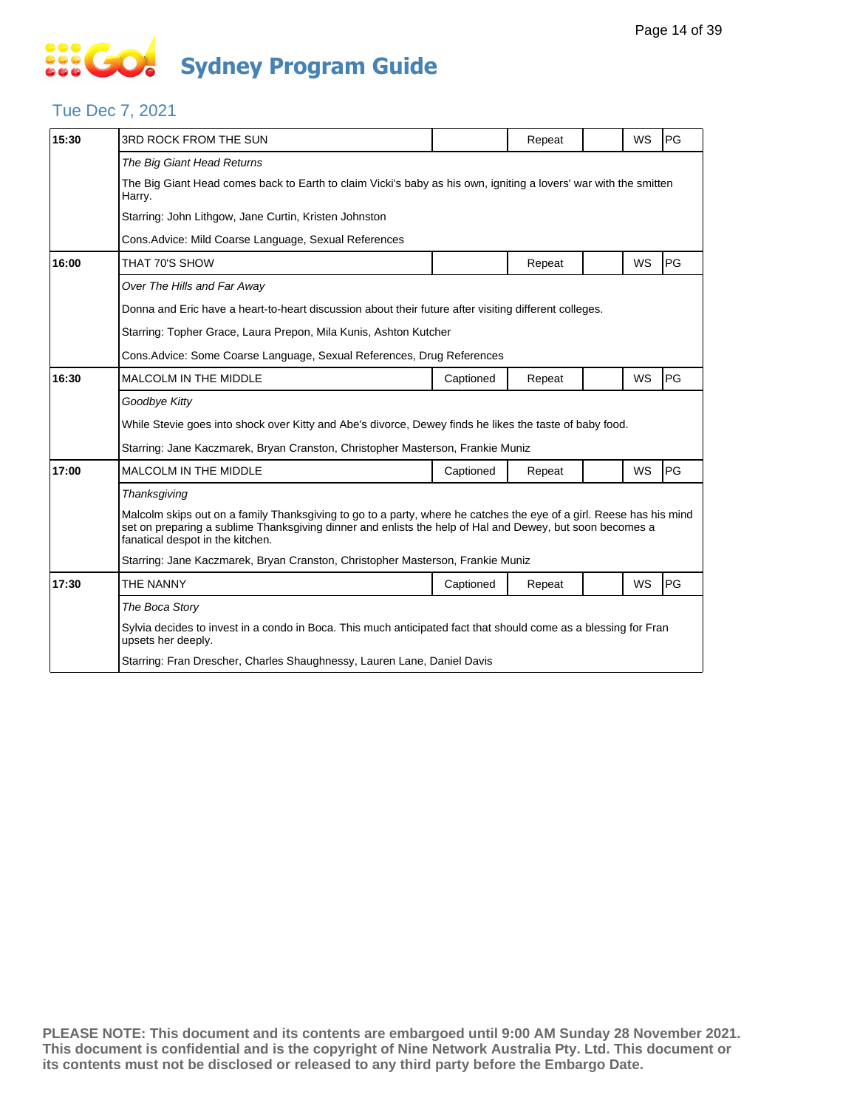#### Tue Dec 7, 2021

| 15:30 | 3RD ROCK FROM THE SUN                                                                                                                                                                                                                                               |           | Repeat |  | WS        | PG |  |  |  |  |
|-------|---------------------------------------------------------------------------------------------------------------------------------------------------------------------------------------------------------------------------------------------------------------------|-----------|--------|--|-----------|----|--|--|--|--|
|       | The Big Giant Head Returns                                                                                                                                                                                                                                          |           |        |  |           |    |  |  |  |  |
|       | The Big Giant Head comes back to Earth to claim Vicki's baby as his own, igniting a lovers' war with the smitten<br>Harry.                                                                                                                                          |           |        |  |           |    |  |  |  |  |
|       | Starring: John Lithgow, Jane Curtin, Kristen Johnston                                                                                                                                                                                                               |           |        |  |           |    |  |  |  |  |
|       | Cons. Advice: Mild Coarse Language, Sexual References                                                                                                                                                                                                               |           |        |  |           |    |  |  |  |  |
| 16:00 | THAT 70'S SHOW                                                                                                                                                                                                                                                      |           | Repeat |  | <b>WS</b> | PG |  |  |  |  |
|       | Over The Hills and Far Away                                                                                                                                                                                                                                         |           |        |  |           |    |  |  |  |  |
|       | Donna and Eric have a heart-to-heart discussion about their future after visiting different colleges.                                                                                                                                                               |           |        |  |           |    |  |  |  |  |
|       | Starring: Topher Grace, Laura Prepon, Mila Kunis, Ashton Kutcher                                                                                                                                                                                                    |           |        |  |           |    |  |  |  |  |
|       | Cons. Advice: Some Coarse Language, Sexual References, Drug References                                                                                                                                                                                              |           |        |  |           |    |  |  |  |  |
| 16:30 | <b>MALCOLM IN THE MIDDLE</b>                                                                                                                                                                                                                                        | Captioned | Repeat |  | WS        | PG |  |  |  |  |
|       | Goodbye Kitty                                                                                                                                                                                                                                                       |           |        |  |           |    |  |  |  |  |
|       | While Stevie goes into shock over Kitty and Abe's divorce, Dewey finds he likes the taste of baby food.                                                                                                                                                             |           |        |  |           |    |  |  |  |  |
|       | Starring: Jane Kaczmarek, Bryan Cranston, Christopher Masterson, Frankie Muniz                                                                                                                                                                                      |           |        |  |           |    |  |  |  |  |
| 17:00 | <b>MALCOLM IN THE MIDDLE</b>                                                                                                                                                                                                                                        | Captioned | Repeat |  | <b>WS</b> | PG |  |  |  |  |
|       | Thanksgiving                                                                                                                                                                                                                                                        |           |        |  |           |    |  |  |  |  |
|       | Malcolm skips out on a family Thanksgiving to go to a party, where he catches the eye of a girl. Reese has his mind<br>set on preparing a sublime Thanksgiving dinner and enlists the help of Hal and Dewey, but soon becomes a<br>fanatical despot in the kitchen. |           |        |  |           |    |  |  |  |  |
|       | Starring: Jane Kaczmarek, Bryan Cranston, Christopher Masterson, Frankie Muniz                                                                                                                                                                                      |           |        |  |           |    |  |  |  |  |
| 17:30 | THE NANNY                                                                                                                                                                                                                                                           | Captioned | Repeat |  | WS        | PG |  |  |  |  |
|       | The Boca Story                                                                                                                                                                                                                                                      |           |        |  |           |    |  |  |  |  |
|       | Sylvia decides to invest in a condo in Boca. This much anticipated fact that should come as a blessing for Fran<br>upsets her deeply.                                                                                                                               |           |        |  |           |    |  |  |  |  |
|       | Starring: Fran Drescher, Charles Shaughnessy, Lauren Lane, Daniel Davis                                                                                                                                                                                             |           |        |  |           |    |  |  |  |  |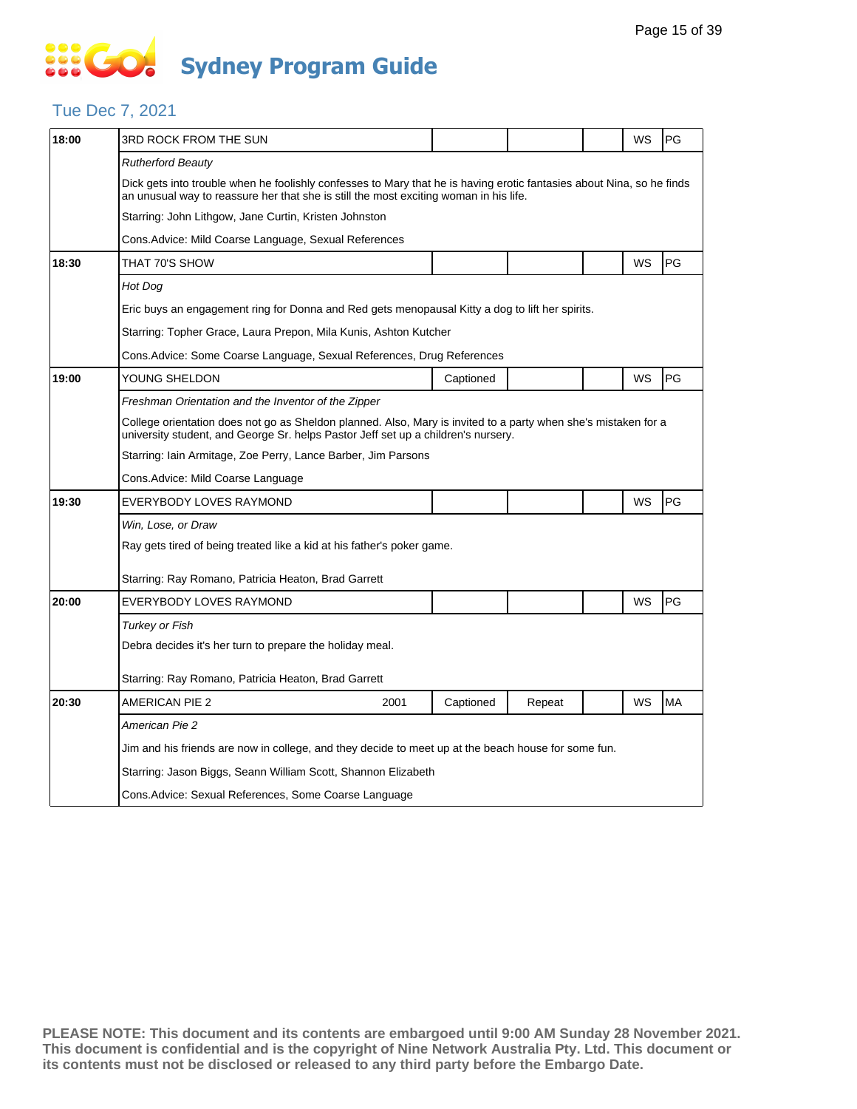#### Tue Dec 7, 2021

| 18:00 | 3RD ROCK FROM THE SUN                                                                                                                                                                                          |                                                                        |           |        |  | WS | PG        |  |  |
|-------|----------------------------------------------------------------------------------------------------------------------------------------------------------------------------------------------------------------|------------------------------------------------------------------------|-----------|--------|--|----|-----------|--|--|
|       | <b>Rutherford Beauty</b>                                                                                                                                                                                       |                                                                        |           |        |  |    |           |  |  |
|       | Dick gets into trouble when he foolishly confesses to Mary that he is having erotic fantasies about Nina, so he finds<br>an unusual way to reassure her that she is still the most exciting woman in his life. |                                                                        |           |        |  |    |           |  |  |
|       | Starring: John Lithgow, Jane Curtin, Kristen Johnston                                                                                                                                                          |                                                                        |           |        |  |    |           |  |  |
|       | Cons.Advice: Mild Coarse Language, Sexual References                                                                                                                                                           |                                                                        |           |        |  |    |           |  |  |
| 18:30 | THAT 70'S SHOW                                                                                                                                                                                                 |                                                                        |           |        |  | WS | PG        |  |  |
|       | Hot Dog                                                                                                                                                                                                        |                                                                        |           |        |  |    |           |  |  |
|       | Eric buys an engagement ring for Donna and Red gets menopausal Kitty a dog to lift her spirits.                                                                                                                |                                                                        |           |        |  |    |           |  |  |
|       | Starring: Topher Grace, Laura Prepon, Mila Kunis, Ashton Kutcher                                                                                                                                               |                                                                        |           |        |  |    |           |  |  |
|       |                                                                                                                                                                                                                | Cons. Advice: Some Coarse Language, Sexual References, Drug References |           |        |  |    |           |  |  |
| 19:00 | YOUNG SHELDON                                                                                                                                                                                                  |                                                                        | Captioned |        |  | WS | PG        |  |  |
|       | Freshman Orientation and the Inventor of the Zipper                                                                                                                                                            |                                                                        |           |        |  |    |           |  |  |
|       | College orientation does not go as Sheldon planned. Also, Mary is invited to a party when she's mistaken for a<br>university student, and George Sr. helps Pastor Jeff set up a children's nursery.            |                                                                        |           |        |  |    |           |  |  |
|       | Starring: Iain Armitage, Zoe Perry, Lance Barber, Jim Parsons                                                                                                                                                  |                                                                        |           |        |  |    |           |  |  |
|       | Cons.Advice: Mild Coarse Language                                                                                                                                                                              |                                                                        |           |        |  |    |           |  |  |
| 19:30 | EVERYBODY LOVES RAYMOND                                                                                                                                                                                        |                                                                        |           |        |  | WS | PG        |  |  |
|       | Win, Lose, or Draw                                                                                                                                                                                             |                                                                        |           |        |  |    |           |  |  |
|       | Ray gets tired of being treated like a kid at his father's poker game.                                                                                                                                         |                                                                        |           |        |  |    |           |  |  |
|       | Starring: Ray Romano, Patricia Heaton, Brad Garrett                                                                                                                                                            |                                                                        |           |        |  |    |           |  |  |
| 20:00 | EVERYBODY LOVES RAYMOND                                                                                                                                                                                        |                                                                        |           |        |  | WS | PG        |  |  |
|       | Turkey or Fish                                                                                                                                                                                                 |                                                                        |           |        |  |    |           |  |  |
|       | Debra decides it's her turn to prepare the holiday meal.                                                                                                                                                       |                                                                        |           |        |  |    |           |  |  |
|       | Starring: Ray Romano, Patricia Heaton, Brad Garrett                                                                                                                                                            |                                                                        |           |        |  |    |           |  |  |
| 20:30 | <b>AMERICAN PIE 2</b>                                                                                                                                                                                          | 2001                                                                   | Captioned | Repeat |  | WS | <b>MA</b> |  |  |
|       | American Pie 2                                                                                                                                                                                                 |                                                                        |           |        |  |    |           |  |  |
|       | Jim and his friends are now in college, and they decide to meet up at the beach house for some fun.                                                                                                            |                                                                        |           |        |  |    |           |  |  |
|       | Starring: Jason Biggs, Seann William Scott, Shannon Elizabeth                                                                                                                                                  |                                                                        |           |        |  |    |           |  |  |
|       | Cons.Advice: Sexual References, Some Coarse Language                                                                                                                                                           |                                                                        |           |        |  |    |           |  |  |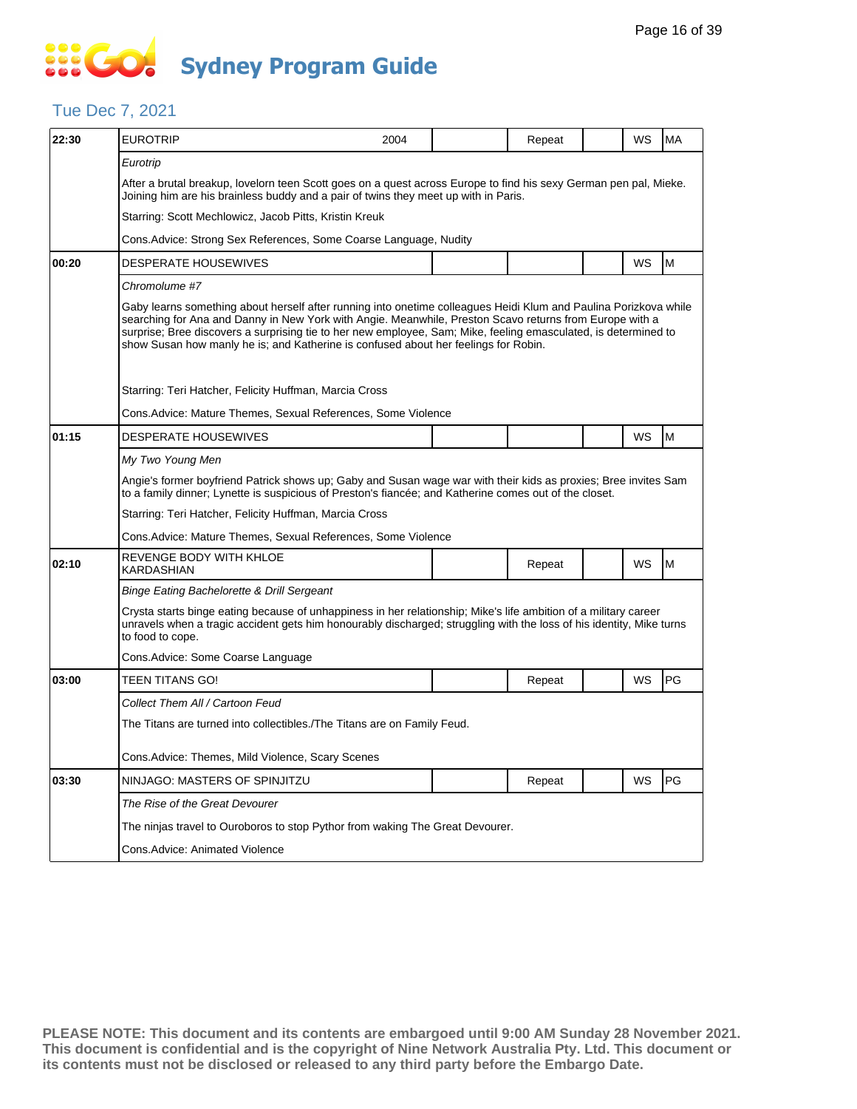### **SECT Sydney Program Guide**

#### Tue Dec 7, 2021

| 22:30 | <b>EUROTRIP</b>                                                                                                                                                                                                                                                                                                                                                                                                                       | 2004                                                                    |  | Repeat |  | WS        | <b>MA</b> |  |  |
|-------|---------------------------------------------------------------------------------------------------------------------------------------------------------------------------------------------------------------------------------------------------------------------------------------------------------------------------------------------------------------------------------------------------------------------------------------|-------------------------------------------------------------------------|--|--------|--|-----------|-----------|--|--|
|       | Eurotrip                                                                                                                                                                                                                                                                                                                                                                                                                              |                                                                         |  |        |  |           |           |  |  |
|       | After a brutal breakup, lovelorn teen Scott goes on a quest across Europe to find his sexy German pen pal, Mieke.<br>Joining him are his brainless buddy and a pair of twins they meet up with in Paris.                                                                                                                                                                                                                              |                                                                         |  |        |  |           |           |  |  |
|       | Starring: Scott Mechlowicz, Jacob Pitts, Kristin Kreuk                                                                                                                                                                                                                                                                                                                                                                                |                                                                         |  |        |  |           |           |  |  |
|       | Cons. Advice: Strong Sex References, Some Coarse Language, Nudity                                                                                                                                                                                                                                                                                                                                                                     |                                                                         |  |        |  |           |           |  |  |
| 00:20 | DESPERATE HOUSEWIVES                                                                                                                                                                                                                                                                                                                                                                                                                  |                                                                         |  |        |  | WS        | M         |  |  |
|       | Chromolume #7                                                                                                                                                                                                                                                                                                                                                                                                                         |                                                                         |  |        |  |           |           |  |  |
|       | Gaby learns something about herself after running into onetime colleagues Heidi Klum and Paulina Porizkova while<br>searching for Ana and Danny in New York with Angie. Meanwhile, Preston Scavo returns from Europe with a<br>surprise; Bree discovers a surprising tie to her new employee, Sam; Mike, feeling emasculated, is determined to<br>show Susan how manly he is; and Katherine is confused about her feelings for Robin. |                                                                         |  |        |  |           |           |  |  |
|       | Starring: Teri Hatcher, Felicity Huffman, Marcia Cross                                                                                                                                                                                                                                                                                                                                                                                |                                                                         |  |        |  |           |           |  |  |
|       | Cons. Advice: Mature Themes, Sexual References, Some Violence                                                                                                                                                                                                                                                                                                                                                                         |                                                                         |  |        |  |           |           |  |  |
| 01:15 | <b>DESPERATE HOUSEWIVES</b>                                                                                                                                                                                                                                                                                                                                                                                                           |                                                                         |  |        |  | WS        | M         |  |  |
|       | My Two Young Men                                                                                                                                                                                                                                                                                                                                                                                                                      |                                                                         |  |        |  |           |           |  |  |
|       | Angie's former boyfriend Patrick shows up; Gaby and Susan wage war with their kids as proxies; Bree invites Sam<br>to a family dinner; Lynette is suspicious of Preston's fiancée; and Katherine comes out of the closet.                                                                                                                                                                                                             |                                                                         |  |        |  |           |           |  |  |
|       | Starring: Teri Hatcher, Felicity Huffman, Marcia Cross                                                                                                                                                                                                                                                                                                                                                                                |                                                                         |  |        |  |           |           |  |  |
|       | Cons. Advice: Mature Themes, Sexual References, Some Violence                                                                                                                                                                                                                                                                                                                                                                         |                                                                         |  |        |  |           |           |  |  |
| 02:10 | REVENGE BODY WITH KHLOE<br>KARDASHIAN                                                                                                                                                                                                                                                                                                                                                                                                 |                                                                         |  | Repeat |  | WS        | M         |  |  |
|       | <b>Binge Eating Bachelorette &amp; Drill Sergeant</b>                                                                                                                                                                                                                                                                                                                                                                                 |                                                                         |  |        |  |           |           |  |  |
|       | Crysta starts binge eating because of unhappiness in her relationship; Mike's life ambition of a military career<br>unravels when a tragic accident gets him honourably discharged; struggling with the loss of his identity, Mike turns<br>to food to cope.                                                                                                                                                                          |                                                                         |  |        |  |           |           |  |  |
|       | Cons.Advice: Some Coarse Language                                                                                                                                                                                                                                                                                                                                                                                                     |                                                                         |  |        |  |           |           |  |  |
| 03:00 | TEEN TITANS GO!                                                                                                                                                                                                                                                                                                                                                                                                                       |                                                                         |  | Repeat |  | WS        | <b>PG</b> |  |  |
|       | Collect Them All / Cartoon Feud                                                                                                                                                                                                                                                                                                                                                                                                       |                                                                         |  |        |  |           |           |  |  |
|       |                                                                                                                                                                                                                                                                                                                                                                                                                                       | The Titans are turned into collectibles./The Titans are on Family Feud. |  |        |  |           |           |  |  |
|       | Cons.Advice: Themes, Mild Violence, Scary Scenes                                                                                                                                                                                                                                                                                                                                                                                      |                                                                         |  |        |  |           |           |  |  |
| 03:30 | NINJAGO: MASTERS OF SPINJITZU                                                                                                                                                                                                                                                                                                                                                                                                         |                                                                         |  | Repeat |  | <b>WS</b> | PG        |  |  |
|       | The Rise of the Great Devourer                                                                                                                                                                                                                                                                                                                                                                                                        |                                                                         |  |        |  |           |           |  |  |
|       | The ninjas travel to Ouroboros to stop Pythor from waking The Great Devourer.                                                                                                                                                                                                                                                                                                                                                         |                                                                         |  |        |  |           |           |  |  |
|       | Cons.Advice: Animated Violence                                                                                                                                                                                                                                                                                                                                                                                                        |                                                                         |  |        |  |           |           |  |  |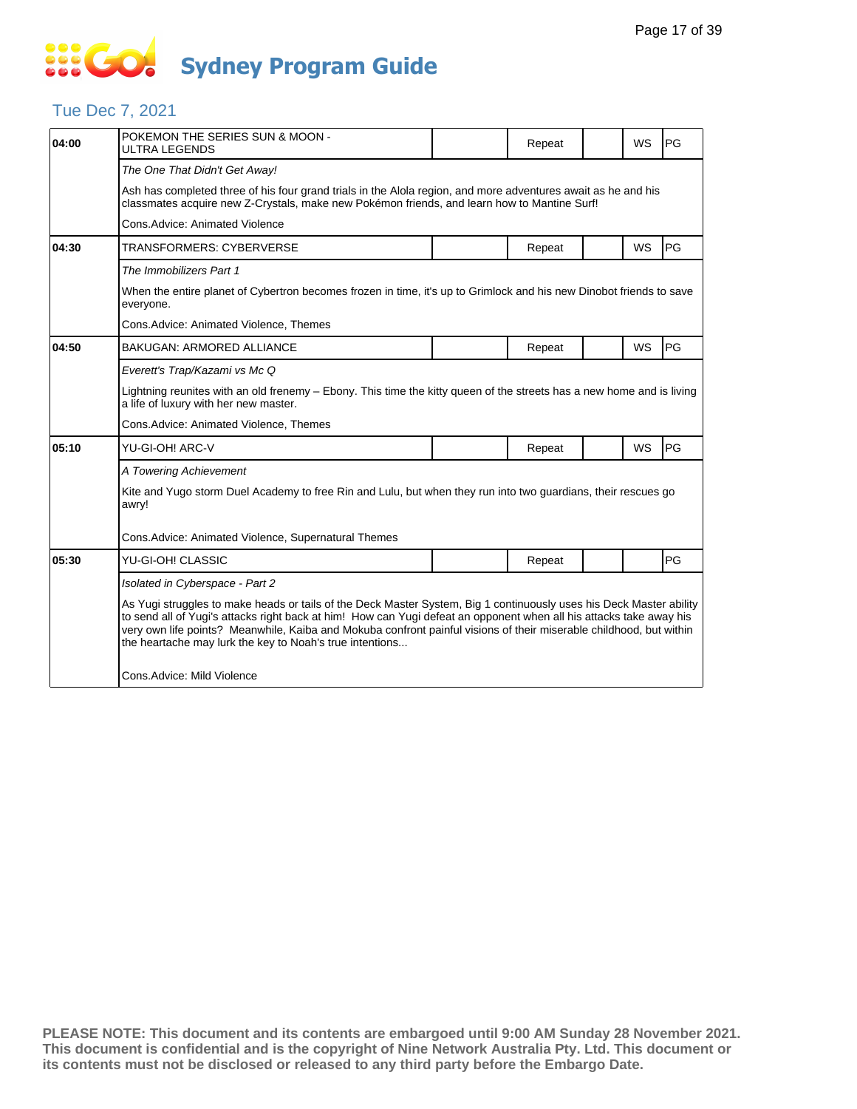### Tue Dec 7, 2021

| 04:00 | POKEMON THE SERIES SUN & MOON -<br>ULTRA LEGENDS                                                                                                                                                                                                                                                                                                                                                                              |  | Repeat |  | WS | PG |  |  |  |
|-------|-------------------------------------------------------------------------------------------------------------------------------------------------------------------------------------------------------------------------------------------------------------------------------------------------------------------------------------------------------------------------------------------------------------------------------|--|--------|--|----|----|--|--|--|
|       | The One That Didn't Get Away!                                                                                                                                                                                                                                                                                                                                                                                                 |  |        |  |    |    |  |  |  |
|       | Ash has completed three of his four grand trials in the Alola region, and more adventures await as he and his<br>classmates acquire new Z-Crystals, make new Pokémon friends, and learn how to Mantine Surf!                                                                                                                                                                                                                  |  |        |  |    |    |  |  |  |
|       | Cons.Advice: Animated Violence                                                                                                                                                                                                                                                                                                                                                                                                |  |        |  |    |    |  |  |  |
| 04:30 | TRANSFORMERS: CYBERVERSE                                                                                                                                                                                                                                                                                                                                                                                                      |  | Repeat |  | WS | PG |  |  |  |
|       | The Immobilizers Part 1                                                                                                                                                                                                                                                                                                                                                                                                       |  |        |  |    |    |  |  |  |
|       | When the entire planet of Cybertron becomes frozen in time, it's up to Grimlock and his new Dinobot friends to save<br>everyone.                                                                                                                                                                                                                                                                                              |  |        |  |    |    |  |  |  |
|       | Cons.Advice: Animated Violence, Themes                                                                                                                                                                                                                                                                                                                                                                                        |  |        |  |    |    |  |  |  |
| 04:50 | <b>BAKUGAN: ARMORED ALLIANCE</b>                                                                                                                                                                                                                                                                                                                                                                                              |  | Repeat |  | WS | PG |  |  |  |
|       | Everett's Trap/Kazami vs Mc Q                                                                                                                                                                                                                                                                                                                                                                                                 |  |        |  |    |    |  |  |  |
|       | Lightning reunites with an old frenemy – Ebony. This time the kitty queen of the streets has a new home and is living<br>a life of luxury with her new master.                                                                                                                                                                                                                                                                |  |        |  |    |    |  |  |  |
|       | Cons.Advice: Animated Violence, Themes                                                                                                                                                                                                                                                                                                                                                                                        |  |        |  |    |    |  |  |  |
| 05:10 | YU-GI-OH! ARC-V                                                                                                                                                                                                                                                                                                                                                                                                               |  | Repeat |  | WS | PG |  |  |  |
|       | A Towering Achievement                                                                                                                                                                                                                                                                                                                                                                                                        |  |        |  |    |    |  |  |  |
|       | Kite and Yugo storm Duel Academy to free Rin and Lulu, but when they run into two guardians, their rescues go<br>awry!                                                                                                                                                                                                                                                                                                        |  |        |  |    |    |  |  |  |
|       | Cons.Advice: Animated Violence, Supernatural Themes                                                                                                                                                                                                                                                                                                                                                                           |  |        |  |    |    |  |  |  |
| 05:30 | YU-GI-OH! CLASSIC                                                                                                                                                                                                                                                                                                                                                                                                             |  | Repeat |  |    | PG |  |  |  |
|       | Isolated in Cyberspace - Part 2                                                                                                                                                                                                                                                                                                                                                                                               |  |        |  |    |    |  |  |  |
|       | As Yugi struggles to make heads or tails of the Deck Master System, Big 1 continuously uses his Deck Master ability<br>to send all of Yugi's attacks right back at him! How can Yugi defeat an opponent when all his attacks take away his<br>very own life points? Meanwhile, Kaiba and Mokuba confront painful visions of their miserable childhood, but within<br>the heartache may lurk the key to Noah's true intentions |  |        |  |    |    |  |  |  |
|       | Cons.Advice: Mild Violence                                                                                                                                                                                                                                                                                                                                                                                                    |  |        |  |    |    |  |  |  |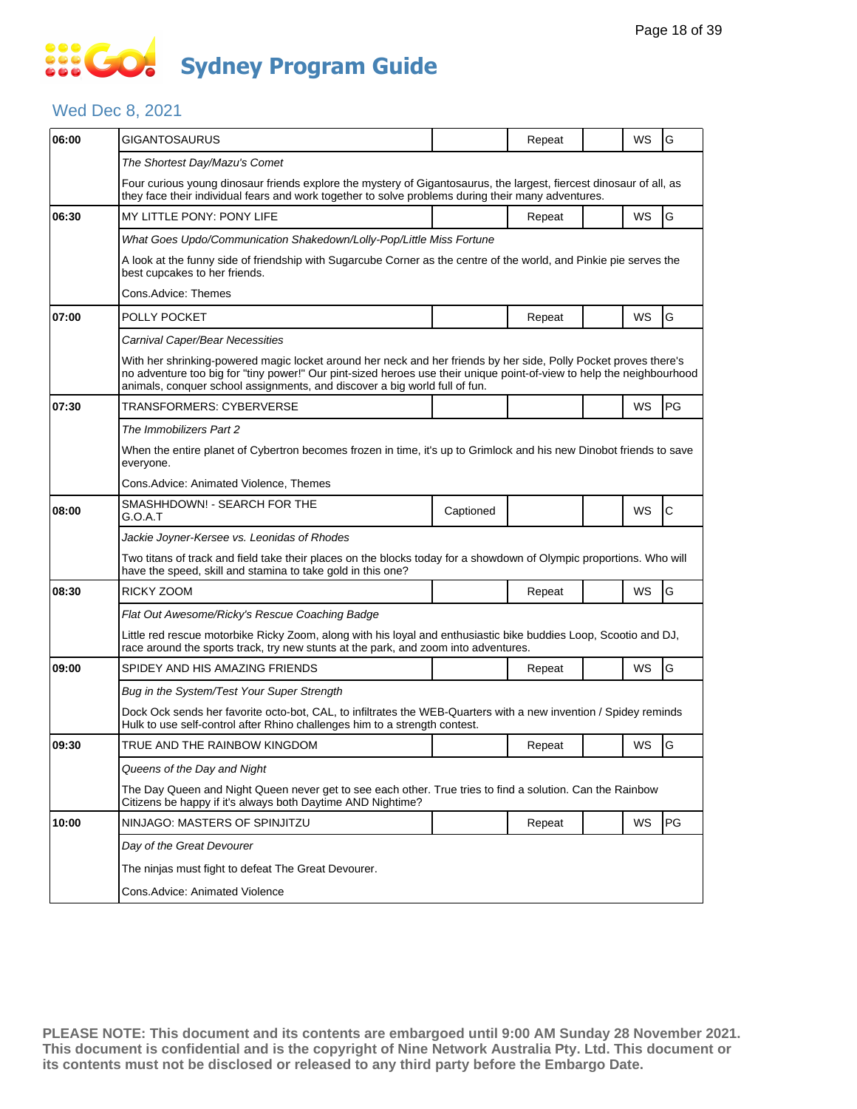#### Wed Dec 8, 2021

| 06:00 | GIGANTOSAURUS                                                                                                                                                                                                                                                                                                           |           | Repeat |  | WS        | G            |  |  |  |
|-------|-------------------------------------------------------------------------------------------------------------------------------------------------------------------------------------------------------------------------------------------------------------------------------------------------------------------------|-----------|--------|--|-----------|--------------|--|--|--|
|       | The Shortest Day/Mazu's Comet                                                                                                                                                                                                                                                                                           |           |        |  |           |              |  |  |  |
|       | Four curious young dinosaur friends explore the mystery of Gigantosaurus, the largest, fiercest dinosaur of all, as                                                                                                                                                                                                     |           |        |  |           |              |  |  |  |
|       | they face their individual fears and work together to solve problems during their many adventures.                                                                                                                                                                                                                      |           |        |  |           |              |  |  |  |
| 06:30 | MY LITTLE PONY: PONY LIFE                                                                                                                                                                                                                                                                                               |           | Repeat |  | WS        | G            |  |  |  |
|       | What Goes Updo/Communication Shakedown/Lolly-Pop/Little Miss Fortune                                                                                                                                                                                                                                                    |           |        |  |           |              |  |  |  |
|       | A look at the funny side of friendship with Sugarcube Corner as the centre of the world, and Pinkie pie serves the<br>best cupcakes to her friends.                                                                                                                                                                     |           |        |  |           |              |  |  |  |
|       | Cons.Advice: Themes                                                                                                                                                                                                                                                                                                     |           |        |  |           |              |  |  |  |
| 07:00 | POLLY POCKET                                                                                                                                                                                                                                                                                                            |           | Repeat |  | <b>WS</b> | G            |  |  |  |
|       | Carnival Caper/Bear Necessities                                                                                                                                                                                                                                                                                         |           |        |  |           |              |  |  |  |
|       | With her shrinking-powered magic locket around her neck and her friends by her side, Polly Pocket proves there's<br>no adventure too big for "tiny power!" Our pint-sized heroes use their unique point-of-view to help the neighbourhood<br>animals, conquer school assignments, and discover a big world full of fun. |           |        |  |           |              |  |  |  |
| 07:30 | TRANSFORMERS: CYBERVERSE                                                                                                                                                                                                                                                                                                |           |        |  | <b>WS</b> | <b>PG</b>    |  |  |  |
|       | The Immobilizers Part 2                                                                                                                                                                                                                                                                                                 |           |        |  |           |              |  |  |  |
|       | When the entire planet of Cybertron becomes frozen in time, it's up to Grimlock and his new Dinobot friends to save<br>everyone.                                                                                                                                                                                        |           |        |  |           |              |  |  |  |
|       | Cons.Advice: Animated Violence, Themes                                                                                                                                                                                                                                                                                  |           |        |  |           |              |  |  |  |
| 08:00 | SMASHHDOWN! - SEARCH FOR THE<br>G.O.A.T                                                                                                                                                                                                                                                                                 | Captioned |        |  | WS        | $\mathsf{C}$ |  |  |  |
|       | Jackie Joyner-Kersee vs. Leonidas of Rhodes                                                                                                                                                                                                                                                                             |           |        |  |           |              |  |  |  |
|       | Two titans of track and field take their places on the blocks today for a showdown of Olympic proportions. Who will<br>have the speed, skill and stamina to take gold in this one?                                                                                                                                      |           |        |  |           |              |  |  |  |
| 08:30 | RICKY ZOOM                                                                                                                                                                                                                                                                                                              |           | Repeat |  | <b>WS</b> | G            |  |  |  |
|       | Flat Out Awesome/Ricky's Rescue Coaching Badge                                                                                                                                                                                                                                                                          |           |        |  |           |              |  |  |  |
|       | Little red rescue motorbike Ricky Zoom, along with his loyal and enthusiastic bike buddies Loop, Scootio and DJ,<br>race around the sports track, try new stunts at the park, and zoom into adventures.                                                                                                                 |           |        |  |           |              |  |  |  |
| 09:00 | SPIDEY AND HIS AMAZING FRIENDS                                                                                                                                                                                                                                                                                          |           | Repeat |  | WS        | G            |  |  |  |
|       | Bug in the System/Test Your Super Strength                                                                                                                                                                                                                                                                              |           |        |  |           |              |  |  |  |
|       | Dock Ock sends her favorite octo-bot, CAL, to infiltrates the WEB-Quarters with a new invention / Spidey reminds<br>Hulk to use self-control after Rhino challenges him to a strength contest.                                                                                                                          |           |        |  |           |              |  |  |  |
| 09:30 | TRUE AND THE RAINBOW KINGDOM                                                                                                                                                                                                                                                                                            |           | Repeat |  | WS        | G            |  |  |  |
|       | Queens of the Day and Night                                                                                                                                                                                                                                                                                             |           |        |  |           |              |  |  |  |
|       | The Day Queen and Night Queen never get to see each other. True tries to find a solution. Can the Rainbow<br>Citizens be happy if it's always both Daytime AND Nightime?                                                                                                                                                |           |        |  |           |              |  |  |  |
| 10:00 | NINJAGO: MASTERS OF SPINJITZU                                                                                                                                                                                                                                                                                           |           | Repeat |  | WS        | <b>PG</b>    |  |  |  |
|       | Day of the Great Devourer                                                                                                                                                                                                                                                                                               |           |        |  |           |              |  |  |  |
|       | The ninjas must fight to defeat The Great Devourer.                                                                                                                                                                                                                                                                     |           |        |  |           |              |  |  |  |
|       | Cons. Advice: Animated Violence                                                                                                                                                                                                                                                                                         |           |        |  |           |              |  |  |  |
|       |                                                                                                                                                                                                                                                                                                                         |           |        |  |           |              |  |  |  |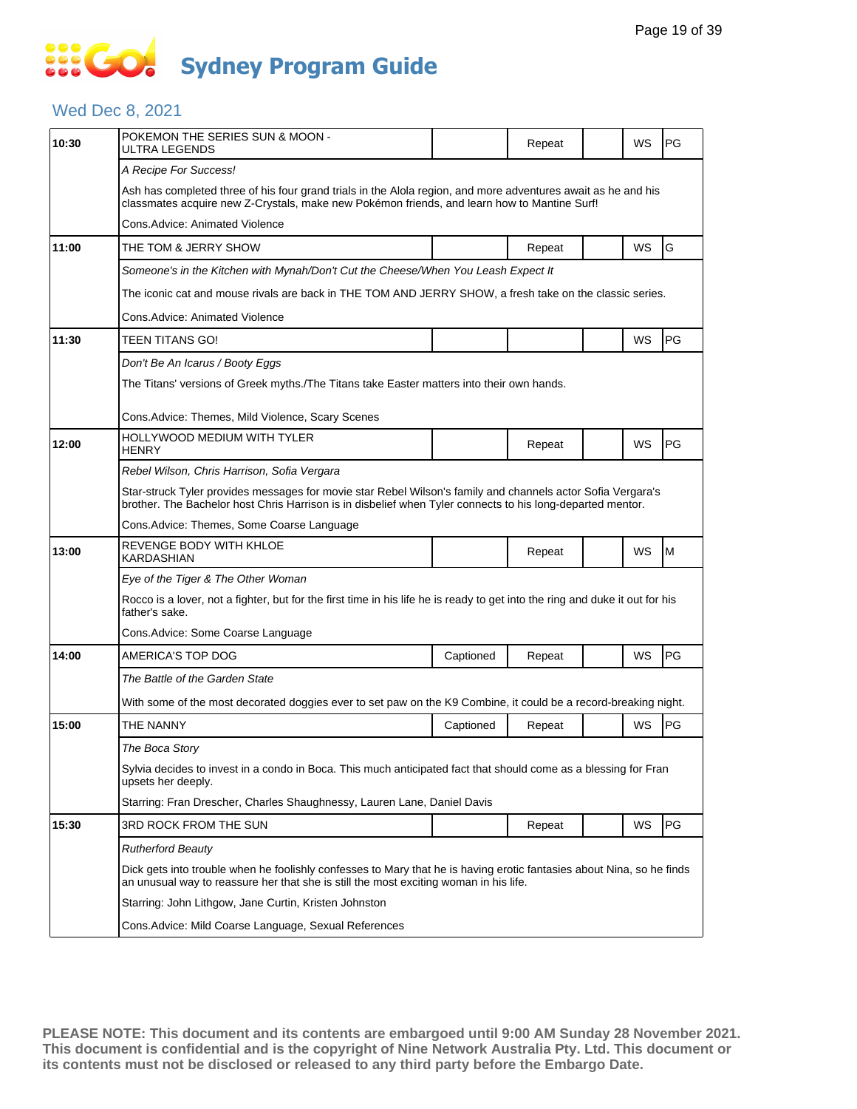### **SIS GO Sydney Program Guide**

### Wed Dec 8, 2021

| 10:30 | POKEMON THE SERIES SUN & MOON -<br>ULTRA LEGENDS                                                                                                                                                                          |           | Repeat |  | WS | PG |  |  |  |  |
|-------|---------------------------------------------------------------------------------------------------------------------------------------------------------------------------------------------------------------------------|-----------|--------|--|----|----|--|--|--|--|
|       | A Recipe For Success!                                                                                                                                                                                                     |           |        |  |    |    |  |  |  |  |
|       | Ash has completed three of his four grand trials in the Alola region, and more adventures await as he and his<br>classmates acquire new Z-Crystals, make new Pokémon friends, and learn how to Mantine Surf!              |           |        |  |    |    |  |  |  |  |
|       | Cons.Advice: Animated Violence                                                                                                                                                                                            |           |        |  |    |    |  |  |  |  |
| 11:00 | THE TOM & JERRY SHOW                                                                                                                                                                                                      |           | Repeat |  | WS | G  |  |  |  |  |
|       | Someone's in the Kitchen with Mynah/Don't Cut the Cheese/When You Leash Expect It                                                                                                                                         |           |        |  |    |    |  |  |  |  |
|       | The iconic cat and mouse rivals are back in THE TOM AND JERRY SHOW, a fresh take on the classic series.                                                                                                                   |           |        |  |    |    |  |  |  |  |
|       | Cons.Advice: Animated Violence                                                                                                                                                                                            |           |        |  |    |    |  |  |  |  |
| 11:30 | TEEN TITANS GO!                                                                                                                                                                                                           |           |        |  | WS | PG |  |  |  |  |
|       | Don't Be An Icarus / Booty Eggs                                                                                                                                                                                           |           |        |  |    |    |  |  |  |  |
|       | The Titans' versions of Greek myths./The Titans take Easter matters into their own hands.                                                                                                                                 |           |        |  |    |    |  |  |  |  |
|       |                                                                                                                                                                                                                           |           |        |  |    |    |  |  |  |  |
|       | Cons.Advice: Themes, Mild Violence, Scary Scenes<br>HOLLYWOOD MEDIUM WITH TYLER                                                                                                                                           |           |        |  |    |    |  |  |  |  |
| 12:00 | HENRY                                                                                                                                                                                                                     |           | Repeat |  | WS | PG |  |  |  |  |
|       | Rebel Wilson, Chris Harrison, Sofia Vergara                                                                                                                                                                               |           |        |  |    |    |  |  |  |  |
|       | Star-struck Tyler provides messages for movie star Rebel Wilson's family and channels actor Sofia Vergara's<br>brother. The Bachelor host Chris Harrison is in disbelief when Tyler connects to his long-departed mentor. |           |        |  |    |    |  |  |  |  |
|       | Cons.Advice: Themes, Some Coarse Language                                                                                                                                                                                 |           |        |  |    |    |  |  |  |  |
| 13:00 | REVENGE BODY WITH KHLOE<br>KARDASHIAN                                                                                                                                                                                     |           | Repeat |  | WS | M  |  |  |  |  |
|       | Eye of the Tiger & The Other Woman                                                                                                                                                                                        |           |        |  |    |    |  |  |  |  |
|       | Rocco is a lover, not a fighter, but for the first time in his life he is ready to get into the ring and duke it out for his<br>father's sake.                                                                            |           |        |  |    |    |  |  |  |  |
|       | Cons. Advice: Some Coarse Language                                                                                                                                                                                        |           |        |  |    |    |  |  |  |  |
| 14:00 | AMERICA'S TOP DOG                                                                                                                                                                                                         | Captioned | Repeat |  | WS | PG |  |  |  |  |
|       | The Battle of the Garden State                                                                                                                                                                                            |           |        |  |    |    |  |  |  |  |
|       | With some of the most decorated doggies ever to set paw on the K9 Combine, it could be a record-breaking night.                                                                                                           |           |        |  |    |    |  |  |  |  |
| 15:00 | THE NANNY                                                                                                                                                                                                                 | Captioned | Repeat |  | WS | PG |  |  |  |  |
|       | The Boca Story                                                                                                                                                                                                            |           |        |  |    |    |  |  |  |  |
|       | Sylvia decides to invest in a condo in Boca. This much anticipated fact that should come as a blessing for Fran<br>upsets her deeply.                                                                                     |           |        |  |    |    |  |  |  |  |
|       | Starring: Fran Drescher, Charles Shaughnessy, Lauren Lane, Daniel Davis                                                                                                                                                   |           |        |  |    |    |  |  |  |  |
| 15:30 | 3RD ROCK FROM THE SUN                                                                                                                                                                                                     |           | Repeat |  | WS | PG |  |  |  |  |
|       | <b>Rutherford Beauty</b>                                                                                                                                                                                                  |           |        |  |    |    |  |  |  |  |
|       | Dick gets into trouble when he foolishly confesses to Mary that he is having erotic fantasies about Nina, so he finds<br>an unusual way to reassure her that she is still the most exciting woman in his life.            |           |        |  |    |    |  |  |  |  |
|       | Starring: John Lithgow, Jane Curtin, Kristen Johnston                                                                                                                                                                     |           |        |  |    |    |  |  |  |  |
|       | Cons. Advice: Mild Coarse Language, Sexual References                                                                                                                                                                     |           |        |  |    |    |  |  |  |  |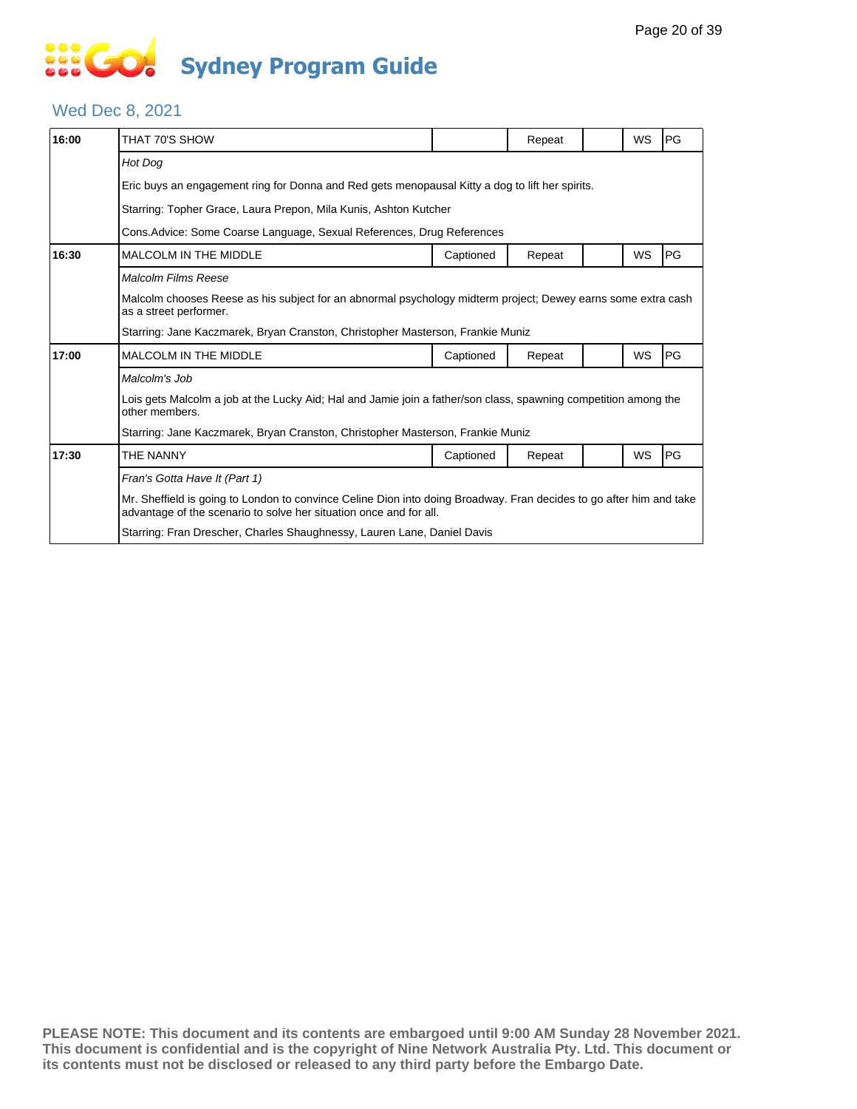### Wed Dec 8, 2021

| 16:00 | THAT 70'S SHOW                                                                                                                                                                            |           | Repeat |  | WS | PG |  |  |  |
|-------|-------------------------------------------------------------------------------------------------------------------------------------------------------------------------------------------|-----------|--------|--|----|----|--|--|--|
|       | Hot Dog                                                                                                                                                                                   |           |        |  |    |    |  |  |  |
|       | Eric buys an engagement ring for Donna and Red gets menopausal Kitty a dog to lift her spirits.                                                                                           |           |        |  |    |    |  |  |  |
|       | Starring: Topher Grace, Laura Prepon, Mila Kunis, Ashton Kutcher                                                                                                                          |           |        |  |    |    |  |  |  |
|       | Cons. Advice: Some Coarse Language, Sexual References, Drug References                                                                                                                    |           |        |  |    |    |  |  |  |
| 16:30 | MALCOLM IN THE MIDDLE                                                                                                                                                                     | Captioned | Repeat |  | WS | PG |  |  |  |
|       | Malcolm Films Reese                                                                                                                                                                       |           |        |  |    |    |  |  |  |
|       | Malcolm chooses Reese as his subject for an abnormal psychology midterm project; Dewey earns some extra cash<br>as a street performer.                                                    |           |        |  |    |    |  |  |  |
|       | Starring: Jane Kaczmarek, Bryan Cranston, Christopher Masterson, Frankie Muniz                                                                                                            |           |        |  |    |    |  |  |  |
| 17:00 | MALCOLM IN THE MIDDLE                                                                                                                                                                     | Captioned | Repeat |  | WS | PG |  |  |  |
|       | Malcolm's Job                                                                                                                                                                             |           |        |  |    |    |  |  |  |
|       | Lois gets Malcolm a job at the Lucky Aid; Hal and Jamie join a father/son class, spawning competition among the<br>other members.                                                         |           |        |  |    |    |  |  |  |
|       | Starring: Jane Kaczmarek, Bryan Cranston, Christopher Masterson, Frankie Muniz                                                                                                            |           |        |  |    |    |  |  |  |
| 17:30 | THE NANNY                                                                                                                                                                                 | Captioned | Repeat |  | WS | PG |  |  |  |
|       | Fran's Gotta Have It (Part 1)                                                                                                                                                             |           |        |  |    |    |  |  |  |
|       | Mr. Sheffield is going to London to convince Celine Dion into doing Broadway. Fran decides to go after him and take<br>advantage of the scenario to solve her situation once and for all. |           |        |  |    |    |  |  |  |
|       | Starring: Fran Drescher, Charles Shaughnessy, Lauren Lane, Daniel Davis                                                                                                                   |           |        |  |    |    |  |  |  |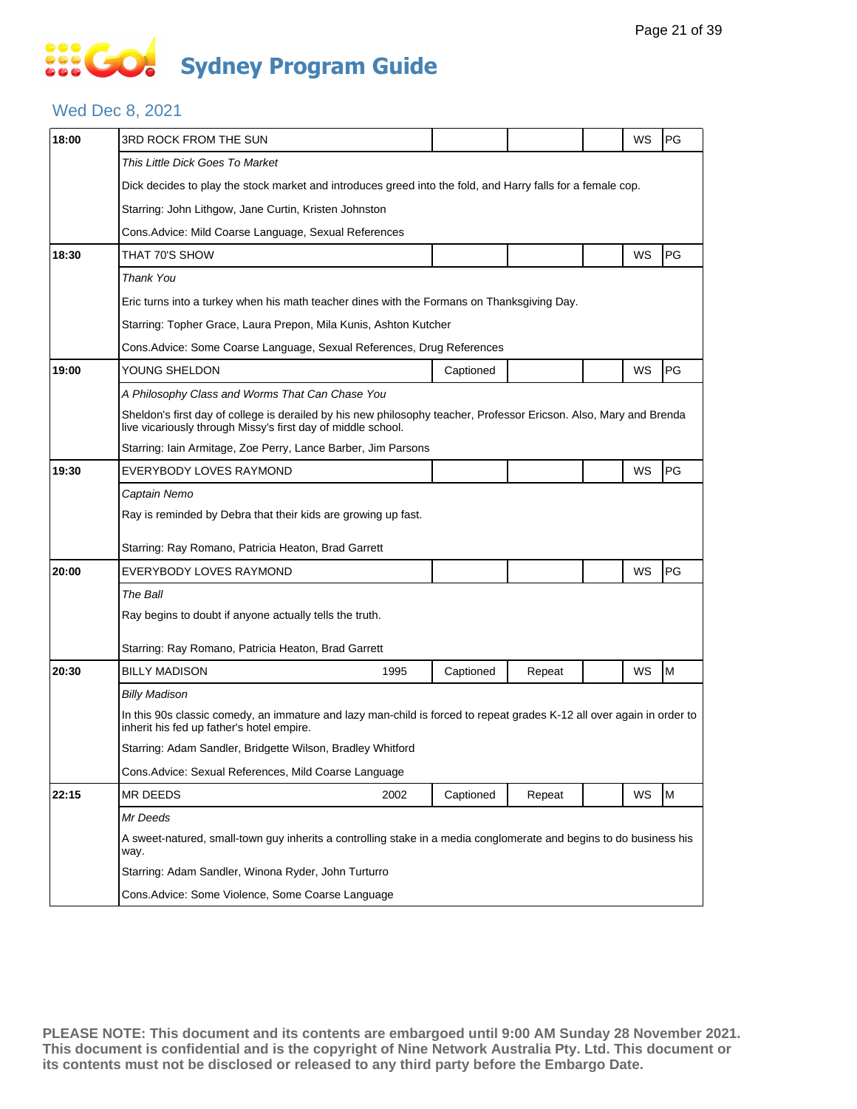### Wed Dec 8, 2021

| 18:00 | 3RD ROCK FROM THE SUN                                                                                                                                                              |           |        |  | WS | PG |  |  |  |
|-------|------------------------------------------------------------------------------------------------------------------------------------------------------------------------------------|-----------|--------|--|----|----|--|--|--|
|       | This Little Dick Goes To Market                                                                                                                                                    |           |        |  |    |    |  |  |  |
|       | Dick decides to play the stock market and introduces greed into the fold, and Harry falls for a female cop.                                                                        |           |        |  |    |    |  |  |  |
|       | Starring: John Lithgow, Jane Curtin, Kristen Johnston                                                                                                                              |           |        |  |    |    |  |  |  |
|       | Cons. Advice: Mild Coarse Language, Sexual References                                                                                                                              |           |        |  |    |    |  |  |  |
| 18:30 | THAT 70'S SHOW                                                                                                                                                                     |           |        |  | WS | PG |  |  |  |
|       | <b>Thank You</b>                                                                                                                                                                   |           |        |  |    |    |  |  |  |
|       | Eric turns into a turkey when his math teacher dines with the Formans on Thanksgiving Day.                                                                                         |           |        |  |    |    |  |  |  |
|       | Starring: Topher Grace, Laura Prepon, Mila Kunis, Ashton Kutcher                                                                                                                   |           |        |  |    |    |  |  |  |
|       | Cons.Advice: Some Coarse Language, Sexual References, Drug References                                                                                                              |           |        |  |    |    |  |  |  |
| 19:00 | YOUNG SHELDON                                                                                                                                                                      | Captioned |        |  | WS | PG |  |  |  |
|       | A Philosophy Class and Worms That Can Chase You                                                                                                                                    |           |        |  |    |    |  |  |  |
|       | Sheldon's first day of college is derailed by his new philosophy teacher, Professor Ericson. Also, Mary and Brenda<br>live vicariously through Missy's first day of middle school. |           |        |  |    |    |  |  |  |
|       | Starring: Iain Armitage, Zoe Perry, Lance Barber, Jim Parsons                                                                                                                      |           |        |  |    |    |  |  |  |
| 19:30 | EVERYBODY LOVES RAYMOND                                                                                                                                                            |           |        |  | WS | PG |  |  |  |
|       | Captain Nemo                                                                                                                                                                       |           |        |  |    |    |  |  |  |
|       | Ray is reminded by Debra that their kids are growing up fast.                                                                                                                      |           |        |  |    |    |  |  |  |
|       | Starring: Ray Romano, Patricia Heaton, Brad Garrett                                                                                                                                |           |        |  |    |    |  |  |  |
| 20:00 | EVERYBODY LOVES RAYMOND                                                                                                                                                            |           |        |  | WS | PG |  |  |  |
|       | The Ball                                                                                                                                                                           |           |        |  |    |    |  |  |  |
|       | Ray begins to doubt if anyone actually tells the truth.                                                                                                                            |           |        |  |    |    |  |  |  |
|       | Starring: Ray Romano, Patricia Heaton, Brad Garrett                                                                                                                                |           |        |  |    |    |  |  |  |
| 20:30 | <b>BILLY MADISON</b><br>1995                                                                                                                                                       | Captioned | Repeat |  | WS | M  |  |  |  |
|       | <b>Billy Madison</b>                                                                                                                                                               |           |        |  |    |    |  |  |  |
|       | In this 90s classic comedy, an immature and lazy man-child is forced to repeat grades K-12 all over again in order to<br>inherit his fed up father's hotel empire.                 |           |        |  |    |    |  |  |  |
|       | Starring: Adam Sandler, Bridgette Wilson, Bradley Whitford                                                                                                                         |           |        |  |    |    |  |  |  |
|       | Cons. Advice: Sexual References, Mild Coarse Language                                                                                                                              |           |        |  |    |    |  |  |  |
| 22:15 | <b>MR DEEDS</b><br>2002                                                                                                                                                            | Captioned | Repeat |  | WS | M  |  |  |  |
|       | Mr Deeds                                                                                                                                                                           |           |        |  |    |    |  |  |  |
|       | A sweet-natured, small-town guy inherits a controlling stake in a media conglomerate and begins to do business his<br>way.                                                         |           |        |  |    |    |  |  |  |
|       | Starring: Adam Sandler, Winona Ryder, John Turturro                                                                                                                                |           |        |  |    |    |  |  |  |
|       | Cons. Advice: Some Violence, Some Coarse Language                                                                                                                                  |           |        |  |    |    |  |  |  |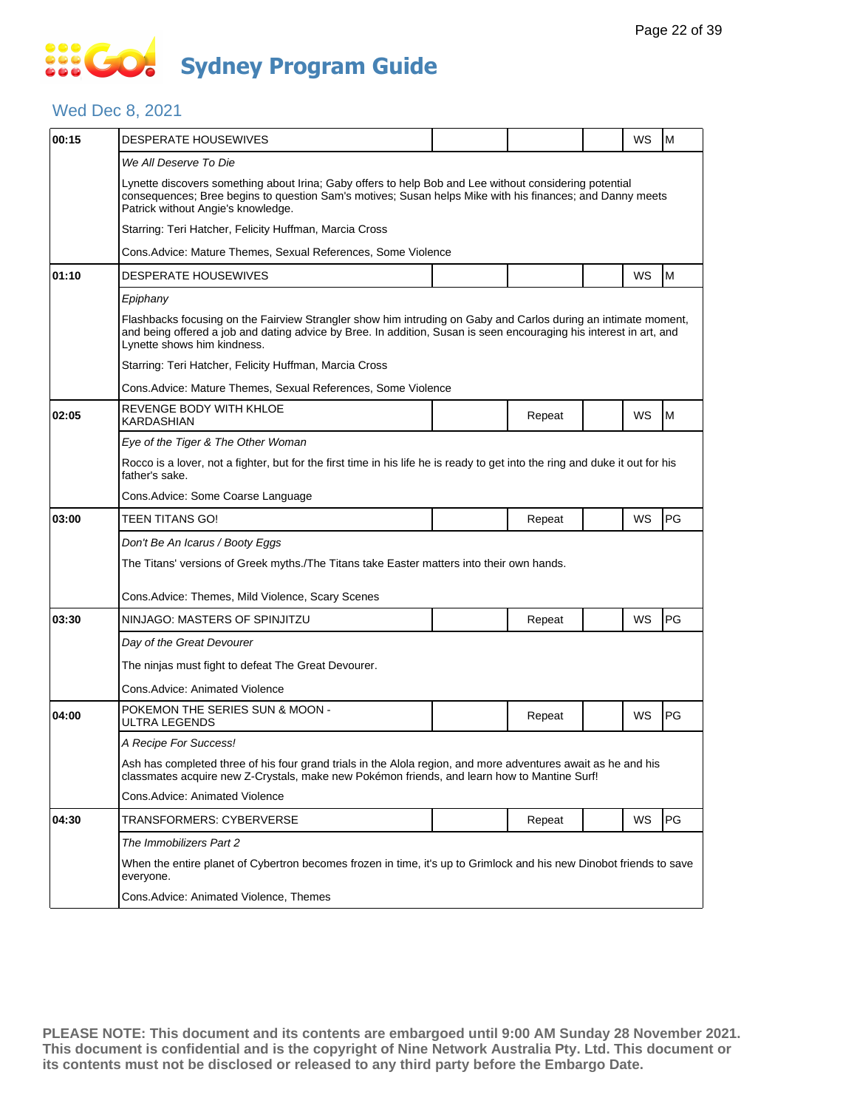#### Wed Dec 8, 2021

| 00:15 | <b>DESPERATE HOUSEWIVES</b>                                                                                                                                                                                                                                         |  |        |  | WS        | M  |  |  |  |
|-------|---------------------------------------------------------------------------------------------------------------------------------------------------------------------------------------------------------------------------------------------------------------------|--|--------|--|-----------|----|--|--|--|
|       | We All Deserve To Die                                                                                                                                                                                                                                               |  |        |  |           |    |  |  |  |
|       | Lynette discovers something about Irina; Gaby offers to help Bob and Lee without considering potential<br>consequences; Bree begins to question Sam's motives; Susan helps Mike with his finances; and Danny meets<br>Patrick without Angie's knowledge.            |  |        |  |           |    |  |  |  |
|       | Starring: Teri Hatcher, Felicity Huffman, Marcia Cross                                                                                                                                                                                                              |  |        |  |           |    |  |  |  |
|       | Cons. Advice: Mature Themes, Sexual References, Some Violence                                                                                                                                                                                                       |  |        |  |           |    |  |  |  |
| 01:10 | <b>DESPERATE HOUSEWIVES</b>                                                                                                                                                                                                                                         |  |        |  | <b>WS</b> | M  |  |  |  |
|       | Epiphany                                                                                                                                                                                                                                                            |  |        |  |           |    |  |  |  |
|       | Flashbacks focusing on the Fairview Strangler show him intruding on Gaby and Carlos during an intimate moment,<br>and being offered a job and dating advice by Bree. In addition, Susan is seen encouraging his interest in art, and<br>Lynette shows him kindness. |  |        |  |           |    |  |  |  |
|       | Starring: Teri Hatcher, Felicity Huffman, Marcia Cross                                                                                                                                                                                                              |  |        |  |           |    |  |  |  |
|       | Cons. Advice: Mature Themes, Sexual References, Some Violence                                                                                                                                                                                                       |  |        |  |           |    |  |  |  |
| 02:05 | REVENGE BODY WITH KHLOE<br><b>KARDASHIAN</b>                                                                                                                                                                                                                        |  | Repeat |  | WS        | M  |  |  |  |
|       | Eye of the Tiger & The Other Woman                                                                                                                                                                                                                                  |  |        |  |           |    |  |  |  |
|       | Rocco is a lover, not a fighter, but for the first time in his life he is ready to get into the ring and duke it out for his<br>father's sake.                                                                                                                      |  |        |  |           |    |  |  |  |
|       | Cons.Advice: Some Coarse Language                                                                                                                                                                                                                                   |  |        |  |           |    |  |  |  |
| 03:00 | <b>TEEN TITANS GO!</b>                                                                                                                                                                                                                                              |  | Repeat |  | WS        | PG |  |  |  |
|       | Don't Be An Icarus / Booty Eggs                                                                                                                                                                                                                                     |  |        |  |           |    |  |  |  |
|       | The Titans' versions of Greek myths./The Titans take Easter matters into their own hands.                                                                                                                                                                           |  |        |  |           |    |  |  |  |
|       | Cons. Advice: Themes, Mild Violence, Scary Scenes                                                                                                                                                                                                                   |  |        |  |           |    |  |  |  |
| 03:30 | NINJAGO: MASTERS OF SPINJITZU                                                                                                                                                                                                                                       |  | Repeat |  | WS        | PG |  |  |  |
|       | Day of the Great Devourer                                                                                                                                                                                                                                           |  |        |  |           |    |  |  |  |
|       | The ninjas must fight to defeat The Great Devourer.                                                                                                                                                                                                                 |  |        |  |           |    |  |  |  |
|       | Cons. Advice: Animated Violence                                                                                                                                                                                                                                     |  |        |  |           |    |  |  |  |
| 04:00 | POKEMON THE SERIES SUN & MOON -<br>ULTRA LEGENDS                                                                                                                                                                                                                    |  | Repeat |  | WS        | PG |  |  |  |
|       | A Recipe For Success!                                                                                                                                                                                                                                               |  |        |  |           |    |  |  |  |
|       | Ash has completed three of his four grand trials in the Alola region, and more adventures await as he and his<br>classmates acquire new Z-Crystals, make new Pokémon friends, and learn how to Mantine Surf!                                                        |  |        |  |           |    |  |  |  |
|       | Cons. Advice: Animated Violence                                                                                                                                                                                                                                     |  |        |  |           |    |  |  |  |
| 04:30 | TRANSFORMERS: CYBERVERSE                                                                                                                                                                                                                                            |  | Repeat |  | WS        | PG |  |  |  |
|       | The Immobilizers Part 2                                                                                                                                                                                                                                             |  |        |  |           |    |  |  |  |
|       | When the entire planet of Cybertron becomes frozen in time, it's up to Grimlock and his new Dinobot friends to save<br>everyone.                                                                                                                                    |  |        |  |           |    |  |  |  |
|       | Cons.Advice: Animated Violence, Themes                                                                                                                                                                                                                              |  |        |  |           |    |  |  |  |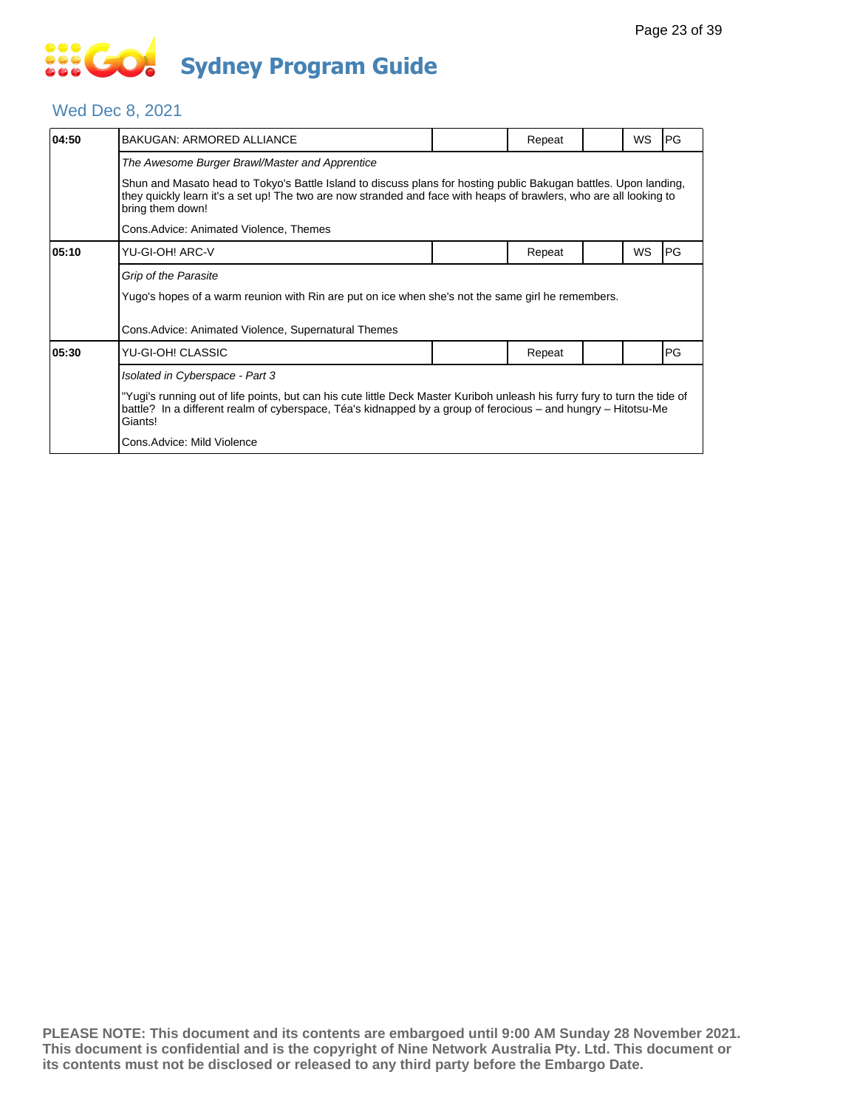# **SOCIETY Sydney Program Guide**

#### Wed Dec 8, 2021

| 04:50 | BAKUGAN: ARMORED ALLIANCE                                                                                                                                                                                                                                  |  | Repeat |  | WS | PG |  |  |  |
|-------|------------------------------------------------------------------------------------------------------------------------------------------------------------------------------------------------------------------------------------------------------------|--|--------|--|----|----|--|--|--|
|       | The Awesome Burger Brawl/Master and Apprentice                                                                                                                                                                                                             |  |        |  |    |    |  |  |  |
|       | Shun and Masato head to Tokyo's Battle Island to discuss plans for hosting public Bakugan battles. Upon landing,<br>they quickly learn it's a set up! The two are now stranded and face with heaps of brawlers, who are all looking to<br>bring them down! |  |        |  |    |    |  |  |  |
|       | Cons.Advice: Animated Violence, Themes                                                                                                                                                                                                                     |  |        |  |    |    |  |  |  |
| 05:10 | YU-GI-OH! ARC-V                                                                                                                                                                                                                                            |  | Repeat |  | WS | PG |  |  |  |
|       | Grip of the Parasite                                                                                                                                                                                                                                       |  |        |  |    |    |  |  |  |
|       | Yugo's hopes of a warm reunion with Rin are put on ice when she's not the same girl he remembers.                                                                                                                                                          |  |        |  |    |    |  |  |  |
|       | Cons.Advice: Animated Violence, Supernatural Themes                                                                                                                                                                                                        |  |        |  |    |    |  |  |  |
| 05:30 | YU-GI-OH! CLASSIC                                                                                                                                                                                                                                          |  | Repeat |  |    | PG |  |  |  |
|       | Isolated in Cyberspace - Part 3                                                                                                                                                                                                                            |  |        |  |    |    |  |  |  |
|       | "Yugi's running out of life points, but can his cute little Deck Master Kuriboh unleash his furry fury to turn the tide of<br>battle? In a different realm of cyberspace, Téa's kidnapped by a group of ferocious – and hungry – Hitotsu-Me<br>Giants!     |  |        |  |    |    |  |  |  |
|       | Cons.Advice: Mild Violence                                                                                                                                                                                                                                 |  |        |  |    |    |  |  |  |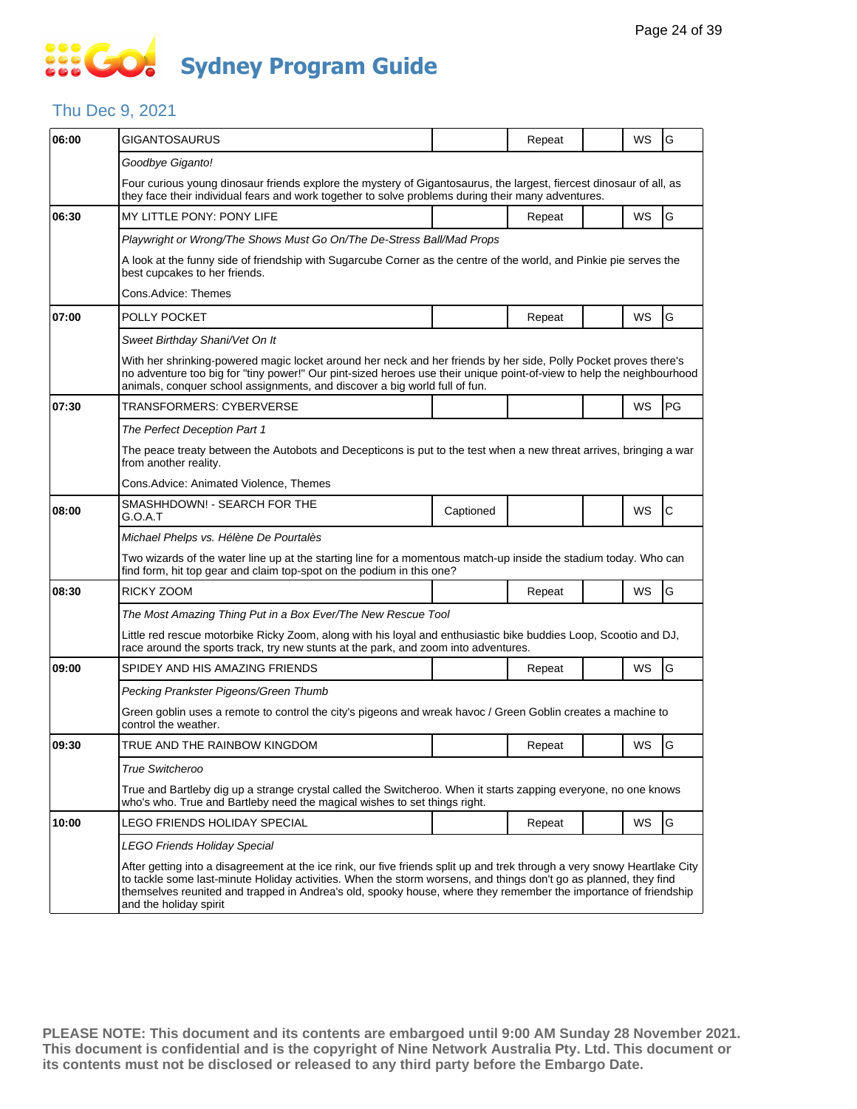### **SECT Sydney Program Guide**

#### Thu Dec 9, 2021

| 06:00 | <b>GIGANTOSAURUS</b>                                                                                                                                                                                                                                                                                                                                                                       |           | Repeat |  | WS        | G            |  |  |  |  |
|-------|--------------------------------------------------------------------------------------------------------------------------------------------------------------------------------------------------------------------------------------------------------------------------------------------------------------------------------------------------------------------------------------------|-----------|--------|--|-----------|--------------|--|--|--|--|
|       | Goodbye Giganto!                                                                                                                                                                                                                                                                                                                                                                           |           |        |  |           |              |  |  |  |  |
|       | Four curious young dinosaur friends explore the mystery of Gigantosaurus, the largest, fiercest dinosaur of all, as<br>they face their individual fears and work together to solve problems during their many adventures.                                                                                                                                                                  |           |        |  |           |              |  |  |  |  |
| 06:30 | MY LITTLE PONY: PONY LIFE                                                                                                                                                                                                                                                                                                                                                                  |           | Repeat |  | WS        | G            |  |  |  |  |
|       | Playwright or Wrong/The Shows Must Go On/The De-Stress Ball/Mad Props                                                                                                                                                                                                                                                                                                                      |           |        |  |           |              |  |  |  |  |
|       | A look at the funny side of friendship with Sugarcube Corner as the centre of the world, and Pinkie pie serves the<br>best cupcakes to her friends.                                                                                                                                                                                                                                        |           |        |  |           |              |  |  |  |  |
|       | Cons.Advice: Themes                                                                                                                                                                                                                                                                                                                                                                        |           |        |  |           |              |  |  |  |  |
| 07:00 | POLLY POCKET                                                                                                                                                                                                                                                                                                                                                                               |           | Repeat |  | WS        | G            |  |  |  |  |
|       | Sweet Birthday Shani/Vet On It                                                                                                                                                                                                                                                                                                                                                             |           |        |  |           |              |  |  |  |  |
|       | With her shrinking-powered magic locket around her neck and her friends by her side, Polly Pocket proves there's<br>no adventure too big for "tiny power!" Our pint-sized heroes use their unique point-of-view to help the neighbourhood<br>animals, conquer school assignments, and discover a big world full of fun.                                                                    |           |        |  |           |              |  |  |  |  |
| 07:30 | TRANSFORMERS: CYBERVERSE                                                                                                                                                                                                                                                                                                                                                                   |           |        |  | WS        | PG           |  |  |  |  |
|       | The Perfect Deception Part 1                                                                                                                                                                                                                                                                                                                                                               |           |        |  |           |              |  |  |  |  |
|       | The peace treaty between the Autobots and Decepticons is put to the test when a new threat arrives, bringing a war<br>from another reality.                                                                                                                                                                                                                                                |           |        |  |           |              |  |  |  |  |
|       | Cons.Advice: Animated Violence, Themes                                                                                                                                                                                                                                                                                                                                                     |           |        |  |           |              |  |  |  |  |
| 08:00 | SMASHHDOWN! - SEARCH FOR THE<br>G.O.A.T                                                                                                                                                                                                                                                                                                                                                    | Captioned |        |  | WS        | $\mathsf{C}$ |  |  |  |  |
|       | Michael Phelps vs. Hélène De Pourtalès                                                                                                                                                                                                                                                                                                                                                     |           |        |  |           |              |  |  |  |  |
|       | Two wizards of the water line up at the starting line for a momentous match-up inside the stadium today. Who can<br>find form, hit top gear and claim top-spot on the podium in this one?                                                                                                                                                                                                  |           |        |  |           |              |  |  |  |  |
| 08:30 | RICKY ZOOM                                                                                                                                                                                                                                                                                                                                                                                 |           | Repeat |  | <b>WS</b> | G            |  |  |  |  |
|       | The Most Amazing Thing Put in a Box Ever/The New Rescue Tool                                                                                                                                                                                                                                                                                                                               |           |        |  |           |              |  |  |  |  |
|       | Little red rescue motorbike Ricky Zoom, along with his loyal and enthusiastic bike buddies Loop, Scootio and DJ,<br>race around the sports track, try new stunts at the park, and zoom into adventures.                                                                                                                                                                                    |           |        |  |           |              |  |  |  |  |
| 09:00 | SPIDEY AND HIS AMAZING FRIENDS                                                                                                                                                                                                                                                                                                                                                             |           | Repeat |  | WS        | G            |  |  |  |  |
|       | Pecking Prankster Pigeons/Green Thumb                                                                                                                                                                                                                                                                                                                                                      |           |        |  |           |              |  |  |  |  |
|       | Green goblin uses a remote to control the city's pigeons and wreak havoc / Green Goblin creates a machine to<br>control the weather.                                                                                                                                                                                                                                                       |           |        |  |           |              |  |  |  |  |
| 09:30 | TRUE AND THE RAINBOW KINGDOM                                                                                                                                                                                                                                                                                                                                                               |           | Repeat |  | WS        | G            |  |  |  |  |
|       | True Switcheroo                                                                                                                                                                                                                                                                                                                                                                            |           |        |  |           |              |  |  |  |  |
|       | True and Bartleby dig up a strange crystal called the Switcheroo. When it starts zapping everyone, no one knows<br>who's who. True and Bartleby need the magical wishes to set things right.                                                                                                                                                                                               |           |        |  |           |              |  |  |  |  |
| 10:00 | LEGO FRIENDS HOLIDAY SPECIAL                                                                                                                                                                                                                                                                                                                                                               |           | Repeat |  | WS        | G            |  |  |  |  |
|       | LEGO Friends Holiday Special                                                                                                                                                                                                                                                                                                                                                               |           |        |  |           |              |  |  |  |  |
|       | After getting into a disagreement at the ice rink, our five friends split up and trek through a very snowy Heartlake City<br>to tackle some last-minute Holiday activities. When the storm worsens, and things don't go as planned, they find<br>themselves reunited and trapped in Andrea's old, spooky house, where they remember the importance of friendship<br>and the holiday spirit |           |        |  |           |              |  |  |  |  |
|       |                                                                                                                                                                                                                                                                                                                                                                                            |           |        |  |           |              |  |  |  |  |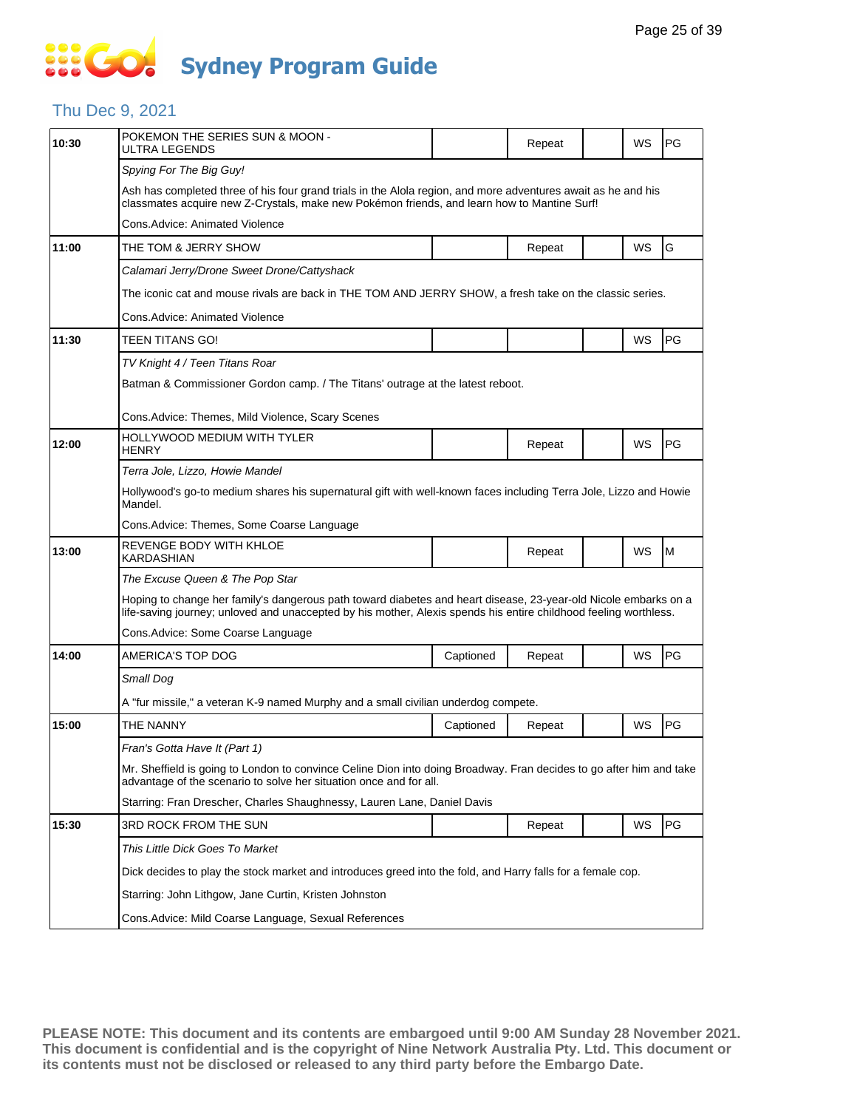### Thu Dec 9, 2021

| POKEMON THE SERIES SUN & MOON -<br>ULTRA LEGENDS                                                                                                                                                                                    |                                                                                                                   | Repeat |                                                                                    | WS | PG |  |  |  |  |
|-------------------------------------------------------------------------------------------------------------------------------------------------------------------------------------------------------------------------------------|-------------------------------------------------------------------------------------------------------------------|--------|------------------------------------------------------------------------------------|----|----|--|--|--|--|
| Spying For The Big Guy!                                                                                                                                                                                                             |                                                                                                                   |        |                                                                                    |    |    |  |  |  |  |
| Ash has completed three of his four grand trials in the Alola region, and more adventures await as he and his<br>classmates acquire new Z-Crystals, make new Pokémon friends, and learn how to Mantine Surf!                        |                                                                                                                   |        |                                                                                    |    |    |  |  |  |  |
| Cons.Advice: Animated Violence                                                                                                                                                                                                      |                                                                                                                   |        |                                                                                    |    |    |  |  |  |  |
| THE TOM & JERRY SHOW                                                                                                                                                                                                                |                                                                                                                   | Repeat |                                                                                    | WS | G  |  |  |  |  |
| Calamari Jerry/Drone Sweet Drone/Cattyshack                                                                                                                                                                                         |                                                                                                                   |        |                                                                                    |    |    |  |  |  |  |
| The iconic cat and mouse rivals are back in THE TOM AND JERRY SHOW, a fresh take on the classic series.                                                                                                                             |                                                                                                                   |        |                                                                                    |    |    |  |  |  |  |
| Cons.Advice: Animated Violence                                                                                                                                                                                                      |                                                                                                                   |        |                                                                                    |    |    |  |  |  |  |
| TEEN TITANS GO!                                                                                                                                                                                                                     |                                                                                                                   |        |                                                                                    | WS | PG |  |  |  |  |
| TV Knight 4 / Teen Titans Roar                                                                                                                                                                                                      |                                                                                                                   |        |                                                                                    |    |    |  |  |  |  |
| Batman & Commissioner Gordon camp. / The Titans' outrage at the latest reboot.                                                                                                                                                      |                                                                                                                   |        |                                                                                    |    |    |  |  |  |  |
| Cons.Advice: Themes, Mild Violence, Scary Scenes                                                                                                                                                                                    |                                                                                                                   |        |                                                                                    |    |    |  |  |  |  |
| <b>HOLLYWOOD MEDIUM WITH TYLER</b><br><b>HENRY</b>                                                                                                                                                                                  |                                                                                                                   | Repeat |                                                                                    | WS | PG |  |  |  |  |
| Terra Jole, Lizzo, Howie Mandel                                                                                                                                                                                                     |                                                                                                                   |        |                                                                                    |    |    |  |  |  |  |
| Mandel.                                                                                                                                                                                                                             | Hollywood's go-to medium shares his supernatural gift with well-known faces including Terra Jole, Lizzo and Howie |        |                                                                                    |    |    |  |  |  |  |
| Cons.Advice: Themes, Some Coarse Language                                                                                                                                                                                           |                                                                                                                   |        |                                                                                    |    |    |  |  |  |  |
| REVENGE BODY WITH KHLOE<br>KARDASHIAN                                                                                                                                                                                               |                                                                                                                   | Repeat |                                                                                    | WS | M  |  |  |  |  |
| The Excuse Queen & The Pop Star                                                                                                                                                                                                     |                                                                                                                   |        |                                                                                    |    |    |  |  |  |  |
| Hoping to change her family's dangerous path toward diabetes and heart disease, 23-year-old Nicole embarks on a<br>life-saving journey; unloved and unaccepted by his mother, Alexis spends his entire childhood feeling worthless. |                                                                                                                   |        |                                                                                    |    |    |  |  |  |  |
| Cons. Advice: Some Coarse Language                                                                                                                                                                                                  |                                                                                                                   |        |                                                                                    |    |    |  |  |  |  |
| AMERICA'S TOP DOG                                                                                                                                                                                                                   | Captioned                                                                                                         | Repeat |                                                                                    | WS | PG |  |  |  |  |
| Small Dog                                                                                                                                                                                                                           |                                                                                                                   |        |                                                                                    |    |    |  |  |  |  |
|                                                                                                                                                                                                                                     |                                                                                                                   |        |                                                                                    |    |    |  |  |  |  |
| THE NANNY                                                                                                                                                                                                                           | Captioned                                                                                                         | Repeat |                                                                                    | WS | PG |  |  |  |  |
| Fran's Gotta Have It (Part 1)                                                                                                                                                                                                       |                                                                                                                   |        |                                                                                    |    |    |  |  |  |  |
| Mr. Sheffield is going to London to convince Celine Dion into doing Broadway. Fran decides to go after him and take<br>advantage of the scenario to solve her situation once and for all.                                           |                                                                                                                   |        |                                                                                    |    |    |  |  |  |  |
|                                                                                                                                                                                                                                     |                                                                                                                   |        |                                                                                    |    |    |  |  |  |  |
| Starring: Fran Drescher, Charles Shaughnessy, Lauren Lane, Daniel Davis                                                                                                                                                             |                                                                                                                   |        |                                                                                    |    |    |  |  |  |  |
| 3RD ROCK FROM THE SUN                                                                                                                                                                                                               |                                                                                                                   | Repeat |                                                                                    | WS | PG |  |  |  |  |
| This Little Dick Goes To Market                                                                                                                                                                                                     |                                                                                                                   |        |                                                                                    |    |    |  |  |  |  |
| Dick decides to play the stock market and introduces greed into the fold, and Harry falls for a female cop.                                                                                                                         |                                                                                                                   |        |                                                                                    |    |    |  |  |  |  |
| Starring: John Lithgow, Jane Curtin, Kristen Johnston                                                                                                                                                                               |                                                                                                                   |        |                                                                                    |    |    |  |  |  |  |
|                                                                                                                                                                                                                                     |                                                                                                                   |        | A "fur missile," a veteran K-9 named Murphy and a small civilian underdog compete. |    |    |  |  |  |  |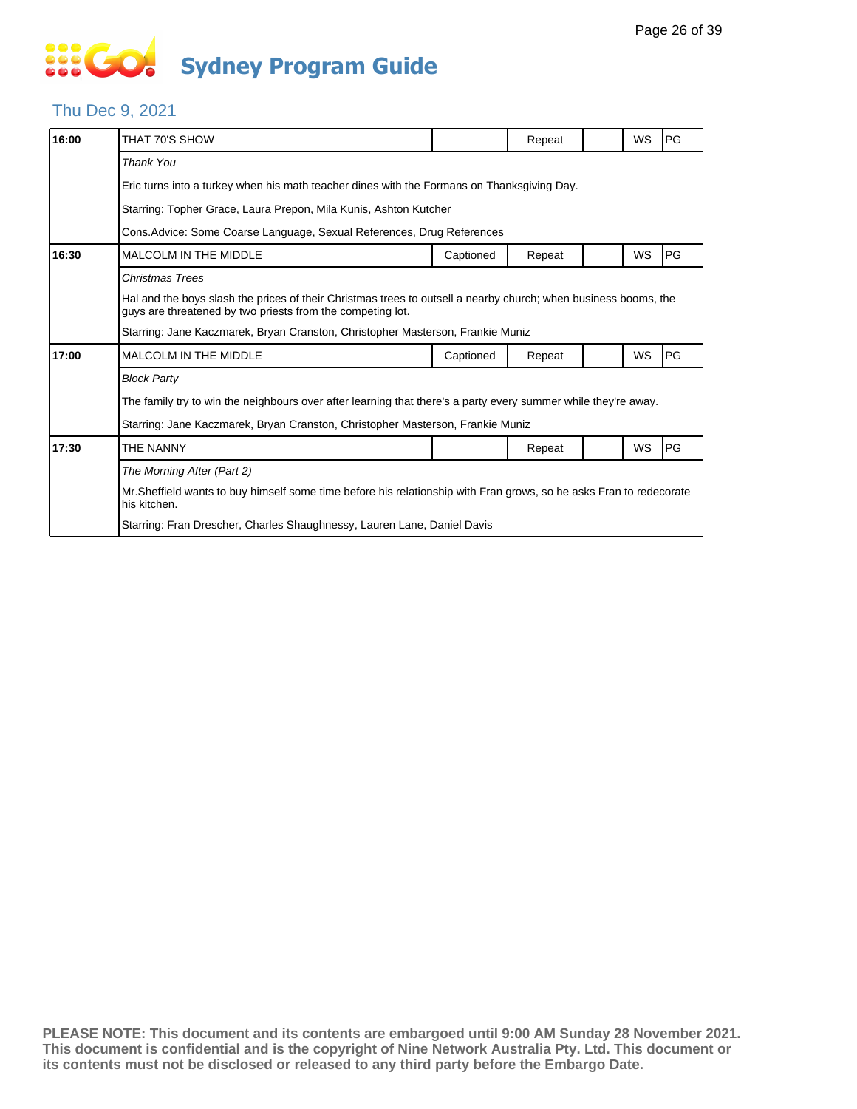#### Thu Dec 9, 2021

| 16:00 | THAT 70'S SHOW                                                                                                                                                                |           | Repeat |  | WS        | PG        |  |  |  |
|-------|-------------------------------------------------------------------------------------------------------------------------------------------------------------------------------|-----------|--------|--|-----------|-----------|--|--|--|
|       | <b>Thank You</b>                                                                                                                                                              |           |        |  |           |           |  |  |  |
|       | Eric turns into a turkey when his math teacher dines with the Formans on Thanksgiving Day.                                                                                    |           |        |  |           |           |  |  |  |
|       | Starring: Topher Grace, Laura Prepon, Mila Kunis, Ashton Kutcher                                                                                                              |           |        |  |           |           |  |  |  |
|       | Cons. Advice: Some Coarse Language, Sexual References, Drug References                                                                                                        |           |        |  |           |           |  |  |  |
| 16:30 | <b>MALCOLM IN THE MIDDLE</b>                                                                                                                                                  | Captioned | Repeat |  | WS        | PG        |  |  |  |
|       | <b>Christmas Trees</b>                                                                                                                                                        |           |        |  |           |           |  |  |  |
|       | Hal and the boys slash the prices of their Christmas trees to outsell a nearby church; when business booms, the<br>guys are threatened by two priests from the competing lot. |           |        |  |           |           |  |  |  |
|       | Starring: Jane Kaczmarek, Bryan Cranston, Christopher Masterson, Frankie Muniz                                                                                                |           |        |  |           |           |  |  |  |
| 17:00 | MALCOLM IN THE MIDDLE                                                                                                                                                         | Captioned | Repeat |  | <b>WS</b> | PG        |  |  |  |
|       | <b>Block Party</b>                                                                                                                                                            |           |        |  |           |           |  |  |  |
|       | The family try to win the neighbours over after learning that there's a party every summer while they're away.                                                                |           |        |  |           |           |  |  |  |
|       | Starring: Jane Kaczmarek, Bryan Cranston, Christopher Masterson, Frankie Muniz                                                                                                |           |        |  |           |           |  |  |  |
| 17:30 | THE NANNY                                                                                                                                                                     |           | Repeat |  | WS        | <b>PG</b> |  |  |  |
|       | The Morning After (Part 2)                                                                                                                                                    |           |        |  |           |           |  |  |  |
|       | Mr. Sheffield wants to buy himself some time before his relationship with Fran grows, so he asks Fran to redecorate<br>his kitchen.                                           |           |        |  |           |           |  |  |  |
|       | Starring: Fran Drescher, Charles Shaughnessy, Lauren Lane, Daniel Davis                                                                                                       |           |        |  |           |           |  |  |  |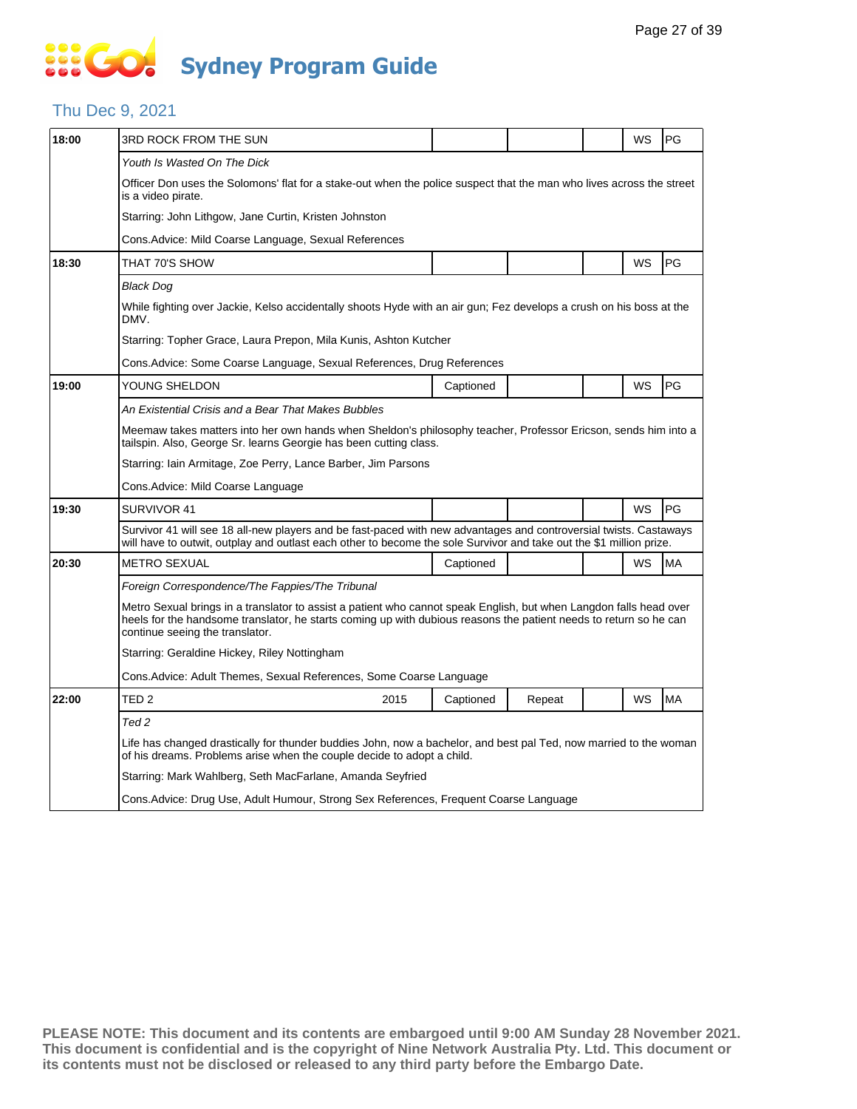#### Thu Dec 9, 2021

| 18:00 | 3RD ROCK FROM THE SUN                                                                                                                                                                       |                                                                                                                                                                                                                                          |           |        |  | WS | PG        |  |  |
|-------|---------------------------------------------------------------------------------------------------------------------------------------------------------------------------------------------|------------------------------------------------------------------------------------------------------------------------------------------------------------------------------------------------------------------------------------------|-----------|--------|--|----|-----------|--|--|
|       | Youth Is Wasted On The Dick                                                                                                                                                                 |                                                                                                                                                                                                                                          |           |        |  |    |           |  |  |
|       | Officer Don uses the Solomons' flat for a stake-out when the police suspect that the man who lives across the street<br>is a video pirate.                                                  |                                                                                                                                                                                                                                          |           |        |  |    |           |  |  |
|       | Starring: John Lithgow, Jane Curtin, Kristen Johnston                                                                                                                                       |                                                                                                                                                                                                                                          |           |        |  |    |           |  |  |
|       | Cons.Advice: Mild Coarse Language, Sexual References                                                                                                                                        |                                                                                                                                                                                                                                          |           |        |  |    |           |  |  |
| 18:30 | THAT 70'S SHOW                                                                                                                                                                              |                                                                                                                                                                                                                                          |           |        |  | WS | PG        |  |  |
|       | <b>Black Dog</b>                                                                                                                                                                            |                                                                                                                                                                                                                                          |           |        |  |    |           |  |  |
|       | While fighting over Jackie, Kelso accidentally shoots Hyde with an air gun; Fez develops a crush on his boss at the<br>DMV.                                                                 |                                                                                                                                                                                                                                          |           |        |  |    |           |  |  |
|       | Starring: Topher Grace, Laura Prepon, Mila Kunis, Ashton Kutcher                                                                                                                            |                                                                                                                                                                                                                                          |           |        |  |    |           |  |  |
|       | Cons.Advice: Some Coarse Language, Sexual References, Drug References                                                                                                                       |                                                                                                                                                                                                                                          |           |        |  |    |           |  |  |
| 19:00 | YOUNG SHELDON                                                                                                                                                                               |                                                                                                                                                                                                                                          | Captioned |        |  | WS | PG        |  |  |
|       | An Existential Crisis and a Bear That Makes Bubbles                                                                                                                                         |                                                                                                                                                                                                                                          |           |        |  |    |           |  |  |
|       | Meemaw takes matters into her own hands when Sheldon's philosophy teacher, Professor Ericson, sends him into a<br>tailspin. Also, George Sr. learns Georgie has been cutting class.         |                                                                                                                                                                                                                                          |           |        |  |    |           |  |  |
|       | Starring: Iain Armitage, Zoe Perry, Lance Barber, Jim Parsons                                                                                                                               |                                                                                                                                                                                                                                          |           |        |  |    |           |  |  |
|       | Cons. Advice: Mild Coarse Language                                                                                                                                                          |                                                                                                                                                                                                                                          |           |        |  |    |           |  |  |
| 19:30 | SURVIVOR 41                                                                                                                                                                                 |                                                                                                                                                                                                                                          |           |        |  | WS | PG        |  |  |
|       |                                                                                                                                                                                             | Survivor 41 will see 18 all-new players and be fast-paced with new advantages and controversial twists. Castaways<br>will have to outwit, outplay and outlast each other to become the sole Survivor and take out the \$1 million prize. |           |        |  |    |           |  |  |
| 20:30 | <b>METRO SEXUAL</b>                                                                                                                                                                         |                                                                                                                                                                                                                                          | Captioned |        |  | WS | MA        |  |  |
|       | Foreign Correspondence/The Fappies/The Tribunal                                                                                                                                             |                                                                                                                                                                                                                                          |           |        |  |    |           |  |  |
|       | continue seeing the translator.                                                                                                                                                             | Metro Sexual brings in a translator to assist a patient who cannot speak English, but when Langdon falls head over<br>heels for the handsome translator, he starts coming up with dubious reasons the patient needs to return so he can  |           |        |  |    |           |  |  |
|       | Starring: Geraldine Hickey, Riley Nottingham                                                                                                                                                |                                                                                                                                                                                                                                          |           |        |  |    |           |  |  |
|       | Cons. Advice: Adult Themes, Sexual References, Some Coarse Language                                                                                                                         |                                                                                                                                                                                                                                          |           |        |  |    |           |  |  |
| 22:00 | TED <sub>2</sub>                                                                                                                                                                            | 2015                                                                                                                                                                                                                                     | Captioned | Repeat |  | WS | <b>MA</b> |  |  |
|       | Ted 2                                                                                                                                                                                       |                                                                                                                                                                                                                                          |           |        |  |    |           |  |  |
|       | Life has changed drastically for thunder buddies John, now a bachelor, and best pal Ted, now married to the woman<br>of his dreams. Problems arise when the couple decide to adopt a child. |                                                                                                                                                                                                                                          |           |        |  |    |           |  |  |
|       |                                                                                                                                                                                             | Starring: Mark Wahlberg, Seth MacFarlane, Amanda Seyfried                                                                                                                                                                                |           |        |  |    |           |  |  |
|       | Cons. Advice: Drug Use, Adult Humour, Strong Sex References, Frequent Coarse Language                                                                                                       |                                                                                                                                                                                                                                          |           |        |  |    |           |  |  |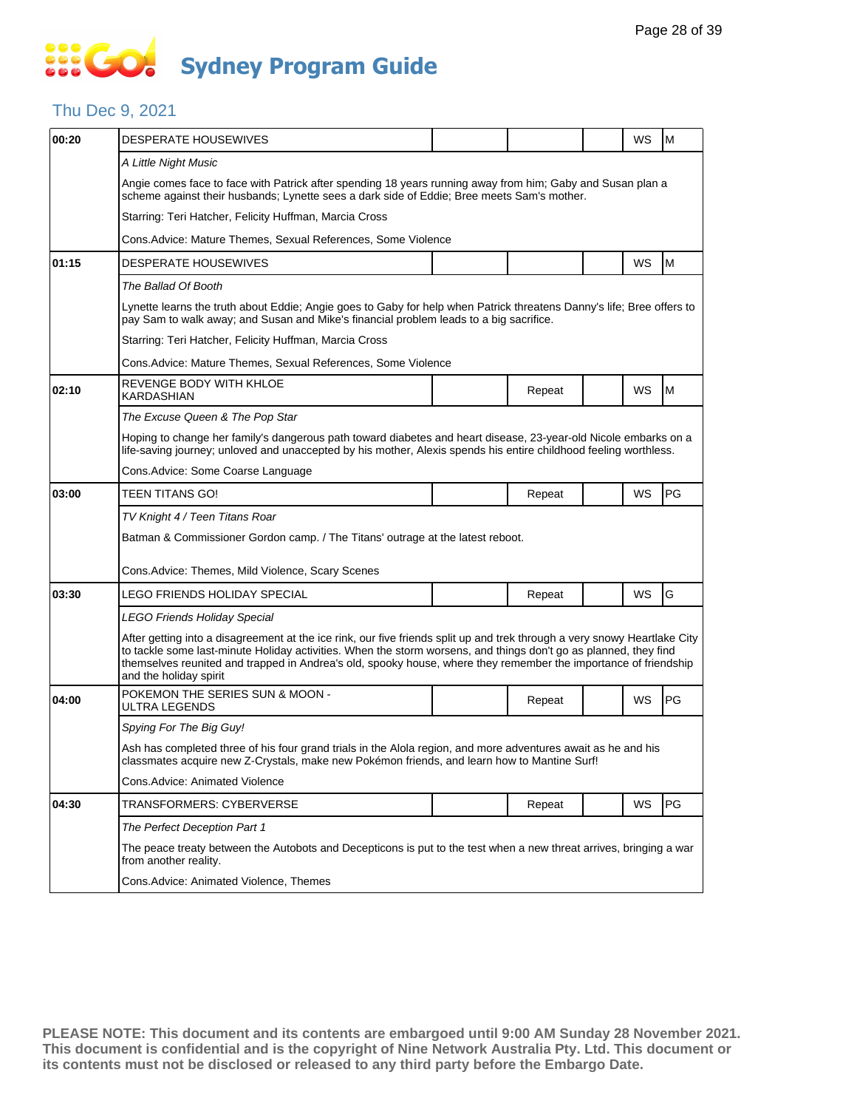#### Thu Dec 9, 2021

| 00:20 | <b>DESPERATE HOUSEWIVES</b>                                                                                                                                                                                                                                                                                                                                                                |                                                                                                                                                                                                              |        |  | WS | M  |  |  |  |  |
|-------|--------------------------------------------------------------------------------------------------------------------------------------------------------------------------------------------------------------------------------------------------------------------------------------------------------------------------------------------------------------------------------------------|--------------------------------------------------------------------------------------------------------------------------------------------------------------------------------------------------------------|--------|--|----|----|--|--|--|--|
|       | A Little Night Music                                                                                                                                                                                                                                                                                                                                                                       |                                                                                                                                                                                                              |        |  |    |    |  |  |  |  |
|       | Angie comes face to face with Patrick after spending 18 years running away from him; Gaby and Susan plan a<br>scheme against their husbands; Lynette sees a dark side of Eddie; Bree meets Sam's mother.                                                                                                                                                                                   |                                                                                                                                                                                                              |        |  |    |    |  |  |  |  |
|       | Starring: Teri Hatcher, Felicity Huffman, Marcia Cross                                                                                                                                                                                                                                                                                                                                     |                                                                                                                                                                                                              |        |  |    |    |  |  |  |  |
|       | Cons. Advice: Mature Themes, Sexual References, Some Violence                                                                                                                                                                                                                                                                                                                              |                                                                                                                                                                                                              |        |  |    |    |  |  |  |  |
| 01:15 | DESPERATE HOUSEWIVES                                                                                                                                                                                                                                                                                                                                                                       |                                                                                                                                                                                                              |        |  | WS | M  |  |  |  |  |
|       | The Ballad Of Booth                                                                                                                                                                                                                                                                                                                                                                        |                                                                                                                                                                                                              |        |  |    |    |  |  |  |  |
|       | Lynette learns the truth about Eddie; Angie goes to Gaby for help when Patrick threatens Danny's life; Bree offers to<br>pay Sam to walk away; and Susan and Mike's financial problem leads to a big sacrifice.                                                                                                                                                                            |                                                                                                                                                                                                              |        |  |    |    |  |  |  |  |
|       | Starring: Teri Hatcher, Felicity Huffman, Marcia Cross                                                                                                                                                                                                                                                                                                                                     |                                                                                                                                                                                                              |        |  |    |    |  |  |  |  |
|       | Cons. Advice: Mature Themes, Sexual References, Some Violence                                                                                                                                                                                                                                                                                                                              |                                                                                                                                                                                                              |        |  |    |    |  |  |  |  |
| 02:10 | REVENGE BODY WITH KHLOE<br>KARDASHIAN                                                                                                                                                                                                                                                                                                                                                      |                                                                                                                                                                                                              | Repeat |  | WS | M  |  |  |  |  |
|       | The Excuse Queen & The Pop Star                                                                                                                                                                                                                                                                                                                                                            |                                                                                                                                                                                                              |        |  |    |    |  |  |  |  |
|       | Hoping to change her family's dangerous path toward diabetes and heart disease, 23-year-old Nicole embarks on a<br>life-saving journey; unloved and unaccepted by his mother, Alexis spends his entire childhood feeling worthless.                                                                                                                                                        |                                                                                                                                                                                                              |        |  |    |    |  |  |  |  |
|       | Cons.Advice: Some Coarse Language                                                                                                                                                                                                                                                                                                                                                          |                                                                                                                                                                                                              |        |  |    |    |  |  |  |  |
| 03:00 | TEEN TITANS GO!                                                                                                                                                                                                                                                                                                                                                                            |                                                                                                                                                                                                              | Repeat |  | WS | PG |  |  |  |  |
|       | TV Knight 4 / Teen Titans Roar                                                                                                                                                                                                                                                                                                                                                             |                                                                                                                                                                                                              |        |  |    |    |  |  |  |  |
|       | Batman & Commissioner Gordon camp. / The Titans' outrage at the latest reboot.                                                                                                                                                                                                                                                                                                             |                                                                                                                                                                                                              |        |  |    |    |  |  |  |  |
|       | Cons. Advice: Themes, Mild Violence, Scary Scenes                                                                                                                                                                                                                                                                                                                                          |                                                                                                                                                                                                              |        |  |    |    |  |  |  |  |
| 03:30 | LEGO FRIENDS HOLIDAY SPECIAL                                                                                                                                                                                                                                                                                                                                                               |                                                                                                                                                                                                              | Repeat |  | WS | G  |  |  |  |  |
|       | LEGO Friends Holiday Special                                                                                                                                                                                                                                                                                                                                                               |                                                                                                                                                                                                              |        |  |    |    |  |  |  |  |
|       | After getting into a disagreement at the ice rink, our five friends split up and trek through a very snowy Heartlake City<br>to tackle some last-minute Holiday activities. When the storm worsens, and things don't go as planned, they find<br>themselves reunited and trapped in Andrea's old, spooky house, where they remember the importance of friendship<br>and the holiday spirit |                                                                                                                                                                                                              |        |  |    |    |  |  |  |  |
| 04:00 | POKEMON THE SERIES SUN & MOON -<br>ULTRA LEGENDS                                                                                                                                                                                                                                                                                                                                           |                                                                                                                                                                                                              | Repeat |  | WS | PG |  |  |  |  |
|       | Spying For The Big Guy!                                                                                                                                                                                                                                                                                                                                                                    |                                                                                                                                                                                                              |        |  |    |    |  |  |  |  |
|       |                                                                                                                                                                                                                                                                                                                                                                                            | Ash has completed three of his four grand trials in the Alola region, and more adventures await as he and his<br>classmates acquire new Z-Crystals, make new Pokémon friends, and learn how to Mantine Surf! |        |  |    |    |  |  |  |  |
|       | Cons.Advice: Animated Violence                                                                                                                                                                                                                                                                                                                                                             |                                                                                                                                                                                                              |        |  |    |    |  |  |  |  |
| 04:30 | TRANSFORMERS: CYBERVERSE                                                                                                                                                                                                                                                                                                                                                                   |                                                                                                                                                                                                              | Repeat |  | WS | PG |  |  |  |  |
|       | The Perfect Deception Part 1                                                                                                                                                                                                                                                                                                                                                               |                                                                                                                                                                                                              |        |  |    |    |  |  |  |  |
|       | The peace treaty between the Autobots and Decepticons is put to the test when a new threat arrives, bringing a war<br>from another reality.                                                                                                                                                                                                                                                |                                                                                                                                                                                                              |        |  |    |    |  |  |  |  |
|       | Cons.Advice: Animated Violence, Themes                                                                                                                                                                                                                                                                                                                                                     |                                                                                                                                                                                                              |        |  |    |    |  |  |  |  |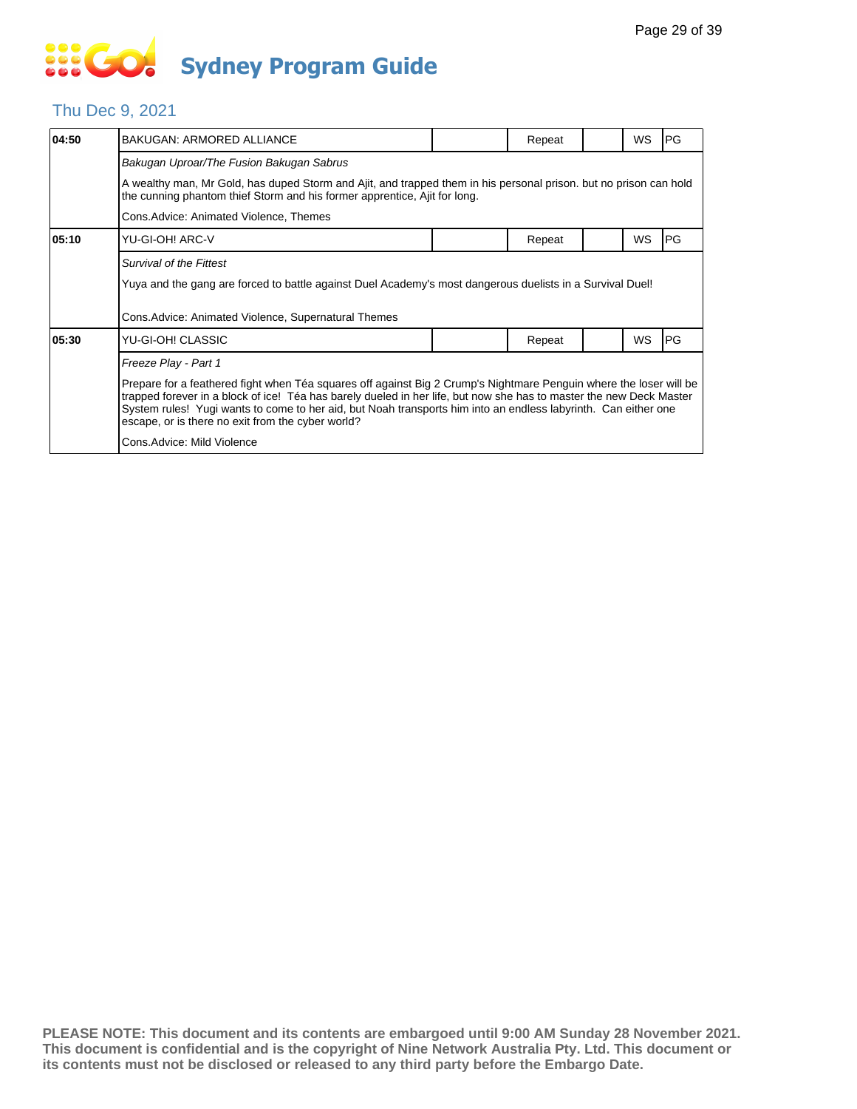#### Thu Dec 9, 2021

| 04:50 | <b>BAKUGAN: ARMORED ALLIANCE</b>                                                                                                                                                                                                                                                                                                                                                                                 |  | Repeat |  | WS        | IPG.       |  |  |
|-------|------------------------------------------------------------------------------------------------------------------------------------------------------------------------------------------------------------------------------------------------------------------------------------------------------------------------------------------------------------------------------------------------------------------|--|--------|--|-----------|------------|--|--|
|       | Bakugan Uproar/The Fusion Bakugan Sabrus                                                                                                                                                                                                                                                                                                                                                                         |  |        |  |           |            |  |  |
|       | A wealthy man, Mr Gold, has duped Storm and Ajit, and trapped them in his personal prison. but no prison can hold<br>the cunning phantom thief Storm and his former apprentice, Ajit for long.                                                                                                                                                                                                                   |  |        |  |           |            |  |  |
|       | Cons. Advice: Animated Violence, Themes                                                                                                                                                                                                                                                                                                                                                                          |  |        |  |           |            |  |  |
| 05:10 | YU-GI-OH! ARC-V                                                                                                                                                                                                                                                                                                                                                                                                  |  | Repeat |  | <b>WS</b> | <b>PG</b>  |  |  |
|       | Survival of the Fittest                                                                                                                                                                                                                                                                                                                                                                                          |  |        |  |           |            |  |  |
|       | Yuya and the gang are forced to battle against Duel Academy's most dangerous duelists in a Survival Duel!                                                                                                                                                                                                                                                                                                        |  |        |  |           |            |  |  |
|       | Cons. Advice: Animated Violence, Supernatural Themes                                                                                                                                                                                                                                                                                                                                                             |  |        |  |           |            |  |  |
| 05:30 | YU-GI-OH! CLASSIC                                                                                                                                                                                                                                                                                                                                                                                                |  | Repeat |  | <b>WS</b> | <b>IPG</b> |  |  |
|       | Freeze Play - Part 1                                                                                                                                                                                                                                                                                                                                                                                             |  |        |  |           |            |  |  |
|       | Prepare for a feathered fight when Téa squares off against Big 2 Crump's Nightmare Penguin where the loser will be<br>trapped forever in a block of ice! Téa has barely dueled in her life, but now she has to master the new Deck Master<br>System rules! Yugi wants to come to her aid, but Noah transports him into an endless labyrinth. Can either one<br>escape, or is there no exit from the cyber world? |  |        |  |           |            |  |  |
|       | Cons.Advice: Mild Violence                                                                                                                                                                                                                                                                                                                                                                                       |  |        |  |           |            |  |  |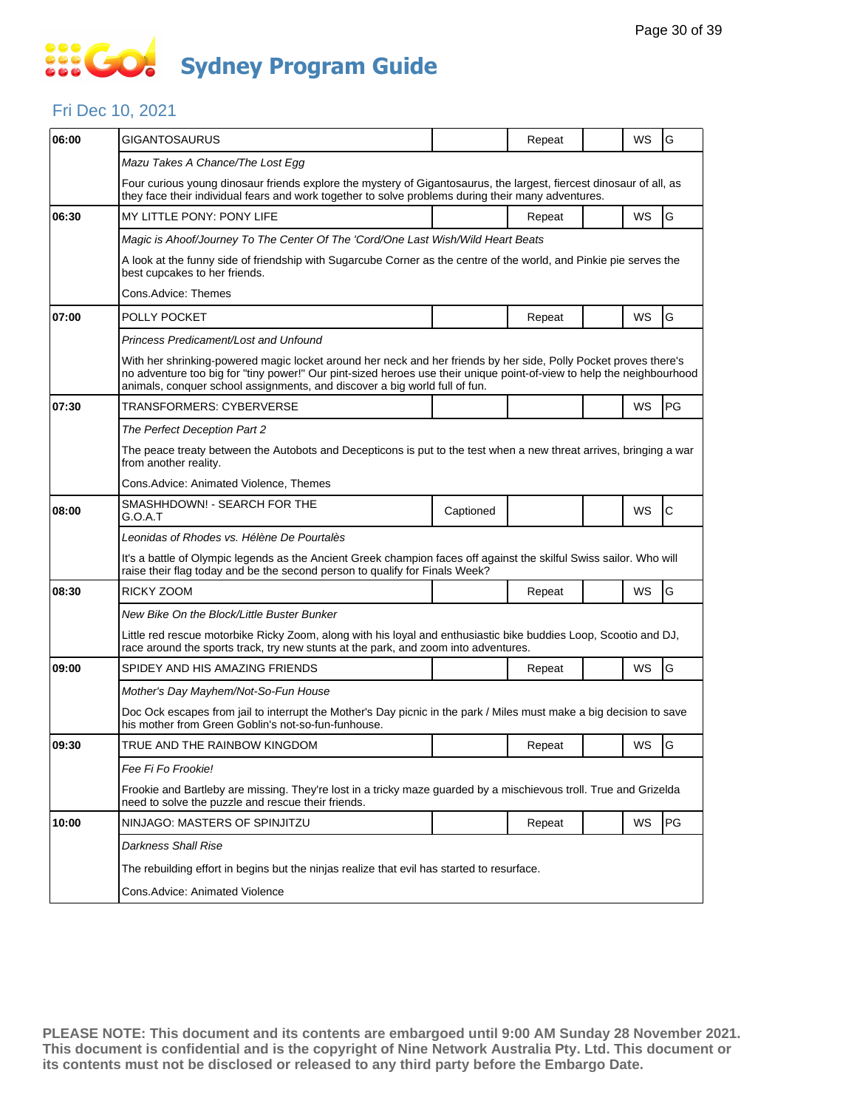### **SECT Sydney Program Guide**

#### Fri Dec 10, 2021

| 06:00 | <b>GIGANTOSAURUS</b>                                                                                                                                                                                                                                                                                                    |                                                                                                                    | Repeat |  | WS | G  |  |  |  |  |
|-------|-------------------------------------------------------------------------------------------------------------------------------------------------------------------------------------------------------------------------------------------------------------------------------------------------------------------------|--------------------------------------------------------------------------------------------------------------------|--------|--|----|----|--|--|--|--|
|       | Mazu Takes A Chance/The Lost Egg                                                                                                                                                                                                                                                                                        |                                                                                                                    |        |  |    |    |  |  |  |  |
|       | Four curious young dinosaur friends explore the mystery of Gigantosaurus, the largest, fiercest dinosaur of all, as<br>they face their individual fears and work together to solve problems during their many adventures.                                                                                               |                                                                                                                    |        |  |    |    |  |  |  |  |
| 06:30 | MY LITTLE PONY: PONY LIFE                                                                                                                                                                                                                                                                                               |                                                                                                                    | Repeat |  | WS | G  |  |  |  |  |
|       | Magic is Ahoof/Journey To The Center Of The 'Cord/One Last Wish/Wild Heart Beats                                                                                                                                                                                                                                        |                                                                                                                    |        |  |    |    |  |  |  |  |
|       | A look at the funny side of friendship with Sugarcube Corner as the centre of the world, and Pinkie pie serves the<br>best cupcakes to her friends.                                                                                                                                                                     |                                                                                                                    |        |  |    |    |  |  |  |  |
|       | Cons.Advice: Themes                                                                                                                                                                                                                                                                                                     |                                                                                                                    |        |  |    |    |  |  |  |  |
| 07:00 | POLLY POCKET                                                                                                                                                                                                                                                                                                            |                                                                                                                    | Repeat |  | WS | G  |  |  |  |  |
|       | Princess Predicament/Lost and Unfound                                                                                                                                                                                                                                                                                   |                                                                                                                    |        |  |    |    |  |  |  |  |
|       | With her shrinking-powered magic locket around her neck and her friends by her side, Polly Pocket proves there's<br>no adventure too big for "tiny power!" Our pint-sized heroes use their unique point-of-view to help the neighbourhood<br>animals, conquer school assignments, and discover a big world full of fun. |                                                                                                                    |        |  |    |    |  |  |  |  |
| 07:30 | TRANSFORMERS: CYBERVERSE                                                                                                                                                                                                                                                                                                |                                                                                                                    |        |  | WS | PG |  |  |  |  |
|       | The Perfect Deception Part 2                                                                                                                                                                                                                                                                                            |                                                                                                                    |        |  |    |    |  |  |  |  |
|       | from another reality.                                                                                                                                                                                                                                                                                                   | The peace treaty between the Autobots and Decepticons is put to the test when a new threat arrives, bringing a war |        |  |    |    |  |  |  |  |
|       | Cons.Advice: Animated Violence, Themes                                                                                                                                                                                                                                                                                  |                                                                                                                    |        |  |    |    |  |  |  |  |
| 08:00 | SMASHHDOWN! - SEARCH FOR THE<br>G.O.A.T                                                                                                                                                                                                                                                                                 | Captioned                                                                                                          |        |  | WS | С  |  |  |  |  |
|       | Leonidas of Rhodes vs. Hélène De Pourtalès                                                                                                                                                                                                                                                                              |                                                                                                                    |        |  |    |    |  |  |  |  |
|       | It's a battle of Olympic legends as the Ancient Greek champion faces off against the skilful Swiss sailor. Who will<br>raise their flag today and be the second person to qualify for Finals Week?                                                                                                                      |                                                                                                                    |        |  |    |    |  |  |  |  |
| 08:30 | RICKY ZOOM                                                                                                                                                                                                                                                                                                              |                                                                                                                    | Repeat |  | WS | G  |  |  |  |  |
|       | New Bike On the Block/Little Buster Bunker                                                                                                                                                                                                                                                                              |                                                                                                                    |        |  |    |    |  |  |  |  |
|       | Little red rescue motorbike Ricky Zoom, along with his loyal and enthusiastic bike buddies Loop, Scootio and DJ,<br>race around the sports track, try new stunts at the park, and zoom into adventures.                                                                                                                 |                                                                                                                    |        |  |    |    |  |  |  |  |
| 09:00 | SPIDEY AND HIS AMAZING FRIENDS                                                                                                                                                                                                                                                                                          |                                                                                                                    | Repeat |  | WS | G  |  |  |  |  |
|       | Mother's Day Mayhem/Not-So-Fun House                                                                                                                                                                                                                                                                                    |                                                                                                                    |        |  |    |    |  |  |  |  |
|       | Doc Ock escapes from jail to interrupt the Mother's Day picnic in the park / Miles must make a big decision to save<br>his mother from Green Goblin's not-so-fun-funhouse.                                                                                                                                              |                                                                                                                    |        |  |    |    |  |  |  |  |
| 09:30 | TRUE AND THE RAINBOW KINGDOM                                                                                                                                                                                                                                                                                            |                                                                                                                    | Repeat |  | WS | G  |  |  |  |  |
|       | Fee Fi Fo Frookie!                                                                                                                                                                                                                                                                                                      |                                                                                                                    |        |  |    |    |  |  |  |  |
|       | need to solve the puzzle and rescue their friends.                                                                                                                                                                                                                                                                      | Frookie and Bartleby are missing. They're lost in a tricky maze guarded by a mischievous troll. True and Grizelda  |        |  |    |    |  |  |  |  |
| 10:00 | NINJAGO: MASTERS OF SPINJITZU                                                                                                                                                                                                                                                                                           |                                                                                                                    | Repeat |  | WS | PG |  |  |  |  |
|       | <b>Darkness Shall Rise</b>                                                                                                                                                                                                                                                                                              |                                                                                                                    |        |  |    |    |  |  |  |  |
|       | The rebuilding effort in begins but the ninjas realize that evil has started to resurface.                                                                                                                                                                                                                              |                                                                                                                    |        |  |    |    |  |  |  |  |
|       | Cons.Advice: Animated Violence                                                                                                                                                                                                                                                                                          |                                                                                                                    |        |  |    |    |  |  |  |  |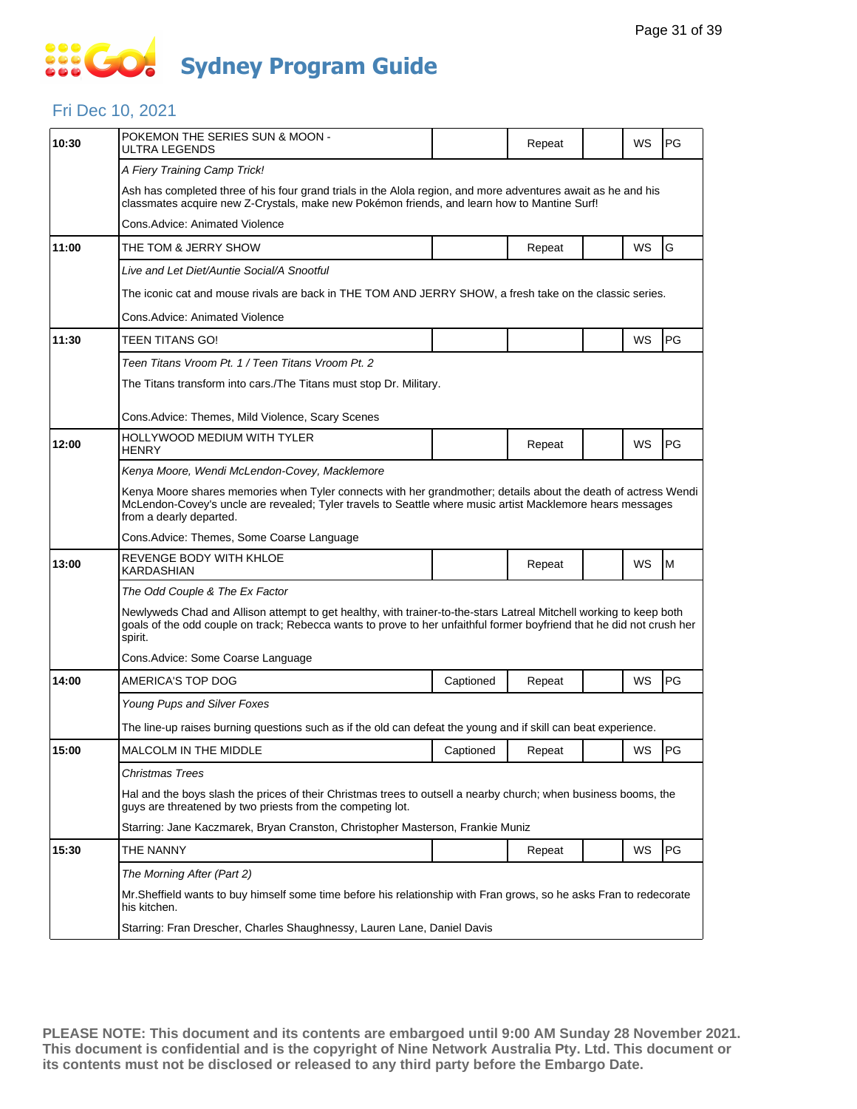### Fri Dec 10, 2021

| 10:30 | POKEMON THE SERIES SUN & MOON -<br>ULTRA LEGENDS                                                                                                                                                                                                        |                                                                                                                 | Repeat |  | WS        | PG |  |  |  |  |
|-------|---------------------------------------------------------------------------------------------------------------------------------------------------------------------------------------------------------------------------------------------------------|-----------------------------------------------------------------------------------------------------------------|--------|--|-----------|----|--|--|--|--|
|       | A Fiery Training Camp Trick!                                                                                                                                                                                                                            |                                                                                                                 |        |  |           |    |  |  |  |  |
|       | Ash has completed three of his four grand trials in the Alola region, and more adventures await as he and his<br>classmates acquire new Z-Crystals, make new Pokémon friends, and learn how to Mantine Surf!                                            |                                                                                                                 |        |  |           |    |  |  |  |  |
|       | Cons.Advice: Animated Violence                                                                                                                                                                                                                          |                                                                                                                 |        |  |           |    |  |  |  |  |
| 11:00 | THE TOM & JERRY SHOW                                                                                                                                                                                                                                    |                                                                                                                 | Repeat |  | WS        | G  |  |  |  |  |
|       | Live and Let Diet/Auntie Social/A Snootful                                                                                                                                                                                                              |                                                                                                                 |        |  |           |    |  |  |  |  |
|       | The iconic cat and mouse rivals are back in THE TOM AND JERRY SHOW, a fresh take on the classic series.                                                                                                                                                 |                                                                                                                 |        |  |           |    |  |  |  |  |
|       | Cons.Advice: Animated Violence                                                                                                                                                                                                                          |                                                                                                                 |        |  |           |    |  |  |  |  |
| 11:30 | TEEN TITANS GO!                                                                                                                                                                                                                                         |                                                                                                                 |        |  | WS        | PG |  |  |  |  |
|       | Teen Titans Vroom Pt. 1 / Teen Titans Vroom Pt. 2                                                                                                                                                                                                       |                                                                                                                 |        |  |           |    |  |  |  |  |
|       | The Titans transform into cars./The Titans must stop Dr. Military.                                                                                                                                                                                      |                                                                                                                 |        |  |           |    |  |  |  |  |
|       | Cons.Advice: Themes, Mild Violence, Scary Scenes                                                                                                                                                                                                        |                                                                                                                 |        |  |           |    |  |  |  |  |
|       | HOLLYWOOD MEDIUM WITH TYLER                                                                                                                                                                                                                             |                                                                                                                 |        |  |           |    |  |  |  |  |
| 12:00 | <b>HENRY</b>                                                                                                                                                                                                                                            |                                                                                                                 | Repeat |  | WS        | PG |  |  |  |  |
|       | Kenya Moore, Wendi McLendon-Covey, Macklemore                                                                                                                                                                                                           |                                                                                                                 |        |  |           |    |  |  |  |  |
|       | Kenya Moore shares memories when Tyler connects with her grandmother; details about the death of actress Wendi<br>McLendon-Covey's uncle are revealed; Tyler travels to Seattle where music artist Macklemore hears messages<br>from a dearly departed. |                                                                                                                 |        |  |           |    |  |  |  |  |
|       | Cons.Advice: Themes, Some Coarse Language                                                                                                                                                                                                               |                                                                                                                 |        |  |           |    |  |  |  |  |
| 13:00 | REVENGE BODY WITH KHLOE<br>KARDASHIAN                                                                                                                                                                                                                   |                                                                                                                 | Repeat |  | WS        | M  |  |  |  |  |
|       | The Odd Couple & The Ex Factor                                                                                                                                                                                                                          |                                                                                                                 |        |  |           |    |  |  |  |  |
|       | Newlyweds Chad and Allison attempt to get healthy, with trainer-to-the-stars Latreal Mitchell working to keep both<br>goals of the odd couple on track; Rebecca wants to prove to her unfaithful former boyfriend that he did not crush her<br>spirit.  |                                                                                                                 |        |  |           |    |  |  |  |  |
|       | Cons.Advice: Some Coarse Language                                                                                                                                                                                                                       |                                                                                                                 |        |  |           |    |  |  |  |  |
| 14:00 | AMERICA'S TOP DOG                                                                                                                                                                                                                                       | Captioned                                                                                                       | Repeat |  | WS        | PG |  |  |  |  |
|       | Young Pups and Silver Foxes                                                                                                                                                                                                                             |                                                                                                                 |        |  |           |    |  |  |  |  |
|       | The line-up raises burning questions such as if the old can defeat the young and if skill can beat experience.                                                                                                                                          |                                                                                                                 |        |  |           |    |  |  |  |  |
| 15:00 | MALCOLM IN THE MIDDLE                                                                                                                                                                                                                                   | Captioned                                                                                                       | Reneat |  | <b>WS</b> | PG |  |  |  |  |
|       | Christmas Trees                                                                                                                                                                                                                                         |                                                                                                                 |        |  |           |    |  |  |  |  |
|       | guys are threatened by two priests from the competing lot.                                                                                                                                                                                              | Hal and the boys slash the prices of their Christmas trees to outsell a nearby church; when business booms, the |        |  |           |    |  |  |  |  |
|       | Starring: Jane Kaczmarek, Bryan Cranston, Christopher Masterson, Frankie Muniz                                                                                                                                                                          |                                                                                                                 |        |  |           |    |  |  |  |  |
| 15:30 | THE NANNY                                                                                                                                                                                                                                               |                                                                                                                 | Repeat |  | WS        | PG |  |  |  |  |
|       | The Morning After (Part 2)                                                                                                                                                                                                                              |                                                                                                                 |        |  |           |    |  |  |  |  |
|       | Mr.Sheffield wants to buy himself some time before his relationship with Fran grows, so he asks Fran to redecorate<br>his kitchen.                                                                                                                      |                                                                                                                 |        |  |           |    |  |  |  |  |
|       | Starring: Fran Drescher, Charles Shaughnessy, Lauren Lane, Daniel Davis                                                                                                                                                                                 |                                                                                                                 |        |  |           |    |  |  |  |  |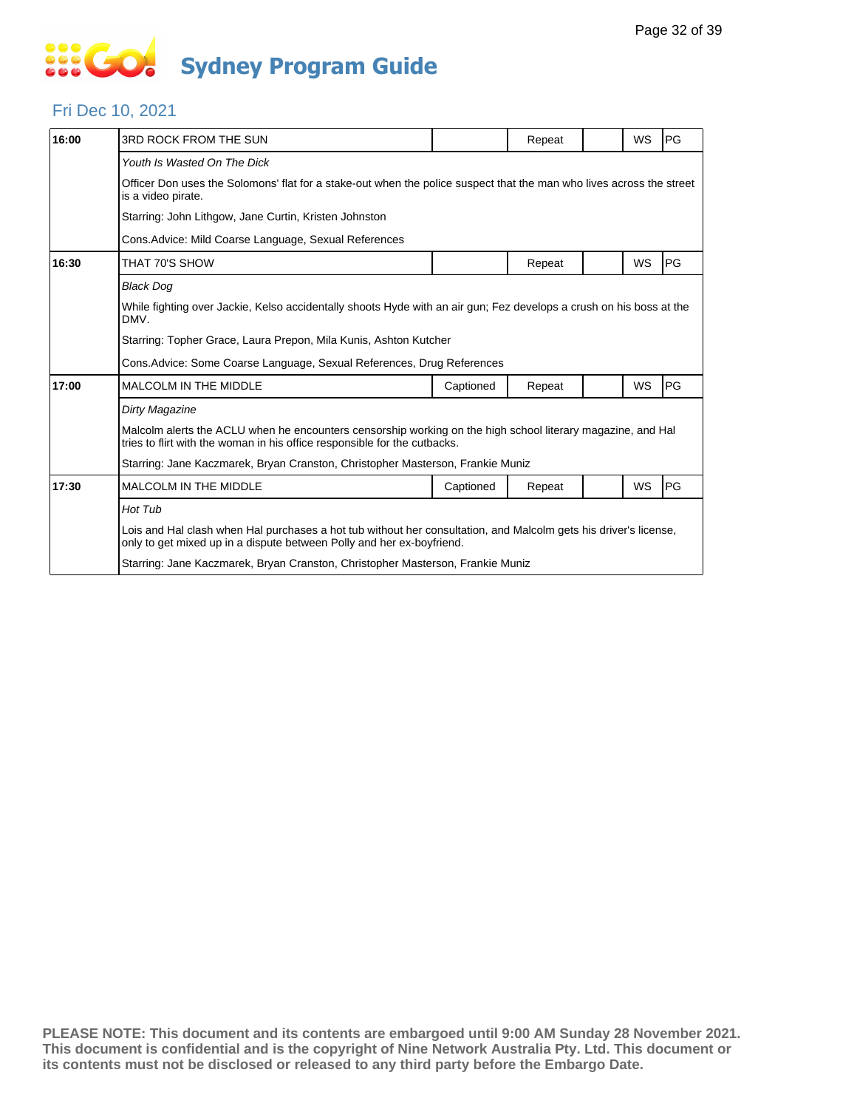#### Fri Dec 10, 2021

| 16:00 | 3RD ROCK FROM THE SUN                                                                                                                                                                     |           | Repeat |  | WS | <b>PG</b> |  |  |  |
|-------|-------------------------------------------------------------------------------------------------------------------------------------------------------------------------------------------|-----------|--------|--|----|-----------|--|--|--|
|       | Youth Is Wasted On The Dick                                                                                                                                                               |           |        |  |    |           |  |  |  |
|       | Officer Don uses the Solomons' flat for a stake-out when the police suspect that the man who lives across the street<br>is a video pirate.                                                |           |        |  |    |           |  |  |  |
|       | Starring: John Lithgow, Jane Curtin, Kristen Johnston                                                                                                                                     |           |        |  |    |           |  |  |  |
|       | Cons. Advice: Mild Coarse Language, Sexual References                                                                                                                                     |           |        |  |    |           |  |  |  |
| 16:30 | THAT 70'S SHOW                                                                                                                                                                            |           | Repeat |  | WS | PG        |  |  |  |
|       | <b>Black Dog</b>                                                                                                                                                                          |           |        |  |    |           |  |  |  |
|       | While fighting over Jackie, Kelso accidentally shoots Hyde with an air gun; Fez develops a crush on his boss at the<br>DMV.                                                               |           |        |  |    |           |  |  |  |
|       | Starring: Topher Grace, Laura Prepon, Mila Kunis, Ashton Kutcher                                                                                                                          |           |        |  |    |           |  |  |  |
|       | Cons. Advice: Some Coarse Language, Sexual References, Drug References                                                                                                                    |           |        |  |    |           |  |  |  |
| 17:00 | <b>MALCOLM IN THE MIDDLE</b>                                                                                                                                                              | Captioned | Repeat |  | WS | PG        |  |  |  |
|       | <b>Dirty Magazine</b>                                                                                                                                                                     |           |        |  |    |           |  |  |  |
|       | Malcolm alerts the ACLU when he encounters censorship working on the high school literary magazine, and Hal<br>tries to flirt with the woman in his office responsible for the cutbacks.  |           |        |  |    |           |  |  |  |
|       | Starring: Jane Kaczmarek, Bryan Cranston, Christopher Masterson, Frankie Muniz                                                                                                            |           |        |  |    |           |  |  |  |
| 17:30 | <b>MALCOLM IN THE MIDDLE</b>                                                                                                                                                              | Captioned | Repeat |  | WS | PG        |  |  |  |
|       | Hot Tub                                                                                                                                                                                   |           |        |  |    |           |  |  |  |
|       | Lois and Hal clash when Hal purchases a hot tub without her consultation, and Malcolm gets his driver's license,<br>only to get mixed up in a dispute between Polly and her ex-boyfriend. |           |        |  |    |           |  |  |  |
|       | Starring: Jane Kaczmarek, Bryan Cranston, Christopher Masterson, Frankie Muniz                                                                                                            |           |        |  |    |           |  |  |  |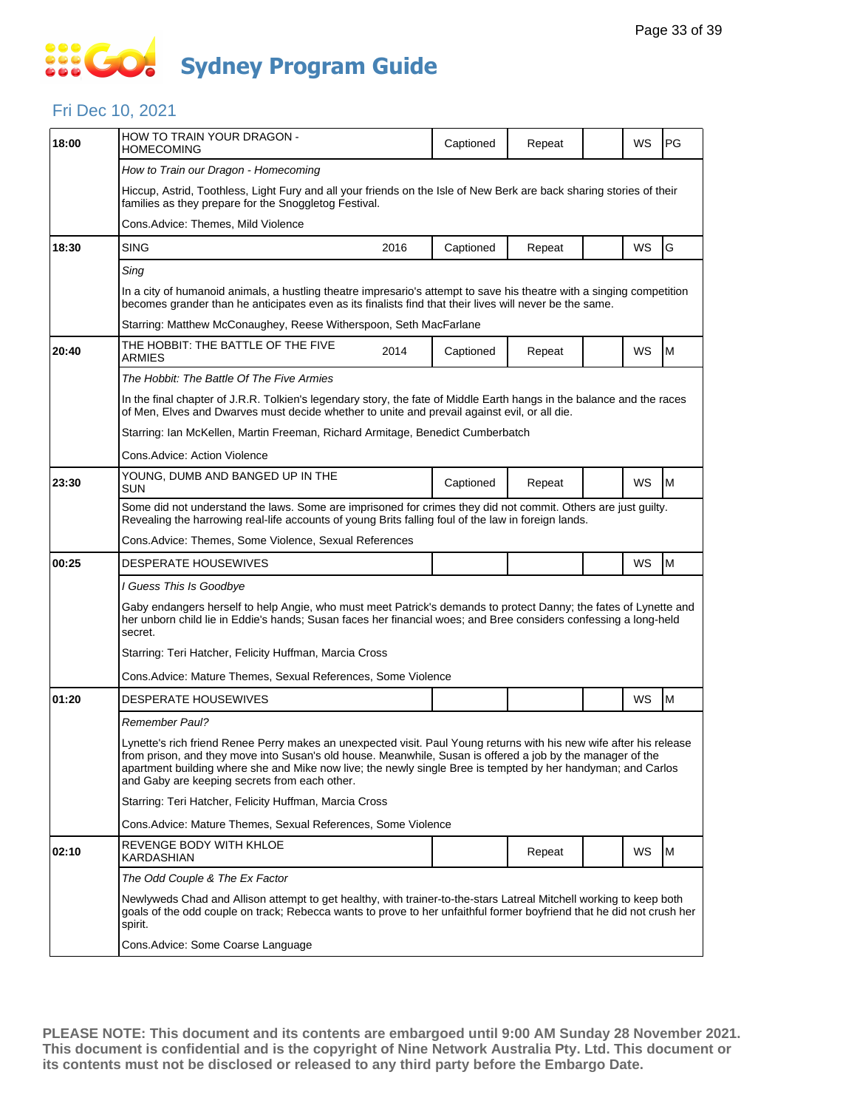### **SECT Sydney Program Guide**

### Fri Dec 10, 2021

| 18:00 | HOW TO TRAIN YOUR DRAGON -<br>HOMECOMING                                                                                                                                                                                                                                                                                                                                                           |                                                                                                                                                                               | Captioned | Repeat |  | WS | PG |  |  |  |  |
|-------|----------------------------------------------------------------------------------------------------------------------------------------------------------------------------------------------------------------------------------------------------------------------------------------------------------------------------------------------------------------------------------------------------|-------------------------------------------------------------------------------------------------------------------------------------------------------------------------------|-----------|--------|--|----|----|--|--|--|--|
|       | How to Train our Dragon - Homecoming                                                                                                                                                                                                                                                                                                                                                               |                                                                                                                                                                               |           |        |  |    |    |  |  |  |  |
|       |                                                                                                                                                                                                                                                                                                                                                                                                    | Hiccup, Astrid, Toothless, Light Fury and all your friends on the Isle of New Berk are back sharing stories of their<br>families as they prepare for the Snoggletog Festival. |           |        |  |    |    |  |  |  |  |
|       | Cons.Advice: Themes, Mild Violence                                                                                                                                                                                                                                                                                                                                                                 |                                                                                                                                                                               |           |        |  |    |    |  |  |  |  |
| 18:30 | <b>SING</b>                                                                                                                                                                                                                                                                                                                                                                                        | 2016                                                                                                                                                                          | Captioned | Repeat |  | WS | G  |  |  |  |  |
|       | Sing                                                                                                                                                                                                                                                                                                                                                                                               |                                                                                                                                                                               |           |        |  |    |    |  |  |  |  |
|       | In a city of humanoid animals, a hustling theatre impresario's attempt to save his theatre with a singing competition<br>becomes grander than he anticipates even as its finalists find that their lives will never be the same.                                                                                                                                                                   |                                                                                                                                                                               |           |        |  |    |    |  |  |  |  |
|       | Starring: Matthew McConaughey, Reese Witherspoon, Seth MacFarlane                                                                                                                                                                                                                                                                                                                                  |                                                                                                                                                                               |           |        |  |    |    |  |  |  |  |
| 20:40 | THE HOBBIT: THE BATTLE OF THE FIVE<br>ARMIES                                                                                                                                                                                                                                                                                                                                                       | 2014                                                                                                                                                                          | Captioned | Repeat |  | WS | M  |  |  |  |  |
|       | The Hobbit: The Battle Of The Five Armies                                                                                                                                                                                                                                                                                                                                                          |                                                                                                                                                                               |           |        |  |    |    |  |  |  |  |
|       | In the final chapter of J.R.R. Tolkien's legendary story, the fate of Middle Earth hangs in the balance and the races<br>of Men, Elves and Dwarves must decide whether to unite and prevail against evil, or all die.                                                                                                                                                                              |                                                                                                                                                                               |           |        |  |    |    |  |  |  |  |
|       | Starring: Ian McKellen, Martin Freeman, Richard Armitage, Benedict Cumberbatch                                                                                                                                                                                                                                                                                                                     |                                                                                                                                                                               |           |        |  |    |    |  |  |  |  |
|       | Cons.Advice: Action Violence                                                                                                                                                                                                                                                                                                                                                                       |                                                                                                                                                                               |           |        |  |    |    |  |  |  |  |
| 23:30 | YOUNG, DUMB AND BANGED UP IN THE<br><b>SUN</b>                                                                                                                                                                                                                                                                                                                                                     |                                                                                                                                                                               | Captioned | Repeat |  | WS | M  |  |  |  |  |
|       | Some did not understand the laws. Some are imprisoned for crimes they did not commit. Others are just guilty.<br>Revealing the harrowing real-life accounts of young Brits falling foul of the law in foreign lands.                                                                                                                                                                               |                                                                                                                                                                               |           |        |  |    |    |  |  |  |  |
|       | Cons.Advice: Themes, Some Violence, Sexual References                                                                                                                                                                                                                                                                                                                                              |                                                                                                                                                                               |           |        |  |    |    |  |  |  |  |
| 00:25 | DESPERATE HOUSEWIVES                                                                                                                                                                                                                                                                                                                                                                               |                                                                                                                                                                               |           |        |  | WS | M  |  |  |  |  |
|       | I Guess This Is Goodbye                                                                                                                                                                                                                                                                                                                                                                            |                                                                                                                                                                               |           |        |  |    |    |  |  |  |  |
|       | Gaby endangers herself to help Angie, who must meet Patrick's demands to protect Danny; the fates of Lynette and<br>her unborn child lie in Eddie's hands; Susan faces her financial woes; and Bree considers confessing a long-held<br>secret.                                                                                                                                                    |                                                                                                                                                                               |           |        |  |    |    |  |  |  |  |
|       | Starring: Teri Hatcher, Felicity Huffman, Marcia Cross                                                                                                                                                                                                                                                                                                                                             |                                                                                                                                                                               |           |        |  |    |    |  |  |  |  |
|       | Cons. Advice: Mature Themes, Sexual References, Some Violence                                                                                                                                                                                                                                                                                                                                      |                                                                                                                                                                               |           |        |  |    |    |  |  |  |  |
| 01:20 | <b>DESPERATE HOUSEWIVES</b>                                                                                                                                                                                                                                                                                                                                                                        |                                                                                                                                                                               |           |        |  | WS | M  |  |  |  |  |
|       | Remember Paul?                                                                                                                                                                                                                                                                                                                                                                                     |                                                                                                                                                                               |           |        |  |    |    |  |  |  |  |
|       | Lynette's rich friend Renee Perry makes an unexpected visit. Paul Young returns with his new wife after his release<br>from prison, and they move into Susan's old house. Meanwhile, Susan is offered a job by the manager of the<br>apartment building where she and Mike now live; the newly single Bree is tempted by her handyman; and Carlos<br>and Gaby are keeping secrets from each other. |                                                                                                                                                                               |           |        |  |    |    |  |  |  |  |
|       | Starring: Teri Hatcher, Felicity Huffman, Marcia Cross                                                                                                                                                                                                                                                                                                                                             |                                                                                                                                                                               |           |        |  |    |    |  |  |  |  |
|       | Cons. Advice: Mature Themes, Sexual References, Some Violence                                                                                                                                                                                                                                                                                                                                      |                                                                                                                                                                               |           |        |  |    |    |  |  |  |  |
| 02:10 | REVENGE BODY WITH KHLOE<br>KARDASHIAN                                                                                                                                                                                                                                                                                                                                                              |                                                                                                                                                                               |           | Repeat |  | WS | M  |  |  |  |  |
|       | The Odd Couple & The Ex Factor                                                                                                                                                                                                                                                                                                                                                                     |                                                                                                                                                                               |           |        |  |    |    |  |  |  |  |
|       | Newlyweds Chad and Allison attempt to get healthy, with trainer-to-the-stars Latreal Mitchell working to keep both<br>goals of the odd couple on track; Rebecca wants to prove to her unfaithful former boyfriend that he did not crush her<br>spirit.                                                                                                                                             |                                                                                                                                                                               |           |        |  |    |    |  |  |  |  |
|       | Cons.Advice: Some Coarse Language                                                                                                                                                                                                                                                                                                                                                                  |                                                                                                                                                                               |           |        |  |    |    |  |  |  |  |
|       |                                                                                                                                                                                                                                                                                                                                                                                                    |                                                                                                                                                                               |           |        |  |    |    |  |  |  |  |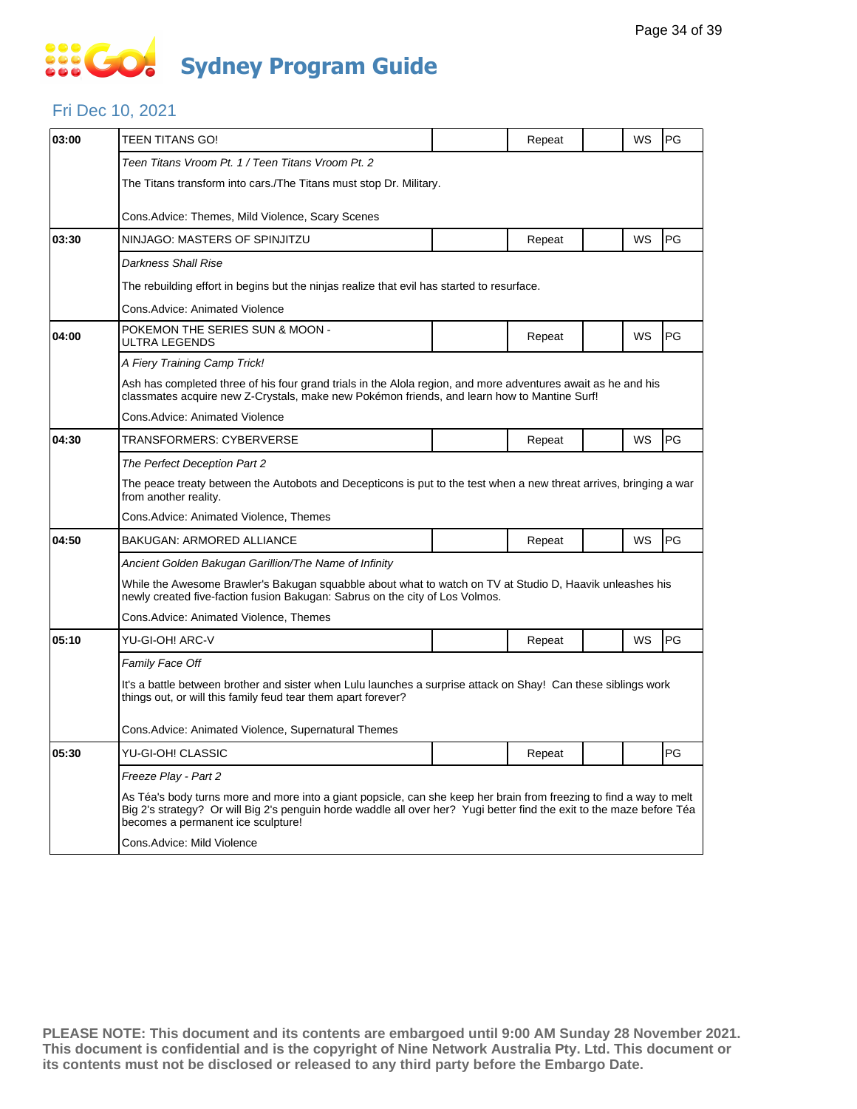### **SIS GO Sydney Program Guide**

#### Fri Dec 10, 2021

| 03:00 | TEEN TITANS GO!                                                                                                                                                                                                                                                                    |  | Repeat |  | WS        | PG |  |  |  |
|-------|------------------------------------------------------------------------------------------------------------------------------------------------------------------------------------------------------------------------------------------------------------------------------------|--|--------|--|-----------|----|--|--|--|
|       | Teen Titans Vroom Pt. 1 / Teen Titans Vroom Pt. 2                                                                                                                                                                                                                                  |  |        |  |           |    |  |  |  |
|       | The Titans transform into cars./The Titans must stop Dr. Military.                                                                                                                                                                                                                 |  |        |  |           |    |  |  |  |
|       | Cons. Advice: Themes, Mild Violence, Scary Scenes                                                                                                                                                                                                                                  |  |        |  |           |    |  |  |  |
| 03:30 | NINJAGO: MASTERS OF SPINJITZU                                                                                                                                                                                                                                                      |  | Repeat |  | WS        | PG |  |  |  |
|       | Darkness Shall Rise                                                                                                                                                                                                                                                                |  |        |  |           |    |  |  |  |
|       | The rebuilding effort in begins but the ninjas realize that evil has started to resurface.                                                                                                                                                                                         |  |        |  |           |    |  |  |  |
|       | Cons. Advice: Animated Violence                                                                                                                                                                                                                                                    |  |        |  |           |    |  |  |  |
| 04:00 | POKEMON THE SERIES SUN & MOON -<br>ULTRA LEGENDS                                                                                                                                                                                                                                   |  | Repeat |  | WS        | PG |  |  |  |
|       | A Fiery Training Camp Trick!                                                                                                                                                                                                                                                       |  |        |  |           |    |  |  |  |
|       | Ash has completed three of his four grand trials in the Alola region, and more adventures await as he and his<br>classmates acquire new Z-Crystals, make new Pokémon friends, and learn how to Mantine Surf!                                                                       |  |        |  |           |    |  |  |  |
|       | Cons. Advice: Animated Violence                                                                                                                                                                                                                                                    |  |        |  |           |    |  |  |  |
| 04:30 | TRANSFORMERS: CYBERVERSE                                                                                                                                                                                                                                                           |  | Repeat |  | <b>WS</b> | PG |  |  |  |
|       | The Perfect Deception Part 2                                                                                                                                                                                                                                                       |  |        |  |           |    |  |  |  |
|       | The peace treaty between the Autobots and Decepticons is put to the test when a new threat arrives, bringing a war<br>from another reality.                                                                                                                                        |  |        |  |           |    |  |  |  |
|       | Cons.Advice: Animated Violence, Themes                                                                                                                                                                                                                                             |  |        |  |           |    |  |  |  |
| 04:50 | <b>BAKUGAN: ARMORED ALLIANCE</b>                                                                                                                                                                                                                                                   |  | Repeat |  | WS        | PG |  |  |  |
|       | Ancient Golden Bakugan Garillion/The Name of Infinity                                                                                                                                                                                                                              |  |        |  |           |    |  |  |  |
|       | While the Awesome Brawler's Bakugan squabble about what to watch on TV at Studio D, Haavik unleashes his<br>newly created five-faction fusion Bakugan: Sabrus on the city of Los Volmos.                                                                                           |  |        |  |           |    |  |  |  |
|       | Cons. Advice: Animated Violence, Themes                                                                                                                                                                                                                                            |  |        |  |           |    |  |  |  |
| 05:10 | YU-GI-OH! ARC-V                                                                                                                                                                                                                                                                    |  | Repeat |  | WS        | PG |  |  |  |
|       | Family Face Off                                                                                                                                                                                                                                                                    |  |        |  |           |    |  |  |  |
|       | It's a battle between brother and sister when Lulu launches a surprise attack on Shay! Can these siblings work<br>things out, or will this family feud tear them apart forever?                                                                                                    |  |        |  |           |    |  |  |  |
|       | Cons. Advice: Animated Violence, Supernatural Themes                                                                                                                                                                                                                               |  |        |  |           |    |  |  |  |
| 05:30 | YU-GI-OH! CLASSIC                                                                                                                                                                                                                                                                  |  | Repeat |  |           | PG |  |  |  |
|       | Freeze Play - Part 2                                                                                                                                                                                                                                                               |  |        |  |           |    |  |  |  |
|       | As Téa's body turns more and more into a giant popsicle, can she keep her brain from freezing to find a way to melt<br>Big 2's strategy? Or will Big 2's penguin horde waddle all over her? Yugi better find the exit to the maze before Téa<br>becomes a permanent ice sculpture! |  |        |  |           |    |  |  |  |
|       | Cons.Advice: Mild Violence                                                                                                                                                                                                                                                         |  |        |  |           |    |  |  |  |
|       |                                                                                                                                                                                                                                                                                    |  |        |  |           |    |  |  |  |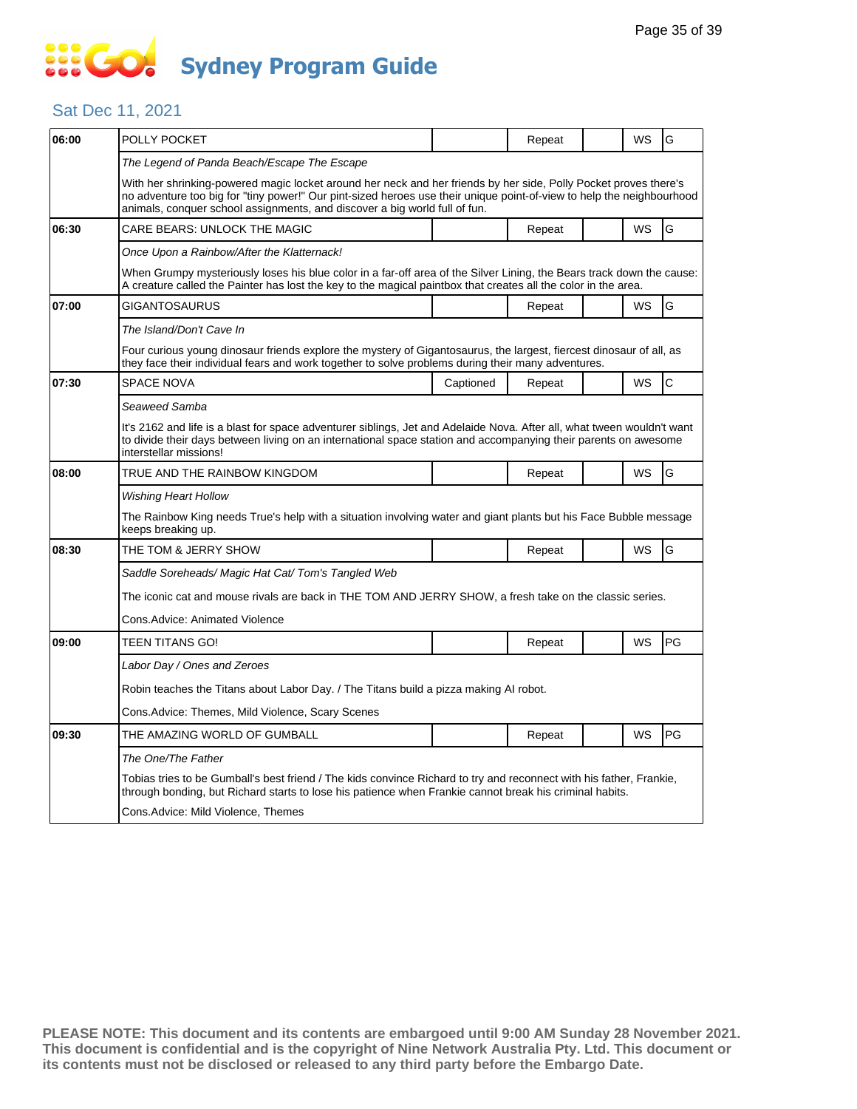### Sat Dec 11, 2021

| 06:00 | POLLY POCKET                                                                                                                                                                                                                                                                                                            |                                                                                       | Repeat |  | WS        | G              |  |  |  |
|-------|-------------------------------------------------------------------------------------------------------------------------------------------------------------------------------------------------------------------------------------------------------------------------------------------------------------------------|---------------------------------------------------------------------------------------|--------|--|-----------|----------------|--|--|--|
|       | The Legend of Panda Beach/Escape The Escape                                                                                                                                                                                                                                                                             |                                                                                       |        |  |           |                |  |  |  |
|       | With her shrinking-powered magic locket around her neck and her friends by her side, Polly Pocket proves there's<br>no adventure too big for "tiny power!" Our pint-sized heroes use their unique point-of-view to help the neighbourhood<br>animals, conquer school assignments, and discover a big world full of fun. |                                                                                       |        |  |           |                |  |  |  |
| 06:30 | CARE BEARS: UNLOCK THE MAGIC                                                                                                                                                                                                                                                                                            |                                                                                       | Repeat |  | WS        | G              |  |  |  |
|       | Once Upon a Rainbow/After the Klatternack!                                                                                                                                                                                                                                                                              |                                                                                       |        |  |           |                |  |  |  |
|       | When Grumpy mysteriously loses his blue color in a far-off area of the Silver Lining, the Bears track down the cause:<br>A creature called the Painter has lost the key to the magical paintbox that creates all the color in the area.                                                                                 |                                                                                       |        |  |           |                |  |  |  |
| 07:00 | <b>GIGANTOSAURUS</b>                                                                                                                                                                                                                                                                                                    |                                                                                       | Repeat |  | <b>WS</b> | G              |  |  |  |
|       | The Island/Don't Cave In                                                                                                                                                                                                                                                                                                |                                                                                       |        |  |           |                |  |  |  |
|       | Four curious young dinosaur friends explore the mystery of Gigantosaurus, the largest, fiercest dinosaur of all, as<br>they face their individual fears and work together to solve problems during their many adventures.                                                                                               |                                                                                       |        |  |           |                |  |  |  |
| 07:30 | <b>SPACE NOVA</b>                                                                                                                                                                                                                                                                                                       | Captioned                                                                             | Repeat |  | WS        | $\overline{C}$ |  |  |  |
|       | Seaweed Samba                                                                                                                                                                                                                                                                                                           |                                                                                       |        |  |           |                |  |  |  |
|       | It's 2162 and life is a blast for space adventurer siblings, Jet and Adelaide Nova. After all, what tween wouldn't want<br>to divide their days between living on an international space station and accompanying their parents on awesome<br>interstellar missions!                                                    |                                                                                       |        |  |           |                |  |  |  |
| 08:00 | TRUE AND THE RAINBOW KINGDOM                                                                                                                                                                                                                                                                                            |                                                                                       | Repeat |  | WS        | G              |  |  |  |
|       | Wishing Heart Hollow                                                                                                                                                                                                                                                                                                    |                                                                                       |        |  |           |                |  |  |  |
|       | The Rainbow King needs True's help with a situation involving water and giant plants but his Face Bubble message<br>keeps breaking up.                                                                                                                                                                                  |                                                                                       |        |  |           |                |  |  |  |
| 08:30 | THE TOM & JERRY SHOW                                                                                                                                                                                                                                                                                                    |                                                                                       | Repeat |  | WS        | G              |  |  |  |
|       | Saddle Soreheads/ Magic Hat Cat/ Tom's Tangled Web                                                                                                                                                                                                                                                                      |                                                                                       |        |  |           |                |  |  |  |
|       | The iconic cat and mouse rivals are back in THE TOM AND JERRY SHOW, a fresh take on the classic series.                                                                                                                                                                                                                 |                                                                                       |        |  |           |                |  |  |  |
|       | Cons.Advice: Animated Violence                                                                                                                                                                                                                                                                                          |                                                                                       |        |  |           |                |  |  |  |
| 09:00 | TEEN TITANS GO!                                                                                                                                                                                                                                                                                                         |                                                                                       | Repeat |  | WS        | PG             |  |  |  |
|       | Labor Day / Ones and Zeroes                                                                                                                                                                                                                                                                                             |                                                                                       |        |  |           |                |  |  |  |
|       |                                                                                                                                                                                                                                                                                                                         | Robin teaches the Titans about Labor Day. / The Titans build a pizza making AI robot. |        |  |           |                |  |  |  |
|       | Cons.Advice: Themes, Mild Violence, Scary Scenes                                                                                                                                                                                                                                                                        |                                                                                       |        |  |           |                |  |  |  |
| 09:30 | THE AMAZING WORLD OF GUMBALL                                                                                                                                                                                                                                                                                            |                                                                                       | Repeat |  | WS        | PG             |  |  |  |
|       | The One/The Father                                                                                                                                                                                                                                                                                                      |                                                                                       |        |  |           |                |  |  |  |
|       | Tobias tries to be Gumball's best friend / The kids convince Richard to try and reconnect with his father, Frankie,<br>through bonding, but Richard starts to lose his patience when Frankie cannot break his criminal habits.                                                                                          |                                                                                       |        |  |           |                |  |  |  |
|       | Cons.Advice: Mild Violence, Themes                                                                                                                                                                                                                                                                                      |                                                                                       |        |  |           |                |  |  |  |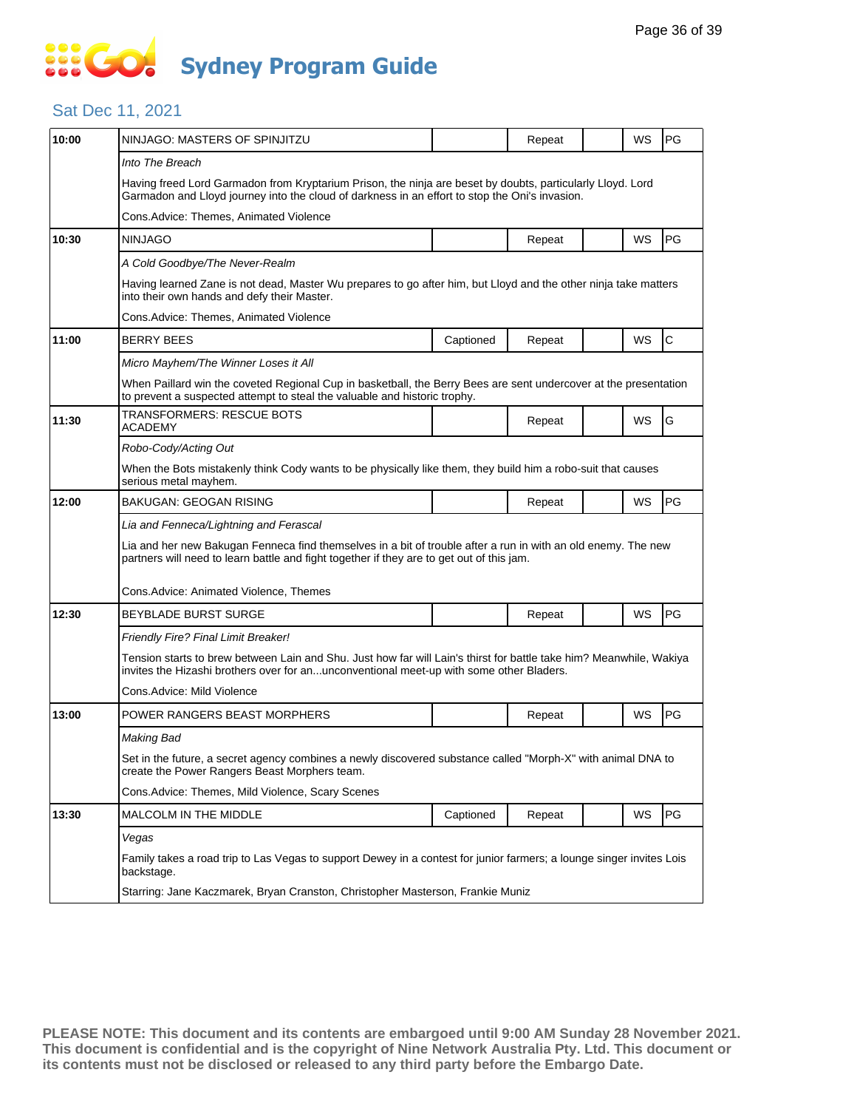#### Sat Dec 11, 2021

| 10:00 | NINJAGO: MASTERS OF SPINJITZU                                                                                                                                                                                  |                                                                                | Repeat |  | WS        | PG          |  |  |  |
|-------|----------------------------------------------------------------------------------------------------------------------------------------------------------------------------------------------------------------|--------------------------------------------------------------------------------|--------|--|-----------|-------------|--|--|--|
|       | Into The Breach                                                                                                                                                                                                |                                                                                |        |  |           |             |  |  |  |
|       | Having freed Lord Garmadon from Kryptarium Prison, the ninja are beset by doubts, particularly Lloyd. Lord<br>Garmadon and Lloyd journey into the cloud of darkness in an effort to stop the Oni's invasion.   |                                                                                |        |  |           |             |  |  |  |
|       | Cons. Advice: Themes, Animated Violence                                                                                                                                                                        |                                                                                |        |  |           |             |  |  |  |
| 10:30 | <b>NINJAGO</b>                                                                                                                                                                                                 |                                                                                | Repeat |  | WS        | PG          |  |  |  |
|       | A Cold Goodbye/The Never-Realm                                                                                                                                                                                 |                                                                                |        |  |           |             |  |  |  |
|       | Having learned Zane is not dead, Master Wu prepares to go after him, but Lloyd and the other ninja take matters<br>into their own hands and defy their Master.                                                 |                                                                                |        |  |           |             |  |  |  |
|       | Cons.Advice: Themes, Animated Violence                                                                                                                                                                         |                                                                                |        |  |           |             |  |  |  |
| 11:00 | <b>BERRY BEES</b>                                                                                                                                                                                              | Captioned                                                                      | Repeat |  | <b>WS</b> | $\mathbf C$ |  |  |  |
|       | Micro Mayhem/The Winner Loses it All                                                                                                                                                                           |                                                                                |        |  |           |             |  |  |  |
|       | When Paillard win the coveted Regional Cup in basketball, the Berry Bees are sent undercover at the presentation<br>to prevent a suspected attempt to steal the valuable and historic trophy.                  |                                                                                |        |  |           |             |  |  |  |
| 11:30 | <b>TRANSFORMERS: RESCUE BOTS</b><br>ACADEMY                                                                                                                                                                    |                                                                                | Repeat |  | WS        | G           |  |  |  |
|       | Robo-Cody/Acting Out                                                                                                                                                                                           |                                                                                |        |  |           |             |  |  |  |
|       | When the Bots mistakenly think Cody wants to be physically like them, they build him a robo-suit that causes<br>serious metal mayhem.                                                                          |                                                                                |        |  |           |             |  |  |  |
| 12:00 | <b>BAKUGAN: GEOGAN RISING</b>                                                                                                                                                                                  |                                                                                | Repeat |  | <b>WS</b> | PG          |  |  |  |
|       | Lia and Fenneca/Lightning and Ferascal                                                                                                                                                                         |                                                                                |        |  |           |             |  |  |  |
|       | Lia and her new Bakugan Fenneca find themselves in a bit of trouble after a run in with an old enemy. The new<br>partners will need to learn battle and fight together if they are to get out of this jam.     |                                                                                |        |  |           |             |  |  |  |
|       | Cons.Advice: Animated Violence, Themes                                                                                                                                                                         |                                                                                |        |  |           |             |  |  |  |
| 12:30 | <b>BEYBLADE BURST SURGE</b>                                                                                                                                                                                    |                                                                                | Repeat |  | WS        | PG          |  |  |  |
|       | Friendly Fire? Final Limit Breaker!                                                                                                                                                                            |                                                                                |        |  |           |             |  |  |  |
|       | Tension starts to brew between Lain and Shu. Just how far will Lain's thirst for battle take him? Meanwhile, Wakiya<br>invites the Hizashi brothers over for anunconventional meet-up with some other Bladers. |                                                                                |        |  |           |             |  |  |  |
|       | Cons.Advice: Mild Violence                                                                                                                                                                                     |                                                                                |        |  |           |             |  |  |  |
| 13:00 | POWER RANGERS BEAST MORPHERS                                                                                                                                                                                   |                                                                                | Repeat |  | WS        | PG          |  |  |  |
|       | Making Bad                                                                                                                                                                                                     |                                                                                |        |  |           |             |  |  |  |
|       | Set in the future, a secret agency combines a newly discovered substance called "Morph-X" with animal DNA to<br>create the Power Rangers Beast Morphers team.                                                  |                                                                                |        |  |           |             |  |  |  |
|       | Cons. Advice: Themes, Mild Violence, Scary Scenes                                                                                                                                                              |                                                                                |        |  |           |             |  |  |  |
| 13:30 | MALCOLM IN THE MIDDLE                                                                                                                                                                                          | Captioned                                                                      | Repeat |  | WS        | PG          |  |  |  |
|       | Vegas                                                                                                                                                                                                          |                                                                                |        |  |           |             |  |  |  |
|       | Family takes a road trip to Las Vegas to support Dewey in a contest for junior farmers; a lounge singer invites Lois<br>backstage.                                                                             |                                                                                |        |  |           |             |  |  |  |
|       |                                                                                                                                                                                                                | Starring: Jane Kaczmarek, Bryan Cranston, Christopher Masterson, Frankie Muniz |        |  |           |             |  |  |  |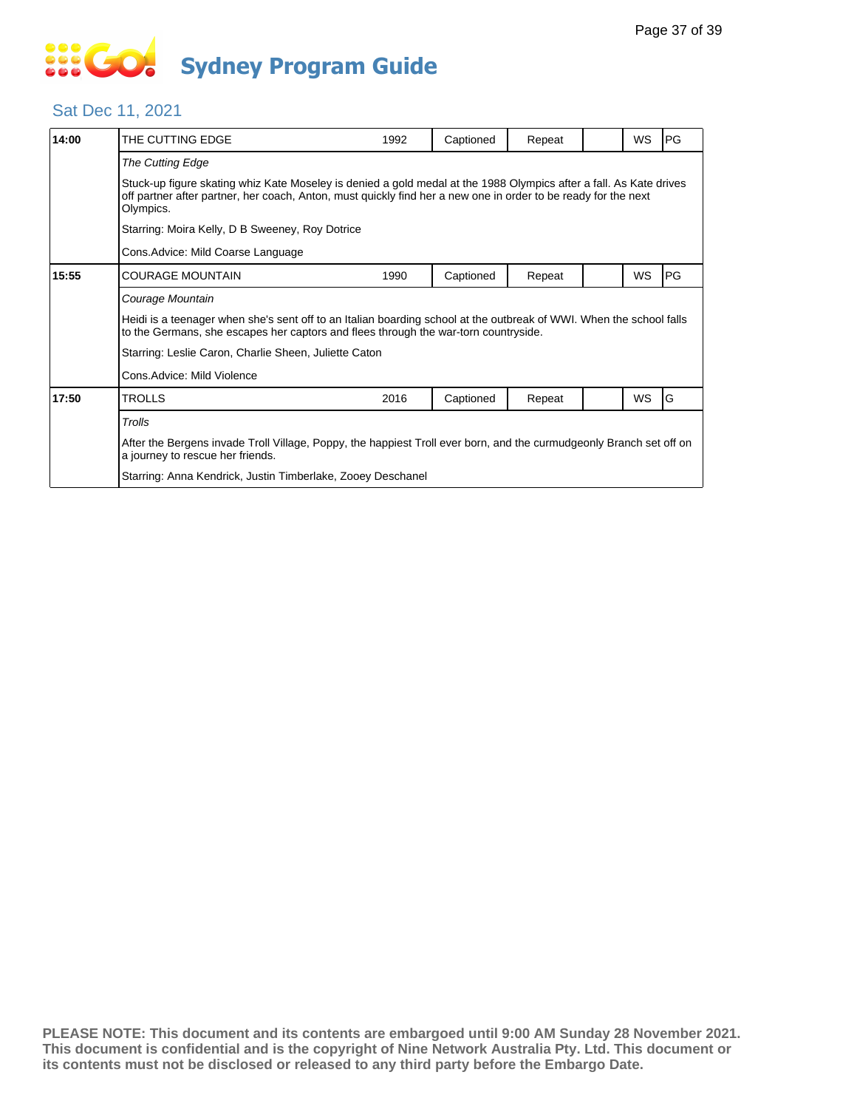#### Sat Dec 11, 2021

| 14:00 | THE CUTTING EDGE                                                                                                                                                                                                                                  | 1992 | Captioned | Repeat |  | <b>WS</b> | PG        |  |
|-------|---------------------------------------------------------------------------------------------------------------------------------------------------------------------------------------------------------------------------------------------------|------|-----------|--------|--|-----------|-----------|--|
|       | The Cutting Edge                                                                                                                                                                                                                                  |      |           |        |  |           |           |  |
|       | Stuck-up figure skating whiz Kate Moseley is denied a gold medal at the 1988 Olympics after a fall. As Kate drives<br>off partner after partner, her coach, Anton, must quickly find her a new one in order to be ready for the next<br>Olympics. |      |           |        |  |           |           |  |
|       | Starring: Moira Kelly, D B Sweeney, Roy Dotrice                                                                                                                                                                                                   |      |           |        |  |           |           |  |
|       | Cons.Advice: Mild Coarse Language                                                                                                                                                                                                                 |      |           |        |  |           |           |  |
| 15:55 | COURAGE MOUNTAIN                                                                                                                                                                                                                                  | 1990 | Captioned | Repeat |  | WS        | <b>PG</b> |  |
|       | Courage Mountain                                                                                                                                                                                                                                  |      |           |        |  |           |           |  |
|       | Heidi is a teenager when she's sent off to an Italian boarding school at the outbreak of WWI. When the school falls<br>to the Germans, she escapes her captors and flees through the war-torn countryside.                                        |      |           |        |  |           |           |  |
|       | Starring: Leslie Caron, Charlie Sheen, Juliette Caton                                                                                                                                                                                             |      |           |        |  |           |           |  |
|       | Cons.Advice: Mild Violence                                                                                                                                                                                                                        |      |           |        |  |           |           |  |
| 17:50 | TROLLS                                                                                                                                                                                                                                            | 2016 | Captioned | Repeat |  | <b>WS</b> | G         |  |
|       | Trolls                                                                                                                                                                                                                                            |      |           |        |  |           |           |  |
|       | After the Bergens invade Troll Village, Poppy, the happiest Troll ever born, and the curmudgeonly Branch set off on<br>a journey to rescue her friends.                                                                                           |      |           |        |  |           |           |  |
|       | Starring: Anna Kendrick, Justin Timberlake, Zooey Deschanel                                                                                                                                                                                       |      |           |        |  |           |           |  |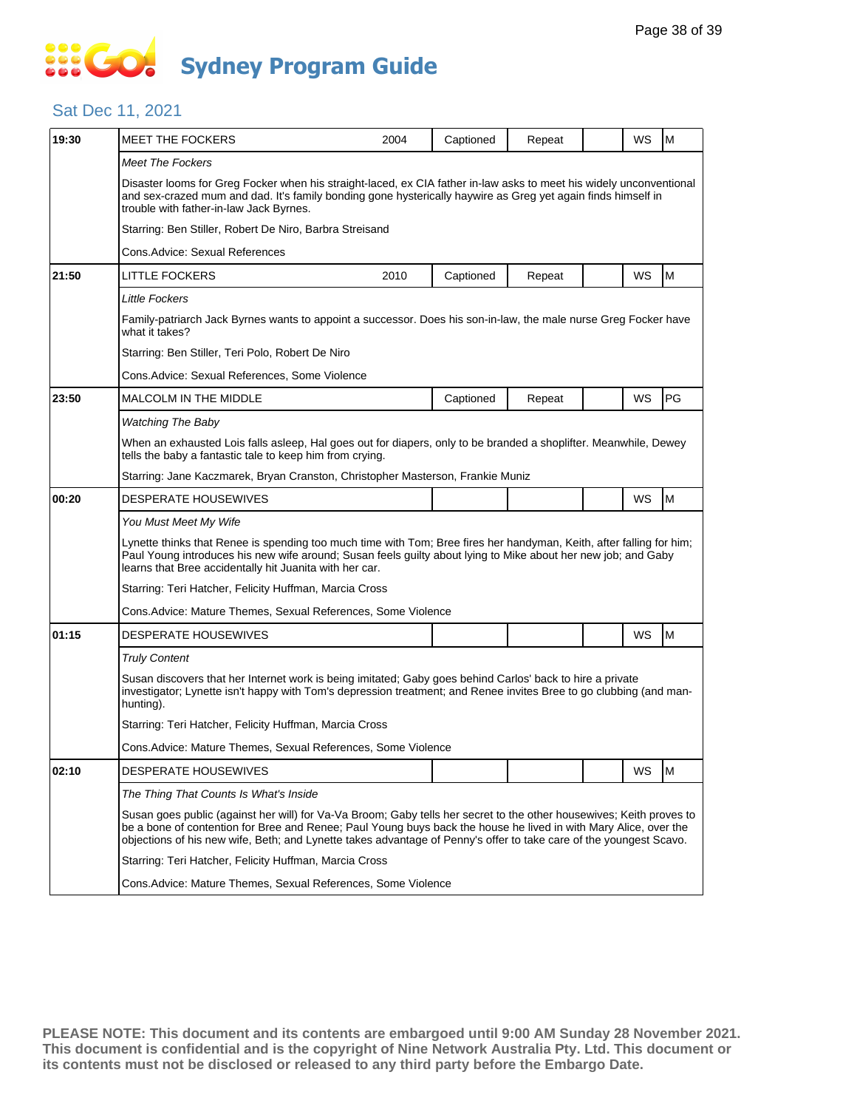#### Sat Dec 11, 2021

| 19:30 | <b>MEET THE FOCKERS</b>                                                                                                                                                                                                                                                                                                                                        | 2004                                                                                                                                                                         | Captioned | Repeat |  | WS | M  |  |  |
|-------|----------------------------------------------------------------------------------------------------------------------------------------------------------------------------------------------------------------------------------------------------------------------------------------------------------------------------------------------------------------|------------------------------------------------------------------------------------------------------------------------------------------------------------------------------|-----------|--------|--|----|----|--|--|
|       | <b>Meet The Fockers</b>                                                                                                                                                                                                                                                                                                                                        |                                                                                                                                                                              |           |        |  |    |    |  |  |
|       | Disaster looms for Greg Focker when his straight-laced, ex CIA father in-law asks to meet his widely unconventional<br>and sex-crazed mum and dad. It's family bonding gone hysterically haywire as Greg yet again finds himself in<br>trouble with father-in-law Jack Byrnes.                                                                                 |                                                                                                                                                                              |           |        |  |    |    |  |  |
|       |                                                                                                                                                                                                                                                                                                                                                                | Starring: Ben Stiller, Robert De Niro, Barbra Streisand                                                                                                                      |           |        |  |    |    |  |  |
|       | Cons.Advice: Sexual References                                                                                                                                                                                                                                                                                                                                 |                                                                                                                                                                              |           |        |  |    |    |  |  |
| 21:50 | <b>LITTLE FOCKERS</b>                                                                                                                                                                                                                                                                                                                                          | 2010                                                                                                                                                                         | Captioned | Repeat |  | WS | M  |  |  |
|       | <b>Little Fockers</b>                                                                                                                                                                                                                                                                                                                                          |                                                                                                                                                                              |           |        |  |    |    |  |  |
|       | Family-patriarch Jack Byrnes wants to appoint a successor. Does his son-in-law, the male nurse Greg Focker have<br>what it takes?                                                                                                                                                                                                                              |                                                                                                                                                                              |           |        |  |    |    |  |  |
|       |                                                                                                                                                                                                                                                                                                                                                                | Starring: Ben Stiller, Teri Polo, Robert De Niro                                                                                                                             |           |        |  |    |    |  |  |
|       |                                                                                                                                                                                                                                                                                                                                                                | Cons.Advice: Sexual References, Some Violence                                                                                                                                |           |        |  |    |    |  |  |
| 23:50 | <b>MALCOLM IN THE MIDDLE</b>                                                                                                                                                                                                                                                                                                                                   |                                                                                                                                                                              | Captioned | Repeat |  | WS | PG |  |  |
|       | <b>Watching The Baby</b>                                                                                                                                                                                                                                                                                                                                       |                                                                                                                                                                              |           |        |  |    |    |  |  |
|       |                                                                                                                                                                                                                                                                                                                                                                | When an exhausted Lois falls asleep, Hal goes out for diapers, only to be branded a shoplifter. Meanwhile, Dewey<br>tells the baby a fantastic tale to keep him from crying. |           |        |  |    |    |  |  |
|       |                                                                                                                                                                                                                                                                                                                                                                | Starring: Jane Kaczmarek, Bryan Cranston, Christopher Masterson, Frankie Muniz                                                                                               |           |        |  |    |    |  |  |
| 00:20 | DESPERATE HOUSEWIVES                                                                                                                                                                                                                                                                                                                                           |                                                                                                                                                                              |           |        |  | WS | M  |  |  |
|       | You Must Meet My Wife                                                                                                                                                                                                                                                                                                                                          |                                                                                                                                                                              |           |        |  |    |    |  |  |
|       | Lynette thinks that Renee is spending too much time with Tom; Bree fires her handyman, Keith, after falling for him;<br>Paul Young introduces his new wife around; Susan feels guilty about lying to Mike about her new job; and Gaby<br>learns that Bree accidentally hit Juanita with her car.                                                               |                                                                                                                                                                              |           |        |  |    |    |  |  |
|       | Starring: Teri Hatcher, Felicity Huffman, Marcia Cross                                                                                                                                                                                                                                                                                                         |                                                                                                                                                                              |           |        |  |    |    |  |  |
|       | Cons. Advice: Mature Themes, Sexual References, Some Violence                                                                                                                                                                                                                                                                                                  |                                                                                                                                                                              |           |        |  |    |    |  |  |
| 01:15 | <b>DESPERATE HOUSEWIVES</b>                                                                                                                                                                                                                                                                                                                                    |                                                                                                                                                                              |           |        |  | WS | M  |  |  |
|       | <b>Truly Content</b>                                                                                                                                                                                                                                                                                                                                           |                                                                                                                                                                              |           |        |  |    |    |  |  |
|       | Susan discovers that her Internet work is being imitated; Gaby goes behind Carlos' back to hire a private<br>investigator; Lynette isn't happy with Tom's depression treatment; and Renee invites Bree to go clubbing (and man-<br>hunting).                                                                                                                   |                                                                                                                                                                              |           |        |  |    |    |  |  |
|       | Starring: Teri Hatcher, Felicity Huffman, Marcia Cross                                                                                                                                                                                                                                                                                                         |                                                                                                                                                                              |           |        |  |    |    |  |  |
|       | Cons. Advice: Mature Themes, Sexual References, Some Violence                                                                                                                                                                                                                                                                                                  |                                                                                                                                                                              |           |        |  |    |    |  |  |
| 02:10 | DESPERATE HOUSEWIVES                                                                                                                                                                                                                                                                                                                                           |                                                                                                                                                                              |           |        |  | WS | M  |  |  |
|       | The Thing That Counts Is What's Inside                                                                                                                                                                                                                                                                                                                         |                                                                                                                                                                              |           |        |  |    |    |  |  |
|       | Susan goes public (against her will) for Va-Va Broom; Gaby tells her secret to the other housewives; Keith proves to<br>be a bone of contention for Bree and Renee; Paul Young buys back the house he lived in with Mary Alice, over the<br>objections of his new wife, Beth; and Lynette takes advantage of Penny's offer to take care of the youngest Scavo. |                                                                                                                                                                              |           |        |  |    |    |  |  |
|       | Starring: Teri Hatcher, Felicity Huffman, Marcia Cross                                                                                                                                                                                                                                                                                                         |                                                                                                                                                                              |           |        |  |    |    |  |  |
|       |                                                                                                                                                                                                                                                                                                                                                                | Cons. Advice: Mature Themes, Sexual References, Some Violence                                                                                                                |           |        |  |    |    |  |  |